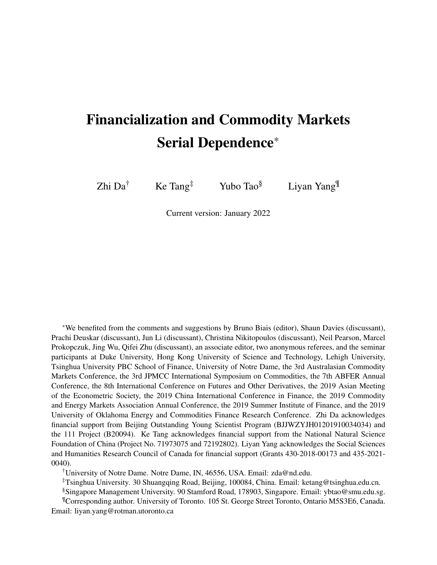# Financialization and Commodity Markets Serial Dependence\*

Zhi Da<sup>†</sup> Ke Tang<sup>‡</sup> Yubo Tao<sup>§</sup> Liyan Yang<sup>¶</sup>

Current version: January 2022

\*We benefited from the comments and suggestions by Bruno Biais (editor), Shaun Davies (discussant), Prachi Deuskar (discussant), Jun Li (discussant), Christina Nikitopoulos (discussant), Neil Pearson, Marcel Prokopczuk, Jing Wu, Qifei Zhu (discussant), an associate editor, two anonymous referees, and the seminar participants at Duke University, Hong Kong University of Science and Technology, Lehigh University, Tsinghua University PBC School of Finance, University of Notre Dame, the 3rd Australasian Commodity Markets Conference, the 3rd JPMCC International Symposium on Commodities, the 7th ABFER Annual Conference, the 8th International Conference on Futures and Other Derivatives, the 2019 Asian Meeting of the Econometric Society, the 2019 China International Conference in Finance, the 2019 Commodity and Energy Markets Association Annual Conference, the 2019 Summer Institute of Finance, and the 2019 University of Oklahoma Energy and Commodities Finance Research Conference. Zhi Da acknowledges financial support from Beijing Outstanding Young Scientist Program (BJJWZYJH01201910034034) and the 111 Project (B20094). Ke Tang acknowledges financial support from the National Natural Science Foundation of China (Project No. 71973075 and 72192802). Liyan Yang acknowledges the Social Sciences and Humanities Research Council of Canada for financial support (Grants 430-2018-00173 and 435-2021- 0040).

†University of Notre Dame. Notre Dame, IN, 46556, USA. Email: zda@nd.edu.

‡Tsinghua University. 30 Shuangqing Road, Beijing, 100084, China. Email: ketang@tsinghua.edu.cn.

§Singapore Management University. 90 Stamford Road, 178903, Singapore. Email: ybtao@smu.edu.sg.

¶Corresponding author. University of Toronto. 105 St. George Street Toronto, Ontario M5S3E6, Canada. Email: liyan.yang@rotman.utoronto.ca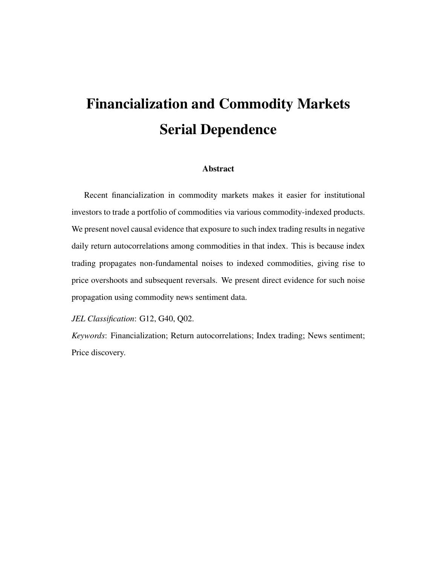# Financialization and Commodity Markets Serial Dependence

### Abstract

Recent financialization in commodity markets makes it easier for institutional investors to trade a portfolio of commodities via various commodity-indexed products. We present novel causal evidence that exposure to such index trading results in negative daily return autocorrelations among commodities in that index. This is because index trading propagates non-fundamental noises to indexed commodities, giving rise to price overshoots and subsequent reversals. We present direct evidence for such noise propagation using commodity news sentiment data.

*JEL Classification*: G12, G40, Q02.

*Keywords*: Financialization; Return autocorrelations; Index trading; News sentiment; Price discovery.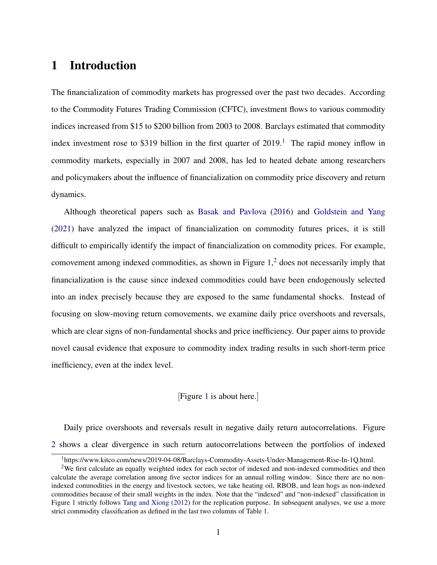# 1 Introduction

The financialization of commodity markets has progressed over the past two decades. According to the Commodity Futures Trading Commission (CFTC), investment flows to various commodity indices increased from \$15 to \$200 billion from 2003 to 2008. Barclays estimated that commodity index investment rose to \$3[1](#page-2-0)9 billion in the first quarter of  $2019$ .<sup>1</sup> The rapid money inflow in commodity markets, especially in 2007 and 2008, has led to heated debate among researchers and policymakers about the influence of financialization on commodity price discovery and return dynamics.

Although theoretical papers such as [Basak and Pavlova](#page-34-0) [\(2016\)](#page-34-0) and [Goldstein and Yang](#page-36-0) [\(2021\)](#page-36-0) have analyzed the impact of financialization on commodity futures prices, it is still difficult to empirically identify the impact of financialization on commodity prices. For example, comovement among indexed commodities, as shown in Figure  $1<sup>2</sup>$  $1<sup>2</sup>$  $1<sup>2</sup>$  does not necessarily imply that financialization is the cause since indexed commodities could have been endogenously selected into an index precisely because they are exposed to the same fundamental shocks. Instead of focusing on slow-moving return comovements, we examine daily price overshoots and reversals, which are clear signs of non-fundamental shocks and price inefficiency. Our paper aims to provide novel causal evidence that exposure to commodity index trading results in such short-term price inefficiency, even at the index level.

### [Figure [1](#page-39-0) is about here.]

Daily price overshoots and reversals result in negative daily return autocorrelations. Figure [2](#page-40-0) shows a clear divergence in such return autocorrelations between the portfolios of indexed

<span id="page-2-1"></span><span id="page-2-0"></span><sup>1</sup>https://www.kitco.com/news/2019-04-08/Barclays-Commodity-Assets-Under-Management-Rise-In-1Q.html.

<sup>&</sup>lt;sup>2</sup>We first calculate an equally weighted index for each sector of indexed and non-indexed commodities and then calculate the average correlation among five sector indices for an annual rolling window. Since there are no nonindexed commodities in the energy and livestock sectors, we take heating oil, RBOB, and lean hogs as non-indexed commodities because of their small weights in the index. Note that the "indexed" and "non-indexed" classification in Figure [1](#page-39-0) strictly follows [Tang and Xiong](#page-38-0) [\(2012\)](#page-38-0) for the replication purpose. In subsequent analyses, we use a more strict commodity classification as defined in the last two columns of Table [1.](#page-42-0)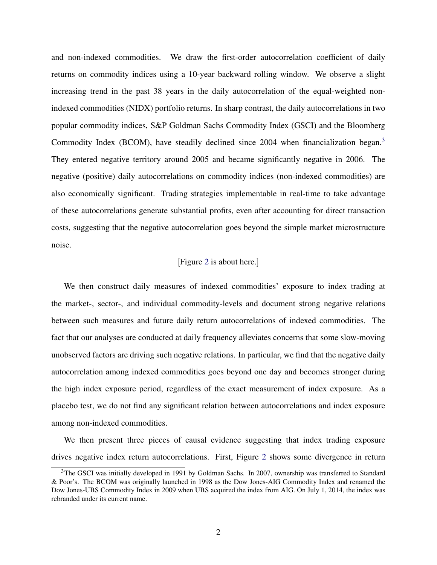and non-indexed commodities. We draw the first-order autocorrelation coefficient of daily returns on commodity indices using a 10-year backward rolling window. We observe a slight increasing trend in the past 38 years in the daily autocorrelation of the equal-weighted nonindexed commodities (NIDX) portfolio returns. In sharp contrast, the daily autocorrelations in two popular commodity indices, S&P Goldman Sachs Commodity Index (GSCI) and the Bloomberg Commodity Index (BCOM), have steadily declined since 2004 when financialization began.<sup>[3](#page-3-0)</sup> They entered negative territory around 2005 and became significantly negative in 2006. The negative (positive) daily autocorrelations on commodity indices (non-indexed commodities) are also economically significant. Trading strategies implementable in real-time to take advantage of these autocorrelations generate substantial profits, even after accounting for direct transaction costs, suggesting that the negative autocorrelation goes beyond the simple market microstructure noise.

#### [Figure [2](#page-40-0) is about here.]

We then construct daily measures of indexed commodities' exposure to index trading at the market-, sector-, and individual commodity-levels and document strong negative relations between such measures and future daily return autocorrelations of indexed commodities. The fact that our analyses are conducted at daily frequency alleviates concerns that some slow-moving unobserved factors are driving such negative relations. In particular, we find that the negative daily autocorrelation among indexed commodities goes beyond one day and becomes stronger during the high index exposure period, regardless of the exact measurement of index exposure. As a placebo test, we do not find any significant relation between autocorrelations and index exposure among non-indexed commodities.

We then present three pieces of causal evidence suggesting that index trading exposure drives negative index return autocorrelations. First, Figure [2](#page-40-0) shows some divergence in return

<span id="page-3-0"></span><sup>&</sup>lt;sup>3</sup>The GSCI was initially developed in 1991 by Goldman Sachs. In 2007, ownership was transferred to Standard & Poor's. The BCOM was originally launched in 1998 as the Dow Jones-AIG Commodity Index and renamed the Dow Jones-UBS Commodity Index in 2009 when UBS acquired the index from AIG. On July 1, 2014, the index was rebranded under its current name.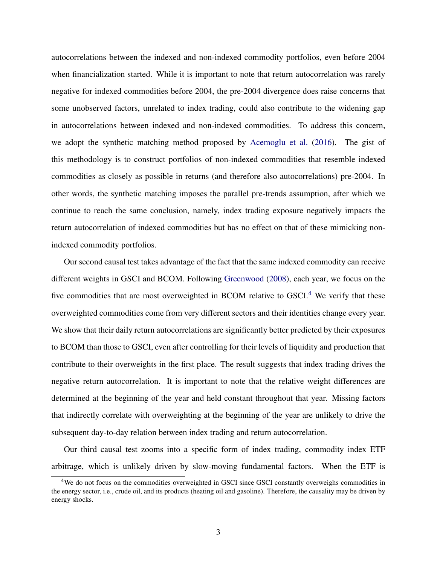autocorrelations between the indexed and non-indexed commodity portfolios, even before 2004 when financialization started. While it is important to note that return autocorrelation was rarely negative for indexed commodities before 2004, the pre-2004 divergence does raise concerns that some unobserved factors, unrelated to index trading, could also contribute to the widening gap in autocorrelations between indexed and non-indexed commodities. To address this concern, we adopt the synthetic matching method proposed by [Acemoglu et al.](#page-34-1) [\(2016\)](#page-34-1). The gist of this methodology is to construct portfolios of non-indexed commodities that resemble indexed commodities as closely as possible in returns (and therefore also autocorrelations) pre-2004. In other words, the synthetic matching imposes the parallel pre-trends assumption, after which we continue to reach the same conclusion, namely, index trading exposure negatively impacts the return autocorrelation of indexed commodities but has no effect on that of these mimicking nonindexed commodity portfolios.

Our second causal test takes advantage of the fact that the same indexed commodity can receive different weights in GSCI and BCOM. Following [Greenwood](#page-36-1) [\(2008\)](#page-36-1), each year, we focus on the five commodities that are most overweighted in BCOM relative to GSCI.<sup>[4](#page-4-0)</sup> We verify that these overweighted commodities come from very different sectors and their identities change every year. We show that their daily return autocorrelations are significantly better predicted by their exposures to BCOM than those to GSCI, even after controlling for their levels of liquidity and production that contribute to their overweights in the first place. The result suggests that index trading drives the negative return autocorrelation. It is important to note that the relative weight differences are determined at the beginning of the year and held constant throughout that year. Missing factors that indirectly correlate with overweighting at the beginning of the year are unlikely to drive the subsequent day-to-day relation between index trading and return autocorrelation.

Our third causal test zooms into a specific form of index trading, commodity index ETF arbitrage, which is unlikely driven by slow-moving fundamental factors. When the ETF is

<span id="page-4-0"></span><sup>&</sup>lt;sup>4</sup>We do not focus on the commodities overweighted in GSCI since GSCI constantly overweighs commodities in the energy sector, i.e., crude oil, and its products (heating oil and gasoline). Therefore, the causality may be driven by energy shocks.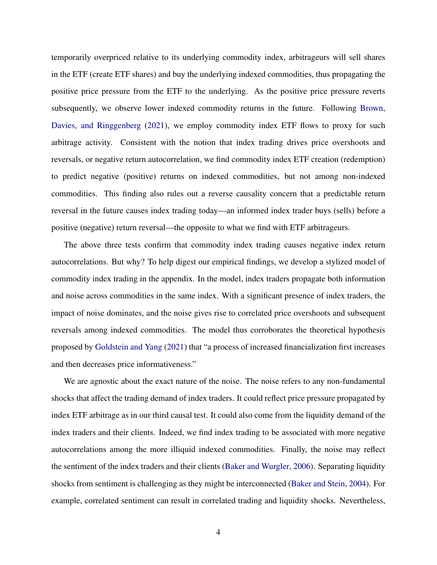temporarily overpriced relative to its underlying commodity index, arbitrageurs will sell shares in the ETF (create ETF shares) and buy the underlying indexed commodities, thus propagating the positive price pressure from the ETF to the underlying. As the positive price pressure reverts subsequently, we observe lower indexed commodity returns in the future. Following [Brown,](#page-35-0) [Davies, and Ringgenberg](#page-35-0) [\(2021\)](#page-35-0), we employ commodity index ETF flows to proxy for such arbitrage activity. Consistent with the notion that index trading drives price overshoots and reversals, or negative return autocorrelation, we find commodity index ETF creation (redemption) to predict negative (positive) returns on indexed commodities, but not among non-indexed commodities. This finding also rules out a reverse causality concern that a predictable return reversal in the future causes index trading today—an informed index trader buys (sells) before a positive (negative) return reversal—the opposite to what we find with ETF arbitrageurs.

The above three tests confirm that commodity index trading causes negative index return autocorrelations. But why? To help digest our empirical findings, we develop a stylized model of commodity index trading in the appendix. In the model, index traders propagate both information and noise across commodities in the same index. With a significant presence of index traders, the impact of noise dominates, and the noise gives rise to correlated price overshoots and subsequent reversals among indexed commodities. The model thus corroborates the theoretical hypothesis proposed by [Goldstein and Yang](#page-36-0) [\(2021\)](#page-36-0) that "a process of increased financialization first increases and then decreases price informativeness."

We are agnostic about the exact nature of the noise. The noise refers to any non-fundamental shocks that affect the trading demand of index traders. It could reflect price pressure propagated by index ETF arbitrage as in our third causal test. It could also come from the liquidity demand of the index traders and their clients. Indeed, we find index trading to be associated with more negative autocorrelations among the more illiquid indexed commodities. Finally, the noise may reflect the sentiment of the index traders and their clients [\(Baker and Wurgler,](#page-34-2) [2006\)](#page-34-2). Separating liquidity shocks from sentiment is challenging as they might be interconnected [\(Baker and Stein,](#page-34-3) [2004\)](#page-34-3). For example, correlated sentiment can result in correlated trading and liquidity shocks. Nevertheless,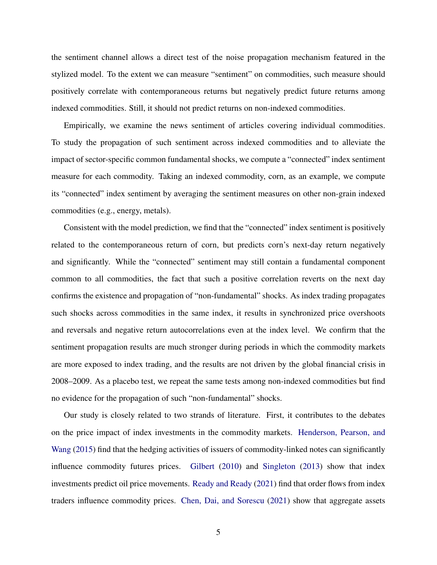the sentiment channel allows a direct test of the noise propagation mechanism featured in the stylized model. To the extent we can measure "sentiment" on commodities, such measure should positively correlate with contemporaneous returns but negatively predict future returns among indexed commodities. Still, it should not predict returns on non-indexed commodities.

Empirically, we examine the news sentiment of articles covering individual commodities. To study the propagation of such sentiment across indexed commodities and to alleviate the impact of sector-specific common fundamental shocks, we compute a "connected" index sentiment measure for each commodity. Taking an indexed commodity, corn, as an example, we compute its "connected" index sentiment by averaging the sentiment measures on other non-grain indexed commodities (e.g., energy, metals).

Consistent with the model prediction, we find that the "connected" index sentiment is positively related to the contemporaneous return of corn, but predicts corn's next-day return negatively and significantly. While the "connected" sentiment may still contain a fundamental component common to all commodities, the fact that such a positive correlation reverts on the next day confirms the existence and propagation of "non-fundamental" shocks. As index trading propagates such shocks across commodities in the same index, it results in synchronized price overshoots and reversals and negative return autocorrelations even at the index level. We confirm that the sentiment propagation results are much stronger during periods in which the commodity markets are more exposed to index trading, and the results are not driven by the global financial crisis in 2008–2009. As a placebo test, we repeat the same tests among non-indexed commodities but find no evidence for the propagation of such "non-fundamental" shocks.

Our study is closely related to two strands of literature. First, it contributes to the debates on the price impact of index investments in the commodity markets. [Henderson, Pearson, and](#page-36-2) [Wang](#page-36-2) [\(2015\)](#page-36-2) find that the hedging activities of issuers of commodity-linked notes can significantly influence commodity futures prices. [Gilbert](#page-36-3) [\(2010\)](#page-36-3) and [Singleton](#page-38-1) [\(2013\)](#page-38-1) show that index investments predict oil price movements. [Ready and Ready](#page-38-2) [\(2021\)](#page-38-2) find that order flows from index traders influence commodity prices. [Chen, Dai, and Sorescu](#page-35-1) [\(2021\)](#page-35-1) show that aggregate assets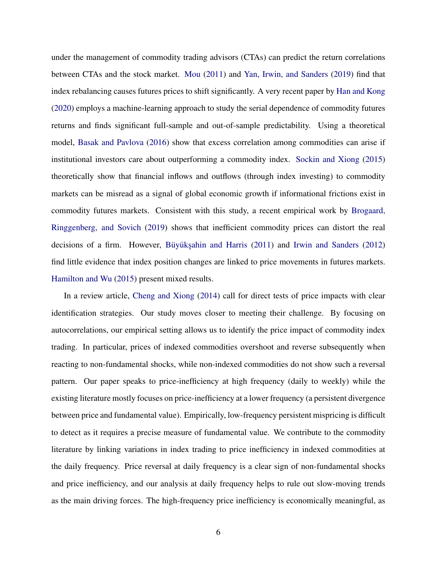under the management of commodity trading advisors (CTAs) can predict the return correlations between CTAs and the stock market. [Mou](#page-37-0) [\(2011\)](#page-37-0) and [Yan, Irwin, and Sanders](#page-38-3) [\(2019\)](#page-38-3) find that index rebalancing causes futures prices to shift significantly. A very recent paper by [Han and Kong](#page-36-4) [\(2020\)](#page-36-4) employs a machine-learning approach to study the serial dependence of commodity futures returns and finds significant full-sample and out-of-sample predictability. Using a theoretical model, [Basak and Pavlova](#page-34-0) [\(2016\)](#page-34-0) show that excess correlation among commodities can arise if institutional investors care about outperforming a commodity index. [Sockin and Xiong](#page-38-4) [\(2015\)](#page-38-4) theoretically show that financial inflows and outflows (through index investing) to commodity markets can be misread as a signal of global economic growth if informational frictions exist in commodity futures markets. Consistent with this study, a recent empirical work by [Brogaard,](#page-35-2) [Ringgenberg, and Sovich](#page-35-2) [\(2019\)](#page-35-2) shows that inefficient commodity prices can distort the real decisions of a firm. However, Büyükşahin and Harris  $(2011)$  and [Irwin and Sanders](#page-37-1)  $(2012)$ find little evidence that index position changes are linked to price movements in futures markets. [Hamilton and Wu](#page-36-5) [\(2015\)](#page-36-5) present mixed results.

In a review article, [Cheng and Xiong](#page-35-4) [\(2014\)](#page-35-4) call for direct tests of price impacts with clear identification strategies. Our study moves closer to meeting their challenge. By focusing on autocorrelations, our empirical setting allows us to identify the price impact of commodity index trading. In particular, prices of indexed commodities overshoot and reverse subsequently when reacting to non-fundamental shocks, while non-indexed commodities do not show such a reversal pattern. Our paper speaks to price-inefficiency at high frequency (daily to weekly) while the existing literature mostly focuses on price-inefficiency at a lower frequency (a persistent divergence between price and fundamental value). Empirically, low-frequency persistent mispricing is difficult to detect as it requires a precise measure of fundamental value. We contribute to the commodity literature by linking variations in index trading to price inefficiency in indexed commodities at the daily frequency. Price reversal at daily frequency is a clear sign of non-fundamental shocks and price inefficiency, and our analysis at daily frequency helps to rule out slow-moving trends as the main driving forces. The high-frequency price inefficiency is economically meaningful, as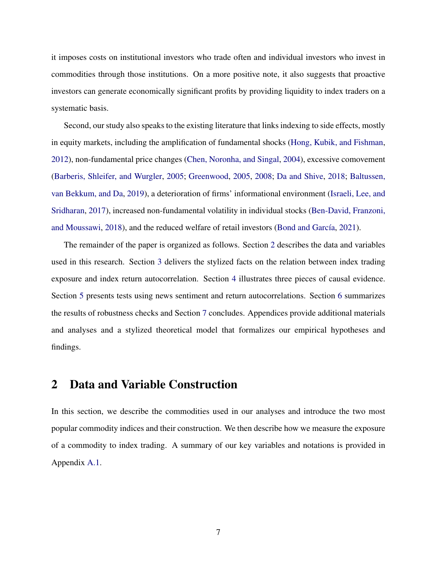it imposes costs on institutional investors who trade often and individual investors who invest in commodities through those institutions. On a more positive note, it also suggests that proactive investors can generate economically significant profits by providing liquidity to index traders on a systematic basis.

Second, our study also speaks to the existing literature that links indexing to side effects, mostly in equity markets, including the amplification of fundamental shocks [\(Hong, Kubik, and Fishman,](#page-37-2) [2012\)](#page-37-2), non-fundamental price changes [\(Chen, Noronha, and Singal,](#page-35-5) [2004\)](#page-35-5), excessive comovement [\(Barberis, Shleifer, and Wurgler,](#page-34-4) [2005;](#page-34-4) [Greenwood,](#page-36-6) [2005,](#page-36-6) [2008;](#page-36-1) [Da and Shive,](#page-36-7) [2018;](#page-36-7) [Baltussen,](#page-34-5) [van Bekkum, and Da,](#page-34-5) [2019\)](#page-34-5), a deterioration of firms' informational environment [\(Israeli, Lee, and](#page-37-3) [Sridharan,](#page-37-3) [2017\)](#page-37-3), increased non-fundamental volatility in individual stocks [\(Ben-David, Franzoni,](#page-35-6) [and Moussawi,](#page-35-6) [2018\)](#page-35-6), and the reduced welfare of retail investors (Bond and García, [2021\)](#page-35-7).

The remainder of the paper is organized as follows. Section [2](#page-8-0) describes the data and variables used in this research. Section [3](#page-12-0) delivers the stylized facts on the relation between index trading exposure and index return autocorrelation. Section [4](#page-17-0) illustrates three pieces of causal evidence. Section [5](#page-24-0) presents tests using news sentiment and return autocorrelations. Section [6](#page-29-0) summarizes the results of robustness checks and Section [7](#page-32-0) concludes. Appendices provide additional materials and analyses and a stylized theoretical model that formalizes our empirical hypotheses and findings.

# <span id="page-8-0"></span>2 Data and Variable Construction

In this section, we describe the commodities used in our analyses and introduce the two most popular commodity indices and their construction. We then describe how we measure the exposure of a commodity to index trading. A summary of our key variables and notations is provided in Appendix [A.1.](#page-52-0)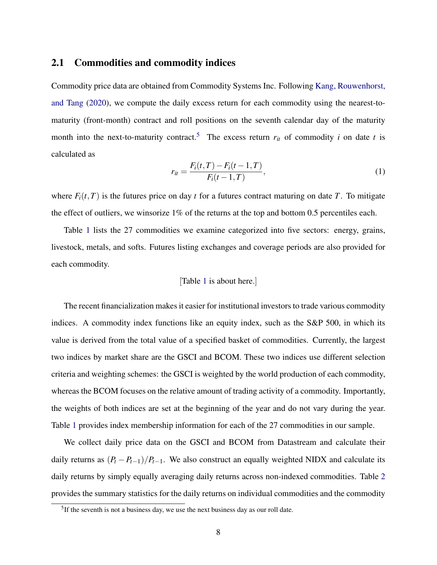## 2.1 Commodities and commodity indices

Commodity price data are obtained from Commodity Systems Inc. Following [Kang, Rouwenhorst,](#page-37-4) [and Tang](#page-37-4) [\(2020\)](#page-37-4), we compute the daily excess return for each commodity using the nearest-tomaturity (front-month) contract and roll positions on the seventh calendar day of the maturity month into the next-to-maturity contract.<sup>[5](#page-9-0)</sup> The excess return  $r_{it}$  of commodity *i* on date *t* is calculated as

$$
r_{it} = \frac{F_i(t, T) - F_i(t - 1, T)}{F_i(t - 1, T)},
$$
\n(1)

where  $F_i(t, T)$  is the futures price on day *t* for a futures contract maturing on date *T*. To mitigate the effect of outliers, we winsorize  $1\%$  of the returns at the top and bottom 0.5 percentiles each.

Table [1](#page-42-0) lists the 27 commodities we examine categorized into five sectors: energy, grains, livestock, metals, and softs. Futures listing exchanges and coverage periods are also provided for each commodity.

#### [Table [1](#page-42-0) is about here.]

The recent financialization makes it easier for institutional investors to trade various commodity indices. A commodity index functions like an equity index, such as the S&P 500, in which its value is derived from the total value of a specified basket of commodities. Currently, the largest two indices by market share are the GSCI and BCOM. These two indices use different selection criteria and weighting schemes: the GSCI is weighted by the world production of each commodity, whereas the BCOM focuses on the relative amount of trading activity of a commodity. Importantly, the weights of both indices are set at the beginning of the year and do not vary during the year. Table [1](#page-42-0) provides index membership information for each of the 27 commodities in our sample.

We collect daily price data on the GSCI and BCOM from Datastream and calculate their daily returns as  $(P_t - P_{t-1})/P_{t-1}$ . We also construct an equally weighted NIDX and calculate its daily returns by simply equally averaging daily returns across non-indexed commodities. Table [2](#page-43-0) provides the summary statistics for the daily returns on individual commodities and the commodity

<span id="page-9-0"></span> $<sup>5</sup>$ If the seventh is not a business day, we use the next business day as our roll date.</sup>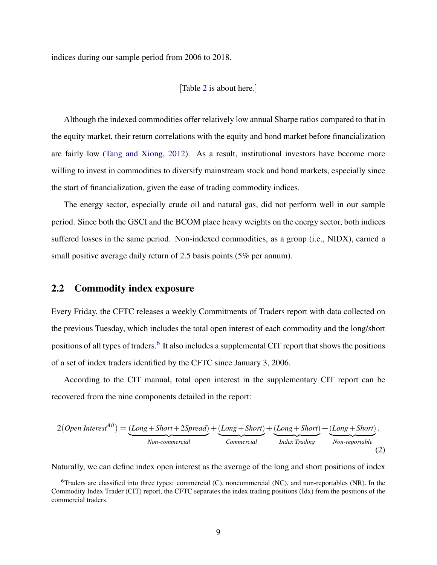indices during our sample period from 2006 to 2018.

#### [Table [2](#page-43-0) is about here.]

Although the indexed commodities offer relatively low annual Sharpe ratios compared to that in the equity market, their return correlations with the equity and bond market before financialization are fairly low [\(Tang and Xiong,](#page-38-0) [2012\)](#page-38-0). As a result, institutional investors have become more willing to invest in commodities to diversify mainstream stock and bond markets, especially since the start of financialization, given the ease of trading commodity indices.

The energy sector, especially crude oil and natural gas, did not perform well in our sample period. Since both the GSCI and the BCOM place heavy weights on the energy sector, both indices suffered losses in the same period. Non-indexed commodities, as a group (i.e., NIDX), earned a small positive average daily return of 2.5 basis points (5% per annum).

#### 2.2 Commodity index exposure

Every Friday, the CFTC releases a weekly Commitments of Traders report with data collected on the previous Tuesday, which includes the total open interest of each commodity and the long/short positions of all types of traders.<sup>[6](#page-10-0)</sup> It also includes a supplemental CIT report that shows the positions of a set of index traders identified by the CFTC since January 3, 2006.

According to the CIT manual, total open interest in the supplementary CIT report can be recovered from the nine components detailed in the report:

$$
2(Open\ Interest^{All}) = \underbrace{(Long + Short + 2Spread)}_{Non-commercial} + \underbrace{(Long + Short)}_{Commercial} + \underbrace{(Long + Short)}_{Index\ Trading} + \underbrace{(Long + Short)}_{Non-reportable}.
$$
 (2)

Naturally, we can define index open interest as the average of the long and short positions of index

<span id="page-10-0"></span><sup>&</sup>lt;sup>6</sup>Traders are classified into three types: commercial (C), noncommercial (NC), and non-reportables (NR). In the Commodity Index Trader (CIT) report, the CFTC separates the index trading positions (Idx) from the positions of the commercial traders.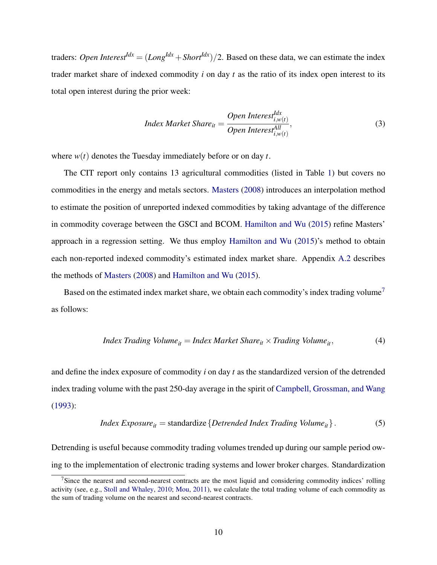traders: *Open Interest*<sup>*Idx*</sup> =  $(Long^{Idx} + Short^{Idx})/2$ . Based on these data, we can estimate the index trader market share of indexed commodity *i* on day *t* as the ratio of its index open interest to its total open interest during the prior week:

$$
Index Market\,Share_{it} = \frac{Open\,Interest_{i,w(t)}^{Idx}}{Open\,Interest_{i,w(t)}^{All}},
$$
\n(3)

where *w*(*t*) denotes the Tuesday immediately before or on day *t*.

The CIT report only contains 13 agricultural commodities (listed in Table [1\)](#page-42-0) but covers no commodities in the energy and metals sectors. [Masters](#page-37-5) [\(2008\)](#page-37-5) introduces an interpolation method to estimate the position of unreported indexed commodities by taking advantage of the difference in commodity coverage between the GSCI and BCOM. [Hamilton and Wu](#page-36-5) [\(2015\)](#page-36-5) refine Masters' approach in a regression setting. We thus employ [Hamilton and Wu](#page-36-5) [\(2015\)](#page-36-5)'s method to obtain each non-reported indexed commodity's estimated index market share. Appendix [A.2](#page-53-0) describes the methods of [Masters](#page-37-5) [\(2008\)](#page-37-5) and [Hamilton and Wu](#page-36-5) [\(2015\)](#page-36-5).

Based on the estimated index market share, we obtain each commodity's index trading volume<sup>[7](#page-11-0)</sup> as follows:

<span id="page-11-2"></span>
$$
Index Trading Volume_{it} = Index MarketShare_{it} \times Trading Volume_{it}, \tag{4}
$$

and define the index exposure of commodity *i* on day *t* as the standardized version of the detrended index trading volume with the past 250-day average in the spirit of [Campbell, Grossman, and Wang](#page-35-8) [\(1993\)](#page-35-8):

<span id="page-11-1"></span>
$$
Index Exposure_{it} = standardize\{Detrended Index Trading Volume_{it}\}.
$$
 (5)

Detrending is useful because commodity trading volumes trended up during our sample period owing to the implementation of electronic trading systems and lower broker charges. Standardization

<span id="page-11-0"></span><sup>&</sup>lt;sup>7</sup>Since the nearest and second-nearest contracts are the most liquid and considering commodity indices' rolling activity (see, e.g., [Stoll and Whaley,](#page-38-5) [2010;](#page-38-5) [Mou,](#page-37-0) [2011\)](#page-37-0), we calculate the total trading volume of each commodity as the sum of trading volume on the nearest and second-nearest contracts.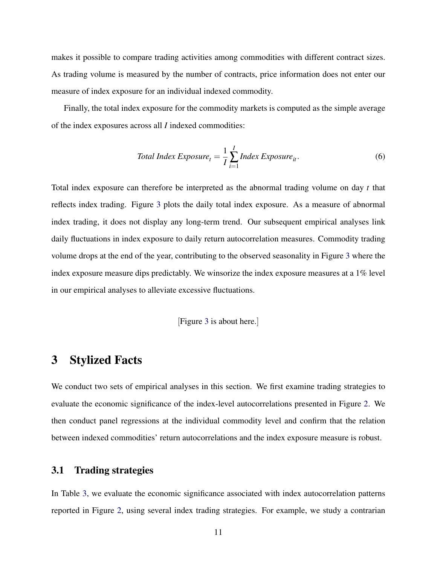makes it possible to compare trading activities among commodities with different contract sizes. As trading volume is measured by the number of contracts, price information does not enter our measure of index exposure for an individual indexed commodity.

Finally, the total index exposure for the commodity markets is computed as the simple average of the index exposures across all *I* indexed commodities:

Total Index Exposure<sub>t</sub> = 
$$
\frac{1}{I} \sum_{i=1}^{I}
$$
 Index Exposure<sub>it</sub>. (6)

Total index exposure can therefore be interpreted as the abnormal trading volume on day *t* that reflects index trading. Figure [3](#page-41-0) plots the daily total index exposure. As a measure of abnormal index trading, it does not display any long-term trend. Our subsequent empirical analyses link daily fluctuations in index exposure to daily return autocorrelation measures. Commodity trading volume drops at the end of the year, contributing to the observed seasonality in Figure [3](#page-41-0) where the index exposure measure dips predictably. We winsorize the index exposure measures at a 1% level in our empirical analyses to alleviate excessive fluctuations.

[Figure [3](#page-41-0) is about here.]

# <span id="page-12-0"></span>3 Stylized Facts

We conduct two sets of empirical analyses in this section. We first examine trading strategies to evaluate the economic significance of the index-level autocorrelations presented in Figure [2.](#page-40-0) We then conduct panel regressions at the individual commodity level and confirm that the relation between indexed commodities' return autocorrelations and the index exposure measure is robust.

# <span id="page-12-1"></span>3.1 Trading strategies

In Table [3,](#page-44-0) we evaluate the economic significance associated with index autocorrelation patterns reported in Figure [2,](#page-40-0) using several index trading strategies. For example, we study a contrarian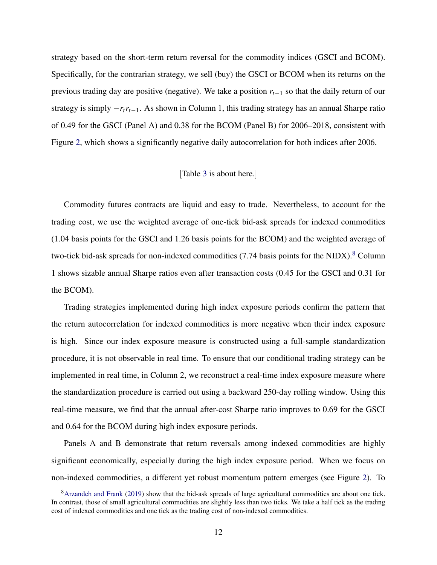strategy based on the short-term return reversal for the commodity indices (GSCI and BCOM). Specifically, for the contrarian strategy, we sell (buy) the GSCI or BCOM when its returns on the previous trading day are positive (negative). We take a position *rt*−<sup>1</sup> so that the daily return of our strategy is simply −*rtrt*−1. As shown in Column 1, this trading strategy has an annual Sharpe ratio of 0.49 for the GSCI (Panel A) and 0.38 for the BCOM (Panel B) for 2006–2018, consistent with Figure [2,](#page-40-0) which shows a significantly negative daily autocorrelation for both indices after 2006.

#### [Table [3](#page-44-0) is about here.]

Commodity futures contracts are liquid and easy to trade. Nevertheless, to account for the trading cost, we use the weighted average of one-tick bid-ask spreads for indexed commodities (1.04 basis points for the GSCI and 1.26 basis points for the BCOM) and the weighted average of two-tick bid-ask spreads for non-indexed commodities  $(7.74 \text{ basis points}$  for the NIDX).<sup>[8](#page-13-0)</sup> Column 1 shows sizable annual Sharpe ratios even after transaction costs (0.45 for the GSCI and 0.31 for the BCOM).

Trading strategies implemented during high index exposure periods confirm the pattern that the return autocorrelation for indexed commodities is more negative when their index exposure is high. Since our index exposure measure is constructed using a full-sample standardization procedure, it is not observable in real time. To ensure that our conditional trading strategy can be implemented in real time, in Column 2, we reconstruct a real-time index exposure measure where the standardization procedure is carried out using a backward 250-day rolling window. Using this real-time measure, we find that the annual after-cost Sharpe ratio improves to 0.69 for the GSCI and 0.64 for the BCOM during high index exposure periods.

Panels A and B demonstrate that return reversals among indexed commodities are highly significant economically, especially during the high index exposure period. When we focus on non-indexed commodities, a different yet robust momentum pattern emerges (see Figure [2\)](#page-40-0). To

<span id="page-13-0"></span><sup>8</sup>[Arzandeh and Frank](#page-34-6) [\(2019\)](#page-34-6) show that the bid-ask spreads of large agricultural commodities are about one tick. In contrast, those of small agricultural commodities are slightly less than two ticks. We take a half tick as the trading cost of indexed commodities and one tick as the trading cost of non-indexed commodities.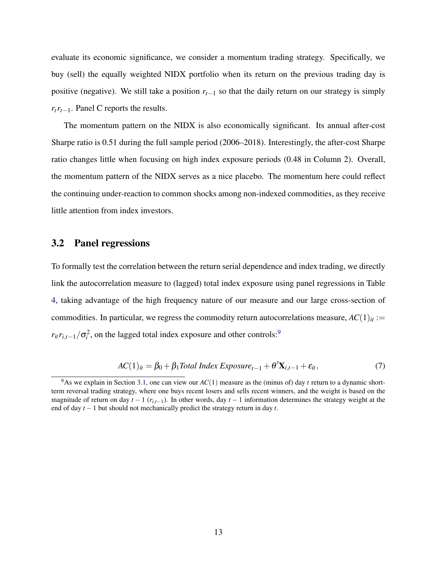evaluate its economic significance, we consider a momentum trading strategy. Specifically, we buy (sell) the equally weighted NIDX portfolio when its return on the previous trading day is positive (negative). We still take a position  $r_{t-1}$  so that the daily return on our strategy is simply *rtrt*−1. Panel C reports the results.

The momentum pattern on the NIDX is also economically significant. Its annual after-cost Sharpe ratio is 0.51 during the full sample period (2006–2018). Interestingly, the after-cost Sharpe ratio changes little when focusing on high index exposure periods (0.48 in Column 2). Overall, the momentum pattern of the NIDX serves as a nice placebo. The momentum here could reflect the continuing under-reaction to common shocks among non-indexed commodities, as they receive little attention from index investors.

### 3.2 Panel regressions

To formally test the correlation between the return serial dependence and index trading, we directly link the autocorrelation measure to (lagged) total index exposure using panel regressions in Table [4,](#page-45-0) taking advantage of the high frequency nature of our measure and our large cross-section of commodities. In particular, we regress the commodity return autocorrelations measure,  $AC(1)_{it}$  :=  $r_{it}r_{i,t-1}/\sigma_i^2$ , on the lagged total index exposure and other controls:<sup>[9](#page-14-0)</sup>

<span id="page-14-1"></span>
$$
AC(1)it = \beta_0 + \beta_1 Total Index Exposuret-1 + \theta' \mathbf{X}_{i,t-1} + \varepsilon_{it},
$$
\n(7)

<span id="page-14-0"></span><sup>&</sup>lt;sup>9</sup>As we explain in Section [3.1,](#page-12-1) one can view our  $AC(1)$  measure as the (minus of) day *t* return to a dynamic shortterm reversal trading strategy, where one buys recent losers and sells recent winners, and the weight is based on the magnitude of return on day  $t - 1$  ( $r_{i,t-1}$ ). In other words, day  $t - 1$  information determines the strategy weight at the end of day *t* −1 but should not mechanically predict the strategy return in day *t*.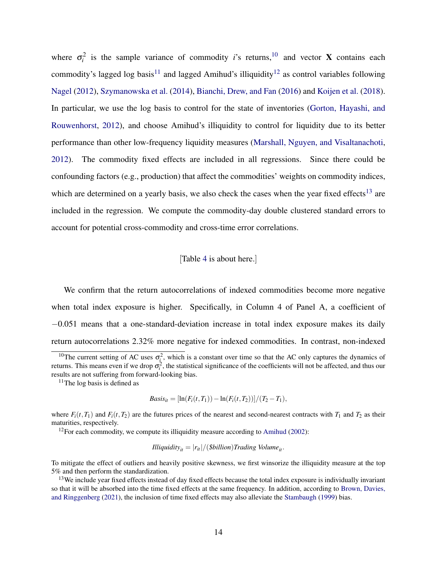where  $\sigma_i^2$  is the sample variance of commodity *i*'s returns,<sup>[10](#page-15-0)</sup> and vector **X** contains each commodity's lagged log basis<sup>[11](#page-15-1)</sup> and lagged Amihud's illiquidity<sup>[12](#page-15-2)</sup> as control variables following [Nagel](#page-37-6) [\(2012\)](#page-37-6), [Szymanowska et al.](#page-38-6) [\(2014\)](#page-38-6), [Bianchi, Drew, and Fan](#page-35-9) [\(2016\)](#page-35-9) and [Koijen et al.](#page-37-7) [\(2018\)](#page-37-7). In particular, we use the log basis to control for the state of inventories [\(Gorton, Hayashi, and](#page-36-8) [Rouwenhorst,](#page-36-8) [2012\)](#page-36-8), and choose Amihud's illiquidity to control for liquidity due to its better performance than other low-frequency liquidity measures [\(Marshall, Nguyen, and Visaltanachoti,](#page-37-8) [2012\)](#page-37-8). The commodity fixed effects are included in all regressions. Since there could be confounding factors (e.g., production) that affect the commodities' weights on commodity indices, which are determined on a yearly basis, we also check the cases when the year fixed effects<sup>[13](#page-15-3)</sup> are included in the regression. We compute the commodity-day double clustered standard errors to account for potential cross-commodity and cross-time error correlations.

[Table [4](#page-45-0) is about here.]

We confirm that the return autocorrelations of indexed commodities become more negative when total index exposure is higher. Specifically, in Column 4 of Panel A, a coefficient of −0.051 means that a one-standard-deviation increase in total index exposure makes its daily return autocorrelations 2.32% more negative for indexed commodities. In contrast, non-indexed

<span id="page-15-1"></span> $11$ The log basis is defined as

$$
Basis_{it} = [\ln(F_i(t, T_1)) - \ln(F_i(t, T_2))]/(T_2 - T_1),
$$

where  $F_i(t, T_1)$  and  $F_i(t, T_2)$  are the futures prices of the nearest and second-nearest contracts with  $T_1$  and  $T_2$  as their maturities, respectively.

<span id="page-15-2"></span> $12$  For each commodity, we compute its illiquidity measure according to [Amihud](#page-34-7) [\(2002\)](#page-34-7):

*Illiquidity*<sup>*it*</sup> =  $|r_{it}|/(8b$ *illion*)*Trading Volume*<sub>*it*</sub>.

To mitigate the effect of outliers and heavily positive skewness, we first winsorize the illiquidity measure at the top 5% and then perform the standardization.

<span id="page-15-0"></span><sup>&</sup>lt;sup>10</sup>The current setting of AC uses  $\sigma_i^2$ , which is a constant over time so that the AC only captures the dynamics of returns. This means even if we drop  $\sigma_i^2$ , the statistical significance of the coefficients will not be affected, and thus our results are not suffering from forward-looking bias.

<span id="page-15-3"></span><sup>&</sup>lt;sup>13</sup>We include year fixed effects instead of day fixed effects because the total index exposure is individually invariant so that it will be absorbed into the time fixed effects at the same frequency. In addition, according to [Brown, Davies,](#page-35-0) [and Ringgenberg](#page-35-0) [\(2021\)](#page-35-0), the inclusion of time fixed effects may also alleviate the [Stambaugh](#page-38-7) [\(1999\)](#page-38-7) bias.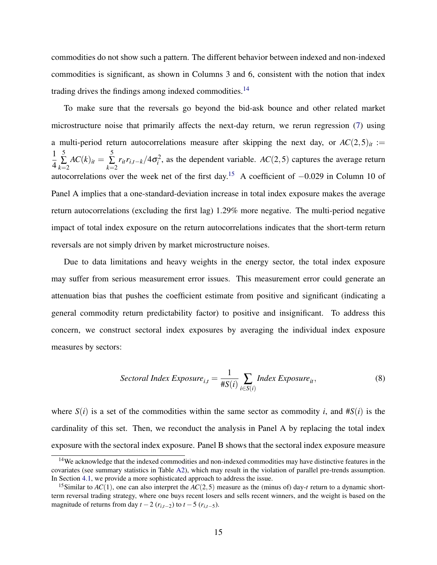commodities do not show such a pattern. The different behavior between indexed and non-indexed commodities is significant, as shown in Columns 3 and 6, consistent with the notion that index trading drives the findings among indexed commodities.[14](#page-16-0)

To make sure that the reversals go beyond the bid-ask bounce and other related market microstructure noise that primarily affects the next-day return, we rerun regression [\(7\)](#page-14-1) using a multi-period return autocorrelations measure after skipping the next day, or  $AC(2,5)<sub>it</sub> :=$ 1 4 5 ∑ *k*=2  $AC(k)_{it} = \sum_{i=1}^{5}$ ∑ *k*=2  $r_{it}r_{i,t-k}/4\sigma_i^2$ , as the dependent variable. *AC*(2,5) captures the average return autocorrelations over the week net of the first day.[15](#page-16-1) A coefficient of −0.029 in Column 10 of Panel A implies that a one-standard-deviation increase in total index exposure makes the average return autocorrelations (excluding the first lag) 1.29% more negative. The multi-period negative impact of total index exposure on the return autocorrelations indicates that the short-term return reversals are not simply driven by market microstructure noises.

Due to data limitations and heavy weights in the energy sector, the total index exposure may suffer from serious measurement error issues. This measurement error could generate an attenuation bias that pushes the coefficient estimate from positive and significant (indicating a general commodity return predictability factor) to positive and insignificant. To address this concern, we construct sectoral index exposures by averaging the individual index exposure measures by sectors:

$$
Section Index Exposure_{i,t} = \frac{1}{\#S(i)} \sum_{i \in S(i)} Index Exposure_{it},
$$
\n(8)

where  $S(i)$  is a set of the commodities within the same sector as commodity *i*, and  $\#S(i)$  is the cardinality of this set. Then, we reconduct the analysis in Panel A by replacing the total index exposure with the sectoral index exposure. Panel B shows that the sectoral index exposure measure

<span id="page-16-0"></span><sup>&</sup>lt;sup>14</sup>We acknowledge that the indexed commodities and non-indexed commodities may have distinctive features in the covariates (see summary statistics in Table [A2\)](#page-63-0), which may result in the violation of parallel pre-trends assumption. In Section [4.1,](#page-17-1) we provide a more sophisticated approach to address the issue.

<span id="page-16-1"></span><sup>&</sup>lt;sup>15</sup>Similar to *AC*(1), one can also interpret the *AC*(2,5) measure as the (minus of) day-*t* return to a dynamic shortterm reversal trading strategy, where one buys recent losers and sells recent winners, and the weight is based on the magnitude of returns from day  $t - 2$  ( $r_{i,t-2}$ ) to  $t - 5$  ( $r_{i,t-5}$ ).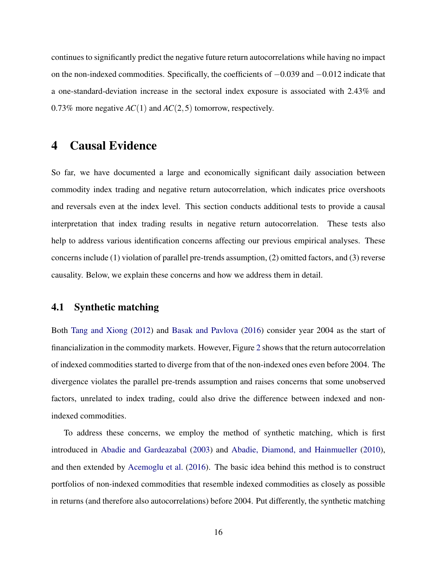continues to significantly predict the negative future return autocorrelations while having no impact on the non-indexed commodities. Specifically, the coefficients of −0.039 and −0.012 indicate that a one-standard-deviation increase in the sectoral index exposure is associated with 2.43% and 0.73% more negative *AC*(1) and *AC*(2,5) tomorrow, respectively.

# <span id="page-17-0"></span>4 Causal Evidence

So far, we have documented a large and economically significant daily association between commodity index trading and negative return autocorrelation, which indicates price overshoots and reversals even at the index level. This section conducts additional tests to provide a causal interpretation that index trading results in negative return autocorrelation. These tests also help to address various identification concerns affecting our previous empirical analyses. These concerns include (1) violation of parallel pre-trends assumption, (2) omitted factors, and (3) reverse causality. Below, we explain these concerns and how we address them in detail.

## <span id="page-17-1"></span>4.1 Synthetic matching

Both [Tang and Xiong](#page-38-0) [\(2012\)](#page-38-0) and [Basak and Pavlova](#page-34-0) [\(2016\)](#page-34-0) consider year 2004 as the start of financialization in the commodity markets. However, Figure [2](#page-40-0) shows that the return autocorrelation of indexed commodities started to diverge from that of the non-indexed ones even before 2004. The divergence violates the parallel pre-trends assumption and raises concerns that some unobserved factors, unrelated to index trading, could also drive the difference between indexed and nonindexed commodities.

To address these concerns, we employ the method of synthetic matching, which is first introduced in [Abadie and Gardeazabal](#page-34-8) [\(2003\)](#page-34-8) and [Abadie, Diamond, and Hainmueller](#page-34-9) [\(2010\)](#page-34-9), and then extended by [Acemoglu et al.](#page-34-1) [\(2016\)](#page-34-1). The basic idea behind this method is to construct portfolios of non-indexed commodities that resemble indexed commodities as closely as possible in returns (and therefore also autocorrelations) before 2004. Put differently, the synthetic matching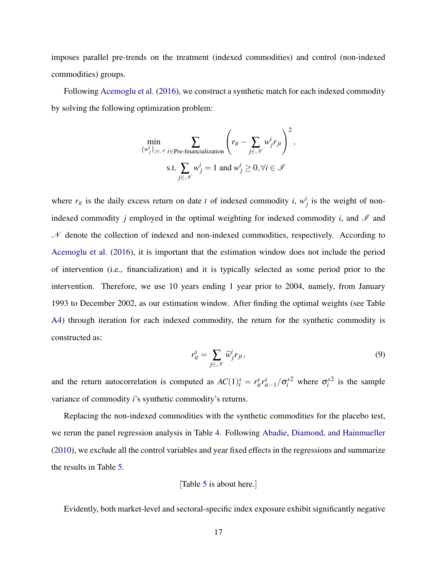imposes parallel pre-trends on the treatment (indexed commodities) and control (non-indexed commodities) groups.

Following [Acemoglu et al.](#page-34-1) [\(2016\)](#page-34-1), we construct a synthetic match for each indexed commodity by solving the following optimization problem:

$$
\min_{\{w_j^i\}_{j\in\mathcal{N}}} \sum_{t\in\text{Pre-financingalization}} \left(r_{it} - \sum_{j\in\mathcal{N}} w_j^i r_{jt}\right)^2,
$$
\n
$$
\text{s.t.} \sum_{j\in\mathcal{N}} w_j^i = 1 \text{ and } w_j^i \ge 0, \forall i \in\mathcal{I}
$$

where  $r_{it}$  is the daily excess return on date *t* of indexed commodity *i*,  $w_j^i$  is the weight of nonindexed commodity  $j$  employed in the optimal weighting for indexed commodity  $i$ , and  $\mathscr I$  and  $\mathcal N$  denote the collection of indexed and non-indexed commodities, respectively. According to [Acemoglu et al.](#page-34-1) [\(2016\)](#page-34-1), it is important that the estimation window does not include the period of intervention (i.e., financialization) and it is typically selected as some period prior to the intervention. Therefore, we use 10 years ending 1 year prior to 2004, namely, from January 1993 to December 2002, as our estimation window. After finding the optimal weights (see Table [A4\)](#page-64-0) through iteration for each indexed commodity, the return for the synthetic commodity is constructed as:

$$
r_{it}^s = \sum_{j \in \mathcal{N}} \widehat{w}_j^i r_{jt},\tag{9}
$$

and the return autocorrelation is computed as  $AC(1)^s_t = r^s_{it}r^s_{it-1}/\sigma^{s2}_i$  where  $\sigma^s_i$  $2$  is the sample variance of commodity *i*'s synthetic commodity's returns.

Replacing the non-indexed commodities with the synthetic commodities for the placebo test, we rerun the panel regression analysis in Table [4.](#page-45-0) Following [Abadie, Diamond, and Hainmueller](#page-34-9) [\(2010\)](#page-34-9), we exclude all the control variables and year fixed effects in the regressions and summarize the results in Table [5.](#page-47-0)

[Table [5](#page-47-0) is about here.]

Evidently, both market-level and sectoral-specific index exposure exhibit significantly negative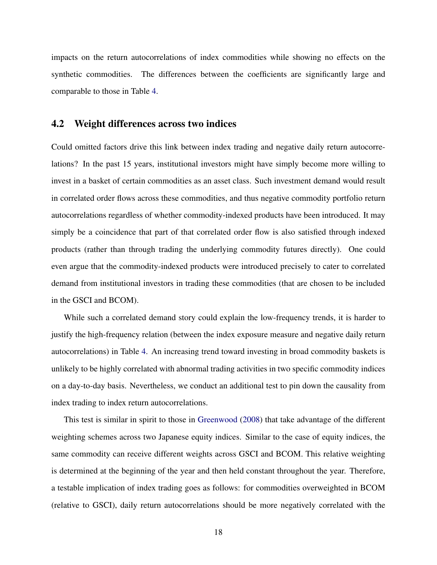impacts on the return autocorrelations of index commodities while showing no effects on the synthetic commodities. The differences between the coefficients are significantly large and comparable to those in Table [4.](#page-45-0)

## 4.2 Weight differences across two indices

Could omitted factors drive this link between index trading and negative daily return autocorrelations? In the past 15 years, institutional investors might have simply become more willing to invest in a basket of certain commodities as an asset class. Such investment demand would result in correlated order flows across these commodities, and thus negative commodity portfolio return autocorrelations regardless of whether commodity-indexed products have been introduced. It may simply be a coincidence that part of that correlated order flow is also satisfied through indexed products (rather than through trading the underlying commodity futures directly). One could even argue that the commodity-indexed products were introduced precisely to cater to correlated demand from institutional investors in trading these commodities (that are chosen to be included in the GSCI and BCOM).

While such a correlated demand story could explain the low-frequency trends, it is harder to justify the high-frequency relation (between the index exposure measure and negative daily return autocorrelations) in Table [4.](#page-45-0) An increasing trend toward investing in broad commodity baskets is unlikely to be highly correlated with abnormal trading activities in two specific commodity indices on a day-to-day basis. Nevertheless, we conduct an additional test to pin down the causality from index trading to index return autocorrelations.

This test is similar in spirit to those in [Greenwood](#page-36-1) [\(2008\)](#page-36-1) that take advantage of the different weighting schemes across two Japanese equity indices. Similar to the case of equity indices, the same commodity can receive different weights across GSCI and BCOM. This relative weighting is determined at the beginning of the year and then held constant throughout the year. Therefore, a testable implication of index trading goes as follows: for commodities overweighted in BCOM (relative to GSCI), daily return autocorrelations should be more negatively correlated with the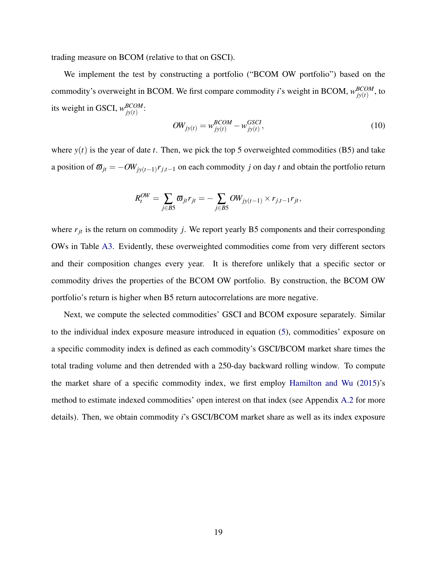trading measure on BCOM (relative to that on GSCI).

We implement the test by constructing a portfolio ("BCOM OW portfolio") based on the commodity's overweight in BCOM. We first compare commodity *i*'s weight in BCOM,  $w_{i v(t)}^{BCOM}$  $^{BCOM}_{jy(t)},$  to its weight in GSCI,  $W_{iv(t)}^{BCOM}$ *jy*(*t*) :

$$
OW_{jy(t)} = w_{jy(t)}^{BCOM} - w_{jy(t)}^{GSCI},
$$
\n(10)

where  $y(t)$  is the year of date *t*. Then, we pick the top 5 overweighted commodities (B5) and take a position of  $\bar{\omega}_{jt} = -OW_{jy(t-1)}r_{j,t-1}$  on each commodity *j* on day *t* and obtain the portfolio return

$$
R_t^{OW} = \sum_{j \in B5} \overline{\omega}_{jt} r_{jt} = -\sum_{j \in B5} OW_{jy(t-1)} \times r_{j,t-1} r_{jt},
$$

where  $r_{jt}$  is the return on commodity *j*. We report yearly B5 components and their corresponding OWs in Table [A3.](#page-64-1) Evidently, these overweighted commodities come from very different sectors and their composition changes every year. It is therefore unlikely that a specific sector or commodity drives the properties of the BCOM OW portfolio. By construction, the BCOM OW portfolio's return is higher when B5 return autocorrelations are more negative.

Next, we compute the selected commodities' GSCI and BCOM exposure separately. Similar to the individual index exposure measure introduced in equation [\(5\)](#page-11-1), commodities' exposure on a specific commodity index is defined as each commodity's GSCI/BCOM market share times the total trading volume and then detrended with a 250-day backward rolling window. To compute the market share of a specific commodity index, we first employ [Hamilton and Wu](#page-36-5) [\(2015\)](#page-36-5)'s method to estimate indexed commodities' open interest on that index (see Appendix [A.2](#page-53-0) for more details). Then, we obtain commodity *i*'s GSCI/BCOM market share as well as its index exposure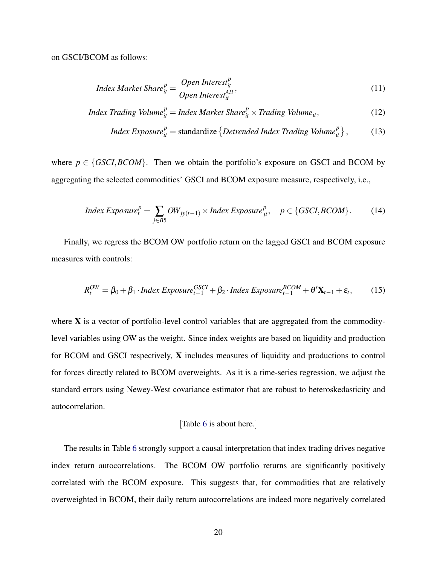on GSCI/BCOM as follows:

$$
Index Market\,Share_t^p = \frac{Open\,Interest_{it}^p}{Open\,Interest_{it}^{All}},\tag{11}
$$

$$
Index\ Trading\ Volume_{it}^{p} = Index\ Market\ Sharce_{it}^{p} \times Trading\ Volume_{it},\tag{12}
$$

$$
Index Exposure_{it}^{p} = standardize\left\{Detrended Index Trading Volume_{it}^{p}\right\},\qquad(13)
$$

where  $p \in \{GSCI, BCOM\}$ . Then we obtain the portfolio's exposure on GSCI and BCOM by aggregating the selected commodities' GSCI and BCOM exposure measure, respectively, i.e.,

$$
Index\,Exposure_t^p = \sum_{j \in BS} \mathit{OW}_{jy(t-1)} \times Index\,Exposure_{jt}^p, \quad p \in \{GSCI, BCOM\}. \tag{14}
$$

Finally, we regress the BCOM OW portfolio return on the lagged GSCI and BCOM exposure measures with controls:

$$
R_t^{OW} = \beta_0 + \beta_1 \cdot Index\,Exposure_{t-1}^{GSCI} + \beta_2 \cdot Index\,Exposure_{t-1}^{BCOM} + \theta' \mathbf{X}_{t-1} + \varepsilon_t,\tag{15}
$$

where  $X$  is a vector of portfolio-level control variables that are aggregated from the commoditylevel variables using OW as the weight. Since index weights are based on liquidity and production for BCOM and GSCI respectively, X includes measures of liquidity and productions to control for forces directly related to BCOM overweights. As it is a time-series regression, we adjust the standard errors using Newey-West covariance estimator that are robust to heteroskedasticity and autocorrelation.

#### [Table [6](#page-48-0) is about here.]

The results in Table [6](#page-48-0) strongly support a causal interpretation that index trading drives negative index return autocorrelations. The BCOM OW portfolio returns are significantly positively correlated with the BCOM exposure. This suggests that, for commodities that are relatively overweighted in BCOM, their daily return autocorrelations are indeed more negatively correlated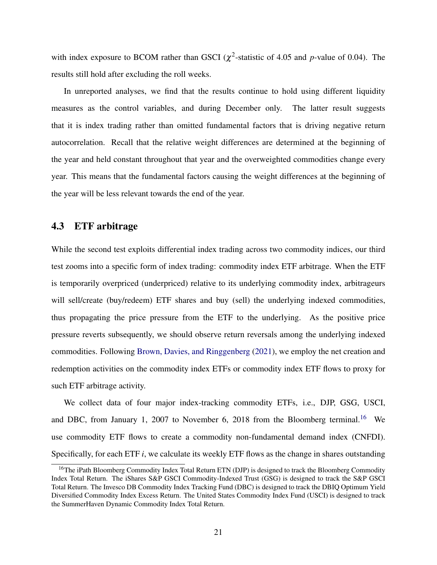with index exposure to BCOM rather than GSCI ( $\chi^2$ -statistic of 4.05 and *p*-value of 0.04). The results still hold after excluding the roll weeks.

In unreported analyses, we find that the results continue to hold using different liquidity measures as the control variables, and during December only. The latter result suggests that it is index trading rather than omitted fundamental factors that is driving negative return autocorrelation. Recall that the relative weight differences are determined at the beginning of the year and held constant throughout that year and the overweighted commodities change every year. This means that the fundamental factors causing the weight differences at the beginning of the year will be less relevant towards the end of the year.

## 4.3 ETF arbitrage

While the second test exploits differential index trading across two commodity indices, our third test zooms into a specific form of index trading: commodity index ETF arbitrage. When the ETF is temporarily overpriced (underpriced) relative to its underlying commodity index, arbitrageurs will sell/create (buy/redeem) ETF shares and buy (sell) the underlying indexed commodities, thus propagating the price pressure from the ETF to the underlying. As the positive price pressure reverts subsequently, we should observe return reversals among the underlying indexed commodities. Following [Brown, Davies, and Ringgenberg](#page-35-0) [\(2021\)](#page-35-0), we employ the net creation and redemption activities on the commodity index ETFs or commodity index ETF flows to proxy for such ETF arbitrage activity.

We collect data of four major index-tracking commodity ETFs, i.e., DJP, GSG, USCI, and DBC, from January 1, 2007 to November 6, 2018 from the Bloomberg terminal.<sup>[16](#page-22-0)</sup> We use commodity ETF flows to create a commodity non-fundamental demand index (CNFDI). Specifically, for each ETF *i*, we calculate its weekly ETF flows as the change in shares outstanding

<span id="page-22-0"></span><sup>&</sup>lt;sup>16</sup>The iPath Bloomberg Commodity Index Total Return ETN (DJP) is designed to track the Bloomberg Commodity Index Total Return. The iShares S&P GSCI Commodity-Indexed Trust (GSG) is designed to track the S&P GSCI Total Return. The Invesco DB Commodity Index Tracking Fund (DBC) is designed to track the DBIQ Optimum Yield Diversified Commodity Index Excess Return. The United States Commodity Index Fund (USCI) is designed to track the SummerHaven Dynamic Commodity Index Total Return.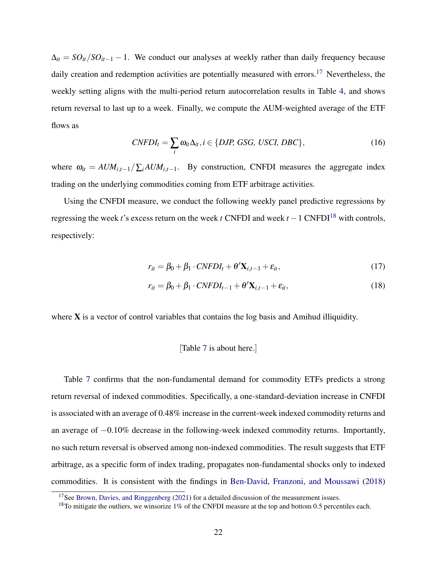$\Delta_{it} = SO_{it}/SO_{it-1} - 1$ . We conduct our analyses at weekly rather than daily frequency because daily creation and redemption activities are potentially measured with errors.<sup>[17](#page-23-0)</sup> Nevertheless, the weekly setting aligns with the multi-period return autocorrelation results in Table [4,](#page-45-0) and shows return reversal to last up to a week. Finally, we compute the AUM-weighted average of the ETF flows as

$$
CNFDI_t = \sum_i \omega_{it} \Delta_{it}, i \in \{DJP, GSG, USCI, DBC\},\tag{16}
$$

where  $\omega_{it} = A U M_{i,t-1} / \sum_{i} A U M_{i,t-1}$ . By construction, CNFDI measures the aggregate index trading on the underlying commodities coming from ETF arbitrage activities.

Using the CNFDI measure, we conduct the following weekly panel predictive regressions by regressing the week *t*'s excess return on the week *t* CNFDI and week  $t - 1$  CNFDI<sup>[18](#page-23-1)</sup> with controls, respectively:

$$
r_{it} = \beta_0 + \beta_1 \cdot CNFDI_t + \theta' \mathbf{X}_{i,t-1} + \varepsilon_{it},\tag{17}
$$

$$
r_{it} = \beta_0 + \beta_1 \cdot CNFDI_{t-1} + \theta' \mathbf{X}_{i,t-1} + \varepsilon_{it},
$$
\n(18)

where  $X$  is a vector of control variables that contains the log basis and Amihud illiquidity.

#### [Table [7](#page-49-0) is about here.]

Table [7](#page-49-0) confirms that the non-fundamental demand for commodity ETFs predicts a strong return reversal of indexed commodities. Specifically, a one-standard-deviation increase in CNFDI is associated with an average of 0.48% increase in the current-week indexed commodity returns and an average of −0.10% decrease in the following-week indexed commodity returns. Importantly, no such return reversal is observed among non-indexed commodities. The result suggests that ETF arbitrage, as a specific form of index trading, propagates non-fundamental shocks only to indexed commodities. It is consistent with the findings in [Ben-David, Franzoni, and Moussawi](#page-35-6) [\(2018\)](#page-35-6)

<span id="page-23-0"></span> $17$ See [Brown, Davies, and Ringgenberg](#page-35-0) [\(2021\)](#page-35-0) for a detailed discussion of the measurement issues.

<span id="page-23-1"></span><sup>&</sup>lt;sup>18</sup>To mitigate the outliers, we winsorize 1% of the CNFDI measure at the top and bottom 0.5 percentiles each.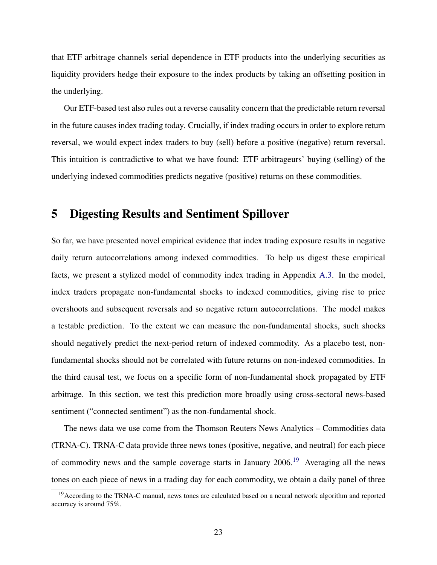that ETF arbitrage channels serial dependence in ETF products into the underlying securities as liquidity providers hedge their exposure to the index products by taking an offsetting position in the underlying.

Our ETF-based test also rules out a reverse causality concern that the predictable return reversal in the future causes index trading today. Crucially, if index trading occurs in order to explore return reversal, we would expect index traders to buy (sell) before a positive (negative) return reversal. This intuition is contradictive to what we have found: ETF arbitrageurs' buying (selling) of the underlying indexed commodities predicts negative (positive) returns on these commodities.

# <span id="page-24-0"></span>5 Digesting Results and Sentiment Spillover

So far, we have presented novel empirical evidence that index trading exposure results in negative daily return autocorrelations among indexed commodities. To help us digest these empirical facts, we present a stylized model of commodity index trading in Appendix [A.3.](#page-55-0) In the model, index traders propagate non-fundamental shocks to indexed commodities, giving rise to price overshoots and subsequent reversals and so negative return autocorrelations. The model makes a testable prediction. To the extent we can measure the non-fundamental shocks, such shocks should negatively predict the next-period return of indexed commodity. As a placebo test, nonfundamental shocks should not be correlated with future returns on non-indexed commodities. In the third causal test, we focus on a specific form of non-fundamental shock propagated by ETF arbitrage. In this section, we test this prediction more broadly using cross-sectoral news-based sentiment ("connected sentiment") as the non-fundamental shock.

The news data we use come from the Thomson Reuters News Analytics – Commodities data (TRNA-C). TRNA-C data provide three news tones (positive, negative, and neutral) for each piece of commodity news and the sample coverage starts in January 2006.[19](#page-24-1) Averaging all the news tones on each piece of news in a trading day for each commodity, we obtain a daily panel of three

<span id="page-24-1"></span><sup>&</sup>lt;sup>19</sup>According to the TRNA-C manual, news tones are calculated based on a neural network algorithm and reported accuracy is around 75%.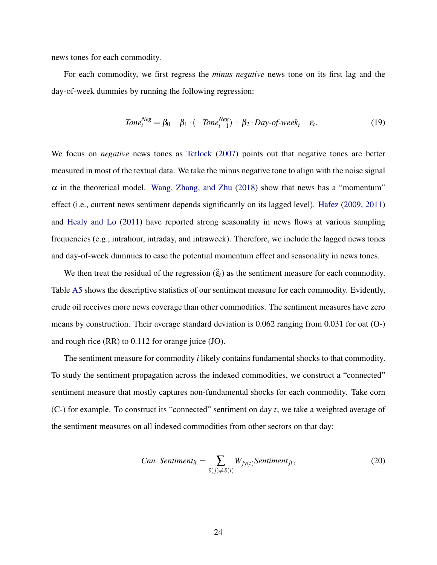news tones for each commodity.

For each commodity, we first regress the *minus negative* news tone on its first lag and the day-of-week dummies by running the following regression:

$$
-Tone_t^{Neg} = \beta_0 + \beta_1 \cdot (-Tone_{t-1}^{Neg}) + \beta_2 \cdot Day\text{-}of\text{-}week_t + \varepsilon_t. \tag{19}
$$

We focus on *negative* news tones as [Tetlock](#page-38-8) [\(2007\)](#page-38-8) points out that negative tones are better measured in most of the textual data. We take the minus negative tone to align with the noise signal  $\alpha$  in the theoretical model. [Wang, Zhang, and Zhu](#page-38-9) [\(2018\)](#page-38-9) show that news has a "momentum" effect (i.e., current news sentiment depends significantly on its lagged level). [Hafez](#page-36-9) [\(2009,](#page-36-9) [2011\)](#page-36-10) and [Healy and Lo](#page-36-11) [\(2011\)](#page-36-11) have reported strong seasonality in news flows at various sampling frequencies (e.g., intrahour, intraday, and intraweek). Therefore, we include the lagged news tones and day-of-week dummies to ease the potential momentum effect and seasonality in news tones.

We then treat the residual of the regression  $(\widehat{\epsilon}_t)$  as the sentiment measure for each commodity. Table [A5](#page-65-0) shows the descriptive statistics of our sentiment measure for each commodity. Evidently, crude oil receives more news coverage than other commodities. The sentiment measures have zero means by construction. Their average standard deviation is 0.062 ranging from 0.031 for oat (O-) and rough rice (RR) to 0.112 for orange juice (JO).

The sentiment measure for commodity *i* likely contains fundamental shocks to that commodity. To study the sentiment propagation across the indexed commodities, we construct a "connected" sentiment measure that mostly captures non-fundamental shocks for each commodity. Take corn (C-) for example. To construct its "connected" sentiment on day *t*, we take a weighted average of the sentiment measures on all indexed commodities from other sectors on that day:

*Ann. Sentiment<sub>it</sub>* = 
$$
\sum_{S(j) \neq S(i)} W_{jy(t)} \text{Sentiment}_{jt},
$$
 (20)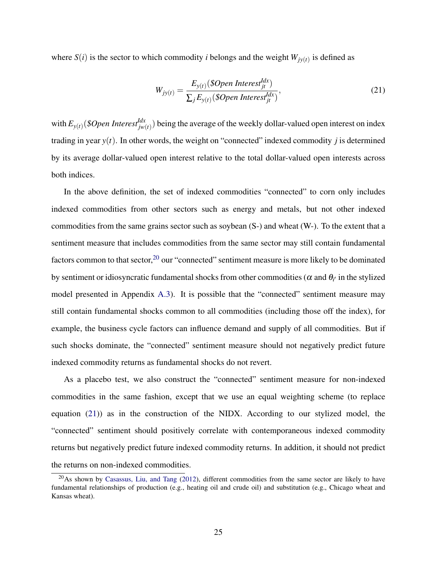where  $S(i)$  is the sector to which commodity *i* belongs and the weight  $W_{jy(t)}$  is defined as

<span id="page-26-1"></span>
$$
W_{jy(t)} = \frac{E_{y(t)}(\$Open\ Interest_{jt}^{Idx})}{\sum_{j} E_{y(t)}(\$Open\ Interest_{jt}^{Idx})},
$$
\n(21)

with  $E_{y(t)}$  (\$*Open Interest<sup>Idx</sup>*<sub>jw</sub>(*t*)</sub>) being the average of the weekly dollar-valued open interest on index trading in year *y*(*t*). In other words, the weight on "connected" indexed commodity *j* is determined by its average dollar-valued open interest relative to the total dollar-valued open interests across both indices.

In the above definition, the set of indexed commodities "connected" to corn only includes indexed commodities from other sectors such as energy and metals, but not other indexed commodities from the same grains sector such as soybean (S-) and wheat (W-). To the extent that a sentiment measure that includes commodities from the same sector may still contain fundamental factors common to that sector,  $20$  our "connected" sentiment measure is more likely to be dominated by sentiment or idiosyncratic fundamental shocks from other commodities ( $\alpha$  and  $\theta_{i'}$  in the stylized model presented in Appendix [A.3\)](#page-55-0). It is possible that the "connected" sentiment measure may still contain fundamental shocks common to all commodities (including those off the index), for example, the business cycle factors can influence demand and supply of all commodities. But if such shocks dominate, the "connected" sentiment measure should not negatively predict future indexed commodity returns as fundamental shocks do not revert.

As a placebo test, we also construct the "connected" sentiment measure for non-indexed commodities in the same fashion, except that we use an equal weighting scheme (to replace equation [\(21\)](#page-26-1)) as in the construction of the NIDX. According to our stylized model, the "connected" sentiment should positively correlate with contemporaneous indexed commodity returns but negatively predict future indexed commodity returns. In addition, it should not predict the returns on non-indexed commodities.

<span id="page-26-0"></span> $^{20}$ As shown by [Casassus, Liu, and Tang](#page-35-10) [\(2012\)](#page-35-10), different commodities from the same sector are likely to have fundamental relationships of production (e.g., heating oil and crude oil) and substitution (e.g., Chicago wheat and Kansas wheat).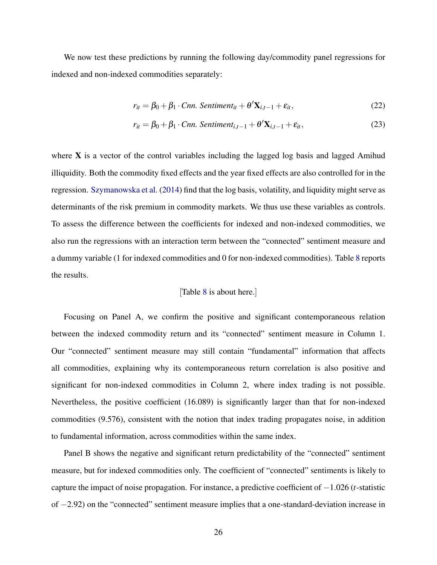We now test these predictions by running the following day/commodity panel regressions for indexed and non-indexed commodities separately:

$$
r_{it} = \beta_0 + \beta_1 \cdot \text{Cnn. Sentiment}_{it} + \theta' \mathbf{X}_{i,t-1} + \varepsilon_{it}, \qquad (22)
$$

$$
r_{it} = \beta_0 + \beta_1 \cdot \text{Cnn. Sentiment}_{i,t-1} + \theta' \mathbf{X}_{i,t-1} + \varepsilon_{it},\tag{23}
$$

where **X** is a vector of the control variables including the lagged log basis and lagged Amihud illiquidity. Both the commodity fixed effects and the year fixed effects are also controlled for in the regression. [Szymanowska et al.](#page-38-6) [\(2014\)](#page-38-6) find that the log basis, volatility, and liquidity might serve as determinants of the risk premium in commodity markets. We thus use these variables as controls. To assess the difference between the coefficients for indexed and non-indexed commodities, we also run the regressions with an interaction term between the "connected" sentiment measure and a dummy variable (1 for indexed commodities and 0 for non-indexed commodities). Table [8](#page-50-0) reports the results.

#### [Table [8](#page-50-0) is about here.]

Focusing on Panel A, we confirm the positive and significant contemporaneous relation between the indexed commodity return and its "connected" sentiment measure in Column 1. Our "connected" sentiment measure may still contain "fundamental" information that affects all commodities, explaining why its contemporaneous return correlation is also positive and significant for non-indexed commodities in Column 2, where index trading is not possible. Nevertheless, the positive coefficient (16.089) is significantly larger than that for non-indexed commodities (9.576), consistent with the notion that index trading propagates noise, in addition to fundamental information, across commodities within the same index.

Panel B shows the negative and significant return predictability of the "connected" sentiment measure, but for indexed commodities only. The coefficient of "connected" sentiments is likely to capture the impact of noise propagation. For instance, a predictive coefficient of −1.026 (*t*-statistic of −2.92) on the "connected" sentiment measure implies that a one-standard-deviation increase in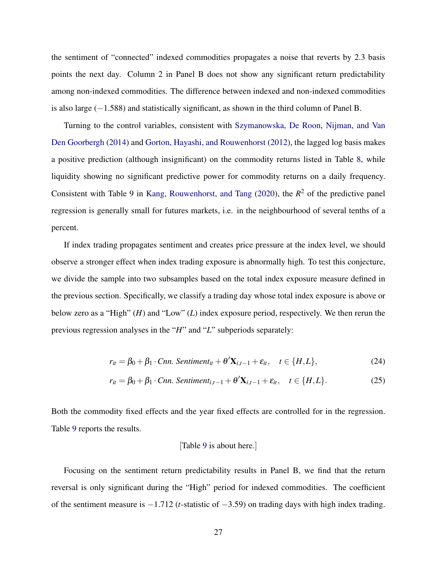the sentiment of "connected" indexed commodities propagates a noise that reverts by 2.3 basis points the next day. Column 2 in Panel B does not show any significant return predictability among non-indexed commodities. The difference between indexed and non-indexed commodities is also large (−1.588) and statistically significant, as shown in the third column of Panel B.

Turning to the control variables, consistent with [Szymanowska, De Roon, Nijman, and Van](#page-38-6) [Den Goorbergh](#page-38-6) [\(2014\)](#page-38-6) and [Gorton, Hayashi, and Rouwenhorst](#page-36-8) [\(2012\)](#page-36-8), the lagged log basis makes a positive prediction (although insignificant) on the commodity returns listed in Table [8,](#page-50-0) while liquidity showing no significant predictive power for commodity returns on a daily frequency. Consistent with Table 9 in [Kang, Rouwenhorst, and Tang](#page-37-4) [\(2020\)](#page-37-4), the  $R^2$  of the predictive panel regression is generally small for futures markets, i.e. in the neighbourhood of several tenths of a percent.

If index trading propagates sentiment and creates price pressure at the index level, we should observe a stronger effect when index trading exposure is abnormally high. To test this conjecture, we divide the sample into two subsamples based on the total index exposure measure defined in the previous section. Specifically, we classify a trading day whose total index exposure is above or below zero as a "High" (*H*) and "Low" (*L*) index exposure period, respectively. We then rerun the previous regression analyses in the "*H*" and "*L*" subperiods separately:

$$
r_{it} = \beta_0 + \beta_1 \cdot \text{Cnn. Sentiment}_{it} + \theta' \mathbf{X}_{i,t-1} + \varepsilon_{it}, \quad t \in \{H, L\},\tag{24}
$$

$$
r_{it} = \beta_0 + \beta_1 \cdot \text{Cnn. Sentiment}_{i,t-1} + \theta' \mathbf{X}_{i,t-1} + \varepsilon_{it}, \quad t \in \{H, L\}. \tag{25}
$$

Both the commodity fixed effects and the year fixed effects are controlled for in the regression. Table [9](#page-51-0) reports the results.

#### [Table [9](#page-51-0) is about here.]

Focusing on the sentiment return predictability results in Panel B, we find that the return reversal is only significant during the "High" period for indexed commodities. The coefficient of the sentiment measure is −1.712 (*t*-statistic of −3.59) on trading days with high index trading.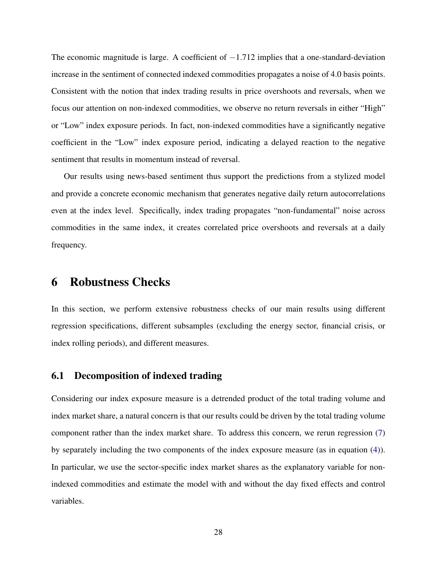The economic magnitude is large. A coefficient of  $-1.712$  implies that a one-standard-deviation increase in the sentiment of connected indexed commodities propagates a noise of 4.0 basis points. Consistent with the notion that index trading results in price overshoots and reversals, when we focus our attention on non-indexed commodities, we observe no return reversals in either "High" or "Low" index exposure periods. In fact, non-indexed commodities have a significantly negative coefficient in the "Low" index exposure period, indicating a delayed reaction to the negative sentiment that results in momentum instead of reversal.

Our results using news-based sentiment thus support the predictions from a stylized model and provide a concrete economic mechanism that generates negative daily return autocorrelations even at the index level. Specifically, index trading propagates "non-fundamental" noise across commodities in the same index, it creates correlated price overshoots and reversals at a daily frequency.

# <span id="page-29-0"></span>6 Robustness Checks

In this section, we perform extensive robustness checks of our main results using different regression specifications, different subsamples (excluding the energy sector, financial crisis, or index rolling periods), and different measures.

## 6.1 Decomposition of indexed trading

Considering our index exposure measure is a detrended product of the total trading volume and index market share, a natural concern is that our results could be driven by the total trading volume component rather than the index market share. To address this concern, we rerun regression [\(7\)](#page-14-1) by separately including the two components of the index exposure measure (as in equation [\(4\)](#page-11-2)). In particular, we use the sector-specific index market shares as the explanatory variable for nonindexed commodities and estimate the model with and without the day fixed effects and control variables.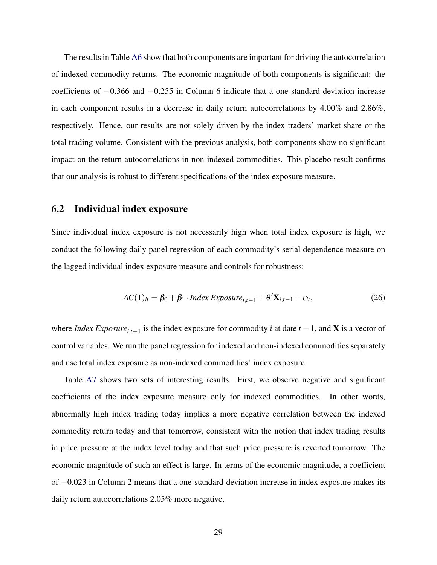The results in Table [A6](#page-66-0) show that both components are important for driving the autocorrelation of indexed commodity returns. The economic magnitude of both components is significant: the coefficients of −0.366 and −0.255 in Column 6 indicate that a one-standard-deviation increase in each component results in a decrease in daily return autocorrelations by 4.00% and 2.86%, respectively. Hence, our results are not solely driven by the index traders' market share or the total trading volume. Consistent with the previous analysis, both components show no significant impact on the return autocorrelations in non-indexed commodities. This placebo result confirms that our analysis is robust to different specifications of the index exposure measure.

## 6.2 Individual index exposure

Since individual index exposure is not necessarily high when total index exposure is high, we conduct the following daily panel regression of each commodity's serial dependence measure on the lagged individual index exposure measure and controls for robustness:

$$
AC(1)it = \beta_0 + \beta_1 \cdot Index\,Exposure_{i,t-1} + \theta' \mathbf{X}_{i,t-1} + \varepsilon_{it},
$$
\n(26)

where *Index Exposure*<sub>*i*, $t$ </sub> is the index exposure for commodity *i* at date  $t - 1$ , and **X** is a vector of control variables. We run the panel regression for indexed and non-indexed commodities separately and use total index exposure as non-indexed commodities' index exposure.

Table [A7](#page-67-0) shows two sets of interesting results. First, we observe negative and significant coefficients of the index exposure measure only for indexed commodities. In other words, abnormally high index trading today implies a more negative correlation between the indexed commodity return today and that tomorrow, consistent with the notion that index trading results in price pressure at the index level today and that such price pressure is reverted tomorrow. The economic magnitude of such an effect is large. In terms of the economic magnitude, a coefficient of −0.023 in Column 2 means that a one-standard-deviation increase in index exposure makes its daily return autocorrelations 2.05% more negative.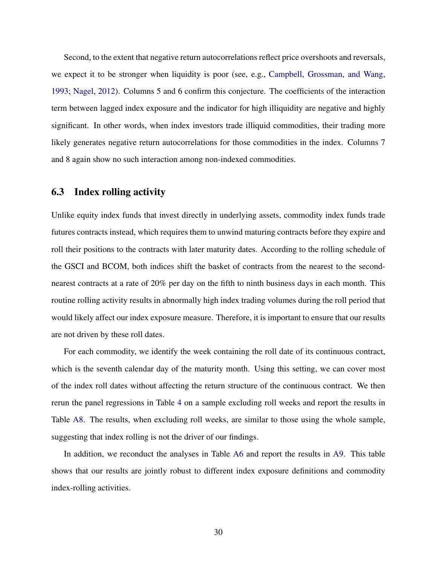Second, to the extent that negative return autocorrelations reflect price overshoots and reversals, we expect it to be stronger when liquidity is poor (see, e.g., [Campbell, Grossman, and Wang,](#page-35-8) [1993;](#page-35-8) [Nagel,](#page-37-6) [2012\)](#page-37-6). Columns 5 and 6 confirm this conjecture. The coefficients of the interaction term between lagged index exposure and the indicator for high illiquidity are negative and highly significant. In other words, when index investors trade illiquid commodities, their trading more likely generates negative return autocorrelations for those commodities in the index. Columns 7 and 8 again show no such interaction among non-indexed commodities.

# 6.3 Index rolling activity

Unlike equity index funds that invest directly in underlying assets, commodity index funds trade futures contracts instead, which requires them to unwind maturing contracts before they expire and roll their positions to the contracts with later maturity dates. According to the rolling schedule of the GSCI and BCOM, both indices shift the basket of contracts from the nearest to the secondnearest contracts at a rate of 20% per day on the fifth to ninth business days in each month. This routine rolling activity results in abnormally high index trading volumes during the roll period that would likely affect our index exposure measure. Therefore, it is important to ensure that our results are not driven by these roll dates.

For each commodity, we identify the week containing the roll date of its continuous contract, which is the seventh calendar day of the maturity month. Using this setting, we can cover most of the index roll dates without affecting the return structure of the continuous contract. We then rerun the panel regressions in Table [4](#page-45-0) on a sample excluding roll weeks and report the results in Table [A8.](#page-68-0) The results, when excluding roll weeks, are similar to those using the whole sample, suggesting that index rolling is not the driver of our findings.

In addition, we reconduct the analyses in Table [A6](#page-66-0) and report the results in [A9.](#page-70-0) This table shows that our results are jointly robust to different index exposure definitions and commodity index-rolling activities.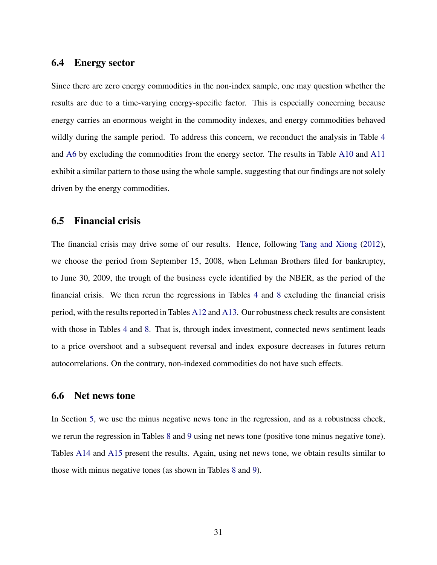## 6.4 Energy sector

Since there are zero energy commodities in the non-index sample, one may question whether the results are due to a time-varying energy-specific factor. This is especially concerning because energy carries an enormous weight in the commodity indexes, and energy commodities behaved wildly during the sample period. To address this concern, we reconduct the analysis in Table [4](#page-45-0) and [A6](#page-66-0) by excluding the commodities from the energy sector. The results in Table [A10](#page-71-0) and [A11](#page-73-0) exhibit a similar pattern to those using the whole sample, suggesting that our findings are not solely driven by the energy commodities.

## 6.5 Financial crisis

The financial crisis may drive some of our results. Hence, following [Tang and Xiong](#page-38-0) [\(2012\)](#page-38-0), we choose the period from September 15, 2008, when Lehman Brothers filed for bankruptcy, to June 30, 2009, the trough of the business cycle identified by the NBER, as the period of the financial crisis. We then rerun the regressions in Tables [4](#page-45-0) and [8](#page-50-0) excluding the financial crisis period, with the results reported in Tables [A12](#page-74-0) and [A13.](#page-76-0) Our robustness check results are consistent with those in Tables [4](#page-45-0) and [8.](#page-50-0) That is, through index investment, connected news sentiment leads to a price overshoot and a subsequent reversal and index exposure decreases in futures return autocorrelations. On the contrary, non-indexed commodities do not have such effects.

#### 6.6 Net news tone

<span id="page-32-0"></span>In Section [5,](#page-24-0) we use the minus negative news tone in the regression, and as a robustness check, we rerun the regression in Tables [8](#page-50-0) and [9](#page-51-0) using net news tone (positive tone minus negative tone). Tables [A14](#page-77-0) and [A15](#page-78-0) present the results. Again, using net news tone, we obtain results similar to those with minus negative tones (as shown in Tables [8](#page-50-0) and [9\)](#page-51-0).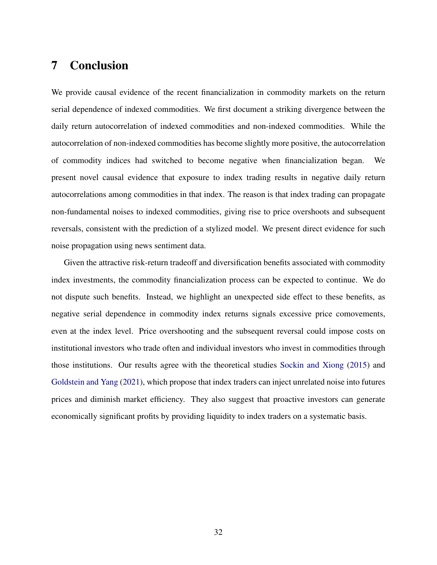# 7 Conclusion

We provide causal evidence of the recent financialization in commodity markets on the return serial dependence of indexed commodities. We first document a striking divergence between the daily return autocorrelation of indexed commodities and non-indexed commodities. While the autocorrelation of non-indexed commodities has become slightly more positive, the autocorrelation of commodity indices had switched to become negative when financialization began. We present novel causal evidence that exposure to index trading results in negative daily return autocorrelations among commodities in that index. The reason is that index trading can propagate non-fundamental noises to indexed commodities, giving rise to price overshoots and subsequent reversals, consistent with the prediction of a stylized model. We present direct evidence for such noise propagation using news sentiment data.

Given the attractive risk-return tradeoff and diversification benefits associated with commodity index investments, the commodity financialization process can be expected to continue. We do not dispute such benefits. Instead, we highlight an unexpected side effect to these benefits, as negative serial dependence in commodity index returns signals excessive price comovements, even at the index level. Price overshooting and the subsequent reversal could impose costs on institutional investors who trade often and individual investors who invest in commodities through those institutions. Our results agree with the theoretical studies [Sockin and Xiong](#page-38-4) [\(2015\)](#page-38-4) and [Goldstein and Yang](#page-36-0) [\(2021\)](#page-36-0), which propose that index traders can inject unrelated noise into futures prices and diminish market efficiency. They also suggest that proactive investors can generate economically significant profits by providing liquidity to index traders on a systematic basis.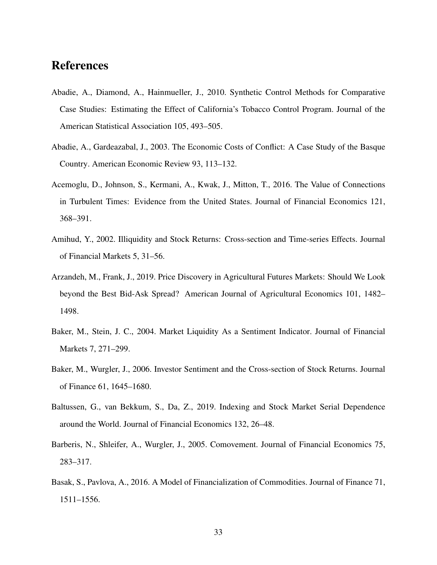# References

- <span id="page-34-9"></span>Abadie, A., Diamond, A., Hainmueller, J., 2010. Synthetic Control Methods for Comparative Case Studies: Estimating the Effect of California's Tobacco Control Program. Journal of the American Statistical Association 105, 493–505.
- <span id="page-34-8"></span>Abadie, A., Gardeazabal, J., 2003. The Economic Costs of Conflict: A Case Study of the Basque Country. American Economic Review 93, 113–132.
- <span id="page-34-1"></span>Acemoglu, D., Johnson, S., Kermani, A., Kwak, J., Mitton, T., 2016. The Value of Connections in Turbulent Times: Evidence from the United States. Journal of Financial Economics 121, 368–391.
- <span id="page-34-7"></span>Amihud, Y., 2002. Illiquidity and Stock Returns: Cross-section and Time-series Effects. Journal of Financial Markets 5, 31–56.
- <span id="page-34-6"></span>Arzandeh, M., Frank, J., 2019. Price Discovery in Agricultural Futures Markets: Should We Look beyond the Best Bid-Ask Spread? American Journal of Agricultural Economics 101, 1482– 1498.
- <span id="page-34-3"></span>Baker, M., Stein, J. C., 2004. Market Liquidity As a Sentiment Indicator. Journal of Financial Markets 7, 271–299.
- <span id="page-34-2"></span>Baker, M., Wurgler, J., 2006. Investor Sentiment and the Cross-section of Stock Returns. Journal of Finance 61, 1645–1680.
- <span id="page-34-5"></span>Baltussen, G., van Bekkum, S., Da, Z., 2019. Indexing and Stock Market Serial Dependence around the World. Journal of Financial Economics 132, 26–48.
- <span id="page-34-4"></span>Barberis, N., Shleifer, A., Wurgler, J., 2005. Comovement. Journal of Financial Economics 75, 283–317.
- <span id="page-34-0"></span>Basak, S., Pavlova, A., 2016. A Model of Financialization of Commodities. Journal of Finance 71, 1511–1556.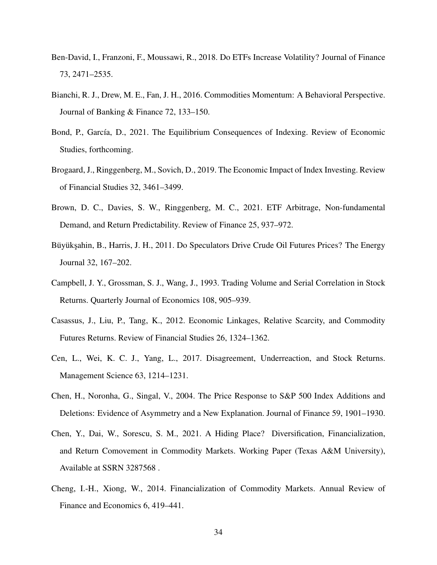- <span id="page-35-6"></span>Ben-David, I., Franzoni, F., Moussawi, R., 2018. Do ETFs Increase Volatility? Journal of Finance 73, 2471–2535.
- <span id="page-35-9"></span>Bianchi, R. J., Drew, M. E., Fan, J. H., 2016. Commodities Momentum: A Behavioral Perspective. Journal of Banking & Finance 72, 133–150.
- <span id="page-35-7"></span>Bond, P., García, D., 2021. The Equilibrium Consequences of Indexing. Review of Economic Studies, forthcoming.
- <span id="page-35-2"></span>Brogaard, J., Ringgenberg, M., Sovich, D., 2019. The Economic Impact of Index Investing. Review of Financial Studies 32, 3461–3499.
- <span id="page-35-0"></span>Brown, D. C., Davies, S. W., Ringgenberg, M. C., 2021. ETF Arbitrage, Non-fundamental Demand, and Return Predictability. Review of Finance 25, 937–972.
- <span id="page-35-3"></span>Büyükşahin, B., Harris, J. H., 2011. Do Speculators Drive Crude Oil Futures Prices? The Energy Journal 32, 167–202.
- <span id="page-35-8"></span>Campbell, J. Y., Grossman, S. J., Wang, J., 1993. Trading Volume and Serial Correlation in Stock Returns. Quarterly Journal of Economics 108, 905–939.
- <span id="page-35-10"></span>Casassus, J., Liu, P., Tang, K., 2012. Economic Linkages, Relative Scarcity, and Commodity Futures Returns. Review of Financial Studies 26, 1324–1362.
- Cen, L., Wei, K. C. J., Yang, L., 2017. Disagreement, Underreaction, and Stock Returns. Management Science 63, 1214–1231.
- <span id="page-35-5"></span>Chen, H., Noronha, G., Singal, V., 2004. The Price Response to S&P 500 Index Additions and Deletions: Evidence of Asymmetry and a New Explanation. Journal of Finance 59, 1901–1930.
- <span id="page-35-1"></span>Chen, Y., Dai, W., Sorescu, S. M., 2021. A Hiding Place? Diversification, Financialization, and Return Comovement in Commodity Markets. Working Paper (Texas A&M University), Available at SSRN 3287568 .
- <span id="page-35-4"></span>Cheng, I.-H., Xiong, W., 2014. Financialization of Commodity Markets. Annual Review of Finance and Economics 6, 419–441.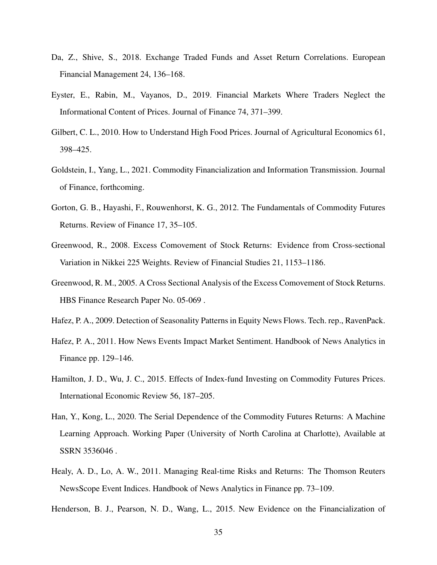- Da, Z., Shive, S., 2018. Exchange Traded Funds and Asset Return Correlations. European Financial Management 24, 136–168.
- <span id="page-36-1"></span>Eyster, E., Rabin, M., Vayanos, D., 2019. Financial Markets Where Traders Neglect the Informational Content of Prices. Journal of Finance 74, 371–399.
- Gilbert, C. L., 2010. How to Understand High Food Prices. Journal of Agricultural Economics 61, 398–425.
- <span id="page-36-2"></span>Goldstein, I., Yang, L., 2021. Commodity Financialization and Information Transmission. Journal of Finance, forthcoming.
- Gorton, G. B., Hayashi, F., Rouwenhorst, K. G., 2012. The Fundamentals of Commodity Futures Returns. Review of Finance 17, 35–105.
- Greenwood, R., 2008. Excess Comovement of Stock Returns: Evidence from Cross-sectional Variation in Nikkei 225 Weights. Review of Financial Studies 21, 1153–1186.
- Greenwood, R. M., 2005. A Cross Sectional Analysis of the Excess Comovement of Stock Returns. HBS Finance Research Paper No. 05-069 .
- Hafez, P. A., 2009. Detection of Seasonality Patterns in Equity News Flows. Tech. rep., RavenPack.
- Hafez, P. A., 2011. How News Events Impact Market Sentiment. Handbook of News Analytics in Finance pp. 129–146.
- <span id="page-36-0"></span>Hamilton, J. D., Wu, J. C., 2015. Effects of Index-fund Investing on Commodity Futures Prices. International Economic Review 56, 187–205.
- Han, Y., Kong, L., 2020. The Serial Dependence of the Commodity Futures Returns: A Machine Learning Approach. Working Paper (University of North Carolina at Charlotte), Available at SSRN 3536046 .
- Healy, A. D., Lo, A. W., 2011. Managing Real-time Risks and Returns: The Thomson Reuters NewsScope Event Indices. Handbook of News Analytics in Finance pp. 73–109.

Henderson, B. J., Pearson, N. D., Wang, L., 2015. New Evidence on the Financialization of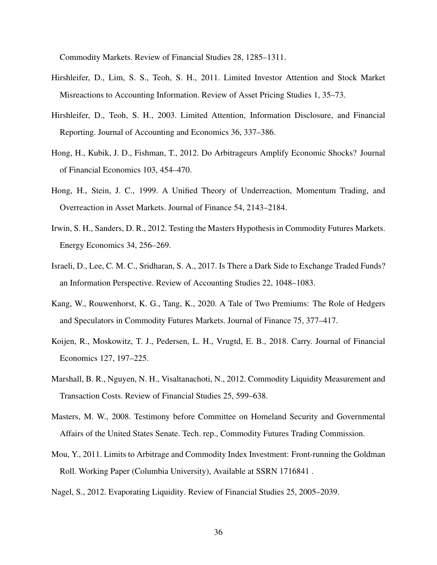Commodity Markets. Review of Financial Studies 28, 1285–1311.

- <span id="page-37-4"></span>Hirshleifer, D., Lim, S. S., Teoh, S. H., 2011. Limited Investor Attention and Stock Market Misreactions to Accounting Information. Review of Asset Pricing Studies 1, 35–73.
- <span id="page-37-3"></span>Hirshleifer, D., Teoh, S. H., 2003. Limited Attention, Information Disclosure, and Financial Reporting. Journal of Accounting and Economics 36, 337–386.
- Hong, H., Kubik, J. D., Fishman, T., 2012. Do Arbitrageurs Amplify Economic Shocks? Journal of Financial Economics 103, 454–470.
- <span id="page-37-2"></span>Hong, H., Stein, J. C., 1999. A Unified Theory of Underreaction, Momentum Trading, and Overreaction in Asset Markets. Journal of Finance 54, 2143–2184.
- <span id="page-37-1"></span>Irwin, S. H., Sanders, D. R., 2012. Testing the Masters Hypothesis in Commodity Futures Markets. Energy Economics 34, 256–269.
- Israeli, D., Lee, C. M. C., Sridharan, S. A., 2017. Is There a Dark Side to Exchange Traded Funds? an Information Perspective. Review of Accounting Studies 22, 1048–1083.
- Kang, W., Rouwenhorst, K. G., Tang, K., 2020. A Tale of Two Premiums: The Role of Hedgers and Speculators in Commodity Futures Markets. Journal of Finance 75, 377–417.
- Koijen, R., Moskowitz, T. J., Pedersen, L. H., Vrugtd, E. B., 2018. Carry. Journal of Financial Economics 127, 197–225.
- Marshall, B. R., Nguyen, N. H., Visaltanachoti, N., 2012. Commodity Liquidity Measurement and Transaction Costs. Review of Financial Studies 25, 599–638.
- <span id="page-37-0"></span>Masters, M. W., 2008. Testimony before Committee on Homeland Security and Governmental Affairs of the United States Senate. Tech. rep., Commodity Futures Trading Commission.
- Mou, Y., 2011. Limits to Arbitrage and Commodity Index Investment: Front-running the Goldman Roll. Working Paper (Columbia University), Available at SSRN 1716841 .
- Nagel, S., 2012. Evaporating Liquidity. Review of Financial Studies 25, 2005–2039.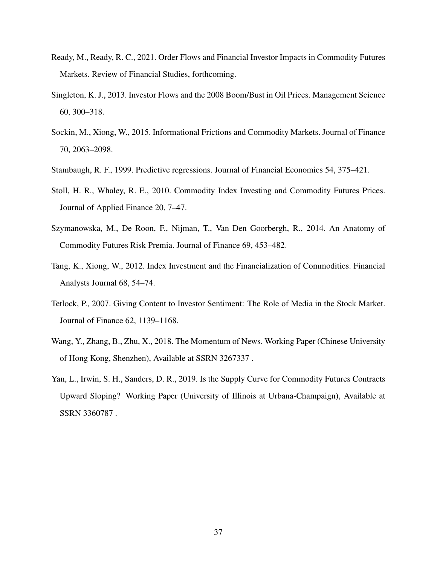- Ready, M., Ready, R. C., 2021. Order Flows and Financial Investor Impacts in Commodity Futures Markets. Review of Financial Studies, forthcoming.
- Singleton, K. J., 2013. Investor Flows and the 2008 Boom/Bust in Oil Prices. Management Science 60, 300–318.
- <span id="page-38-1"></span>Sockin, M., Xiong, W., 2015. Informational Frictions and Commodity Markets. Journal of Finance 70, 2063–2098.
- Stambaugh, R. F., 1999. Predictive regressions. Journal of Financial Economics 54, 375–421.
- Stoll, H. R., Whaley, R. E., 2010. Commodity Index Investing and Commodity Futures Prices. Journal of Applied Finance 20, 7–47.
- Szymanowska, M., De Roon, F., Nijman, T., Van Den Goorbergh, R., 2014. An Anatomy of Commodity Futures Risk Premia. Journal of Finance 69, 453–482.
- <span id="page-38-0"></span>Tang, K., Xiong, W., 2012. Index Investment and the Financialization of Commodities. Financial Analysts Journal 68, 54–74.
- Tetlock, P., 2007. Giving Content to Investor Sentiment: The Role of Media in the Stock Market. Journal of Finance 62, 1139–1168.
- Wang, Y., Zhang, B., Zhu, X., 2018. The Momentum of News. Working Paper (Chinese University of Hong Kong, Shenzhen), Available at SSRN 3267337 .
- Yan, L., Irwin, S. H., Sanders, D. R., 2019. Is the Supply Curve for Commodity Futures Contracts Upward Sloping? Working Paper (University of Illinois at Urbana-Champaign), Available at SSRN 3360787 .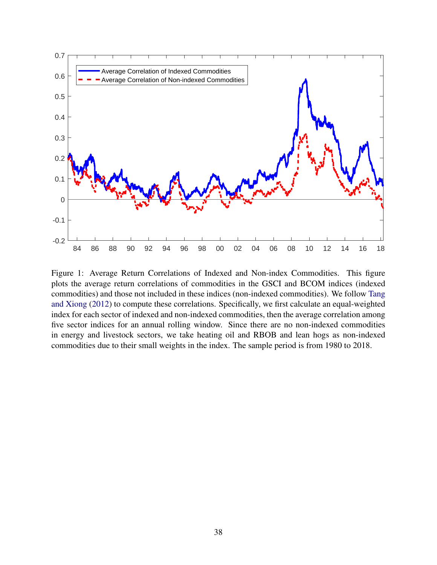

Figure 1: Average Return Correlations of Indexed and Non-index Commodities. This figure plots the average return correlations of commodities in the GSCI and BCOM indices (indexed commodities) and those not included in these indices (non-indexed commodities). We follow [Tang](#page-38-0) [and Xiong](#page-38-0) [\(2012\)](#page-38-0) to compute these correlations. Specifically, we first calculate an equal-weighted index for each sector of indexed and non-indexed commodities, then the average correlation among five sector indices for an annual rolling window. Since there are no non-indexed commodities in energy and livestock sectors, we take heating oil and RBOB and lean hogs as non-indexed commodities due to their small weights in the index. The sample period is from 1980 to 2018.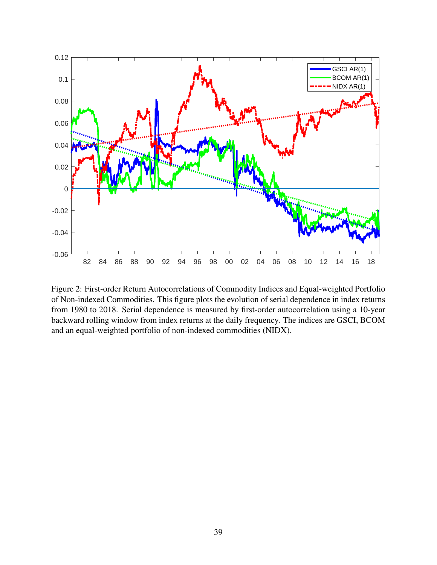<span id="page-40-0"></span>

Figure 2: First-order Return Autocorrelations of Commodity Indices and Equal-weighted Portfolio of Non-indexed Commodities. This figure plots the evolution of serial dependence in index returns from 1980 to 2018. Serial dependence is measured by first-order autocorrelation using a 10-year backward rolling window from index returns at the daily frequency. The indices are GSCI, BCOM and an equal-weighted portfolio of non-indexed commodities (NIDX).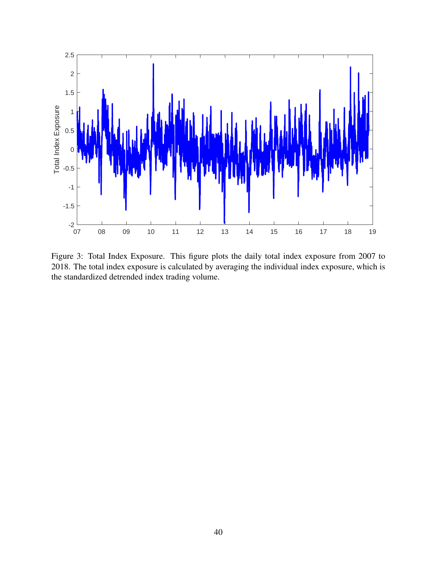

Figure 3: Total Index Exposure. This figure plots the daily total index exposure from 2007 to 2018. The total index exposure is calculated by averaging the individual index exposure, which is the standardized detrended index trading volume.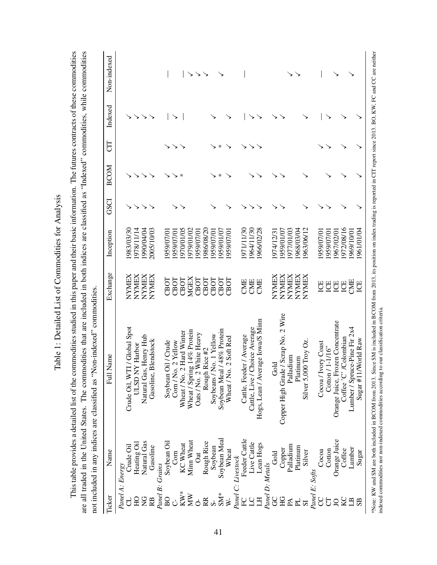|                                                                          | Non-indexed      |                                                                                                              | ↘<br>↘                                                                                                                           |                                                                                                          |                                                                                               |                                                                                                |                                                                                                                                                                   |
|--------------------------------------------------------------------------|------------------|--------------------------------------------------------------------------------------------------------------|----------------------------------------------------------------------------------------------------------------------------------|----------------------------------------------------------------------------------------------------------|-----------------------------------------------------------------------------------------------|------------------------------------------------------------------------------------------------|-------------------------------------------------------------------------------------------------------------------------------------------------------------------|
|                                                                          | $_{\rm Indexed}$ |                                                                                                              |                                                                                                                                  |                                                                                                          |                                                                                               |                                                                                                |                                                                                                                                                                   |
|                                                                          | ED               |                                                                                                              |                                                                                                                                  | ₩                                                                                                        |                                                                                               |                                                                                                |                                                                                                                                                                   |
|                                                                          | <b>BCOM</b>      |                                                                                                              | $\ast$                                                                                                                           | ⋇                                                                                                        |                                                                                               |                                                                                                |                                                                                                                                                                   |
|                                                                          | <b>GSCI</b>      |                                                                                                              |                                                                                                                                  |                                                                                                          |                                                                                               |                                                                                                |                                                                                                                                                                   |
|                                                                          | Inception        | 983/03/30<br>978/11/14<br>990/04/04<br>2005/10/03                                                            | 970/01/05<br>979/01/02<br>959/07/01<br>959/07/01<br>959/07/0                                                                     | 986/08/20<br>959/01/07<br>959/07/0<br>959/07/0                                                           | 964/11/30<br>971/11/30<br>966/02/28                                                           | 977/01/03<br>963/06/12<br>959/01/07<br>968/03/04<br>974/12/31                                  | 972/08/16<br>961/01/04<br>959/07/01<br>969/10/01<br>1959/07/01<br>967/02/01                                                                                       |
|                                                                          | Exchange         | <b>NYMEX</b><br>NYMEX<br>NYMEX<br>NYMEX                                                                      | CBOT<br>CBOT<br>CBOT<br><b>MGEX</b><br>CBOT                                                                                      | CBOT<br>CBOT<br>CBOT<br>CBOT                                                                             | CME<br>CME<br>CME                                                                             | <b>NYMEX</b><br><b>NYMEX</b><br>NYMEX<br><b>NYMEX</b><br>NYMEX                                 | CME<br>U<br>ICE<br>ICE<br>ICE<br>E                                                                                                                                |
| not included in any indices are classified as "Non-indexed" commodities. | Full Name        | Crude Oil, WTI / Global Spot<br>Natural Gas, Henry Hub<br>Gasoline, Blendstock<br>Y Harbor<br><b>N GISTL</b> | Wheat / Spring 14% Protein<br>Wheat / No. 2 Hard Winter<br>Oats / No. 2 White Heavy<br>Soybean Oil / Crude<br>2 Yellow<br>Com/No | /48% Protein<br>Soybeans / No. 1 Yellow<br>2 Soft Red<br>Rice #2<br>Soybean Meal<br>Wheat / No.<br>Rough | Hogs, Lean / Average Iowa/S Minn<br>Cattle, Live / Choice Average<br>Cattle, Feeder / Average | Copper High Grade / Scrap No. 2 Wire<br>Silver 5,000 Troy Oz.<br>Palladium<br>Platinum<br>Gold | Orange Juice, Frozen Concentrate<br>Lumber / Spruce-Pine Fir 2x4<br>Coffee 'C' /Colombian<br>World Raw<br>Cocoa / Ivory Coast<br>Cotton / 1-1/16"<br>$Sugar$ #11/ |
|                                                                          | Name             | Natural Gas<br>Heating Oil<br>Crude Oil<br>Gasoline                                                          | Soybean Oil<br>Minn Wheat<br><b>KC</b> Wheat<br>$\mathbb{C}\text{om}$<br>Oat                                                     | Soybean Meal<br>Rough Rice<br>Soybean<br>Wheat<br>C: Livestock                                           | Feeder Cattle<br>Live Cattle<br>Lean Hogs                                                     | Palladium<br>Platinum<br>Copper<br>Silver<br>Gold                                              | Orange Juice<br>Lumber<br>Coffee<br>Cotton<br>Сосоа<br>Sugar                                                                                                      |
|                                                                          | Ticker           | Panel A: Energy<br><b>QH</b><br>$\frac{C}{Z}$<br>R <sub>B</sub>                                              | Panel B: Grains<br>$KW^*$<br>МW<br>BO<br>ð                                                                                       | Panel <sup>1</sup><br>$SM^*$<br>RR<br>$W -$                                                              | Panel D: Metals<br>C<br>RC<br>Ξ                                                               | Panel E: Softs<br>g<br>HG<br>PL.<br>$\mathbb{A}$<br>51                                         | g<br>КC<br>F<br>$\cup$<br>$\mathbf{B}$<br>SB <sub></sub>                                                                                                          |

\*Note: KW and SM are both included in BCOM from 2013. Since SM is included in BCOM from 2013, its position on index trading is reported in CIT report since 2013. BO, KW, FC and CC are neither

\*Note: KW and SM are both included in BCOM from 2013. Since SM is included in BCOM from 2013, its position on index trading is reported in CIT report since 2013. BO, KW, FC and CC are neither indexed commodities nor non-in

indexed commodities nor non-indexed commodities according to our classification criteria.

Table 1: Detailed List of Commodities for Analysis Table 1: Detailed List of Commodities for Analysis This table provides a detailed list of the commodities studied in this paper and their basic information. The futures contracts of these commodities are all traded in the United States. The commodities that are included in both indices are classified as "Indexed" commodities, while commodities This table provides a detailed list of the commodities studied in this paper and their basic information. The futures contracts of these commodities are all traded in the United States. The commodities that are included in both indices are classified as "Indexed" commodities, while commodities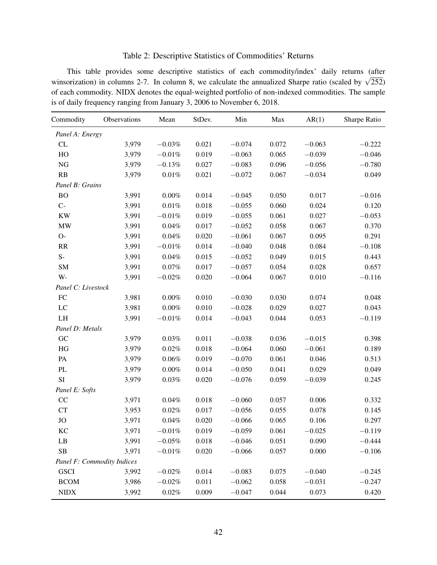## Table 2: Descriptive Statistics of Commodities' Returns

This table provides some descriptive statistics of each commodity/index' daily returns (after This table provides some descriptive statistics of each commodity/index darity fedding (after winsorization) in columns 2-7. In column 8, we calculate the annualized Sharpe ratio (scaled by  $\sqrt{252}$ ) of each commodity. NIDX denotes the equal-weighted portfolio of non-indexed commodities. The sample is of daily frequency ranging from January 3, 2006 to November 6, 2018.

| Commodity          | Observations               | Mean      | StDev. | Min      | Max   | AR(1)    | Sharpe Ratio |
|--------------------|----------------------------|-----------|--------|----------|-------|----------|--------------|
| Panel A: Energy    |                            |           |        |          |       |          |              |
| CL                 | 3,979                      | $-0.03%$  | 0.021  | $-0.074$ | 0.072 | $-0.063$ | $-0.222$     |
| HO                 | 3,979                      | $-0.01%$  | 0.019  | $-0.063$ | 0.065 | $-0.039$ | $-0.046$     |
| <b>NG</b>          | 3,979                      | $-0.13%$  | 0.027  | $-0.083$ | 0.096 | $-0.056$ | $-0.780$     |
| RB                 | 3,979                      | $0.01\%$  | 0.021  | $-0.072$ | 0.067 | $-0.034$ | 0.049        |
| Panel B: Grains    |                            |           |        |          |       |          |              |
| <b>BO</b>          | 3,991                      | $0.00\%$  | 0.014  | $-0.045$ | 0.050 | 0.017    | $-0.016$     |
| $C-$               | 3,991                      | $0.01\%$  | 0.018  | $-0.055$ | 0.060 | 0.024    | 0.120        |
| <b>KW</b>          | 3,991                      | $-0.01%$  | 0.019  | $-0.055$ | 0.061 | 0.027    | $-0.053$     |
| <b>MW</b>          | 3,991                      | $0.04\%$  | 0.017  | $-0.052$ | 0.058 | 0.067    | 0.370        |
| $O-$               | 3,991                      | $0.04\%$  | 0.020  | $-0.061$ | 0.067 | 0.095    | 0.291        |
| RR                 | 3,991                      | $-0.01\%$ | 0.014  | $-0.040$ | 0.048 | 0.084    | $-0.108$     |
| $S-$               | 3,991                      | $0.04\%$  | 0.015  | $-0.052$ | 0.049 | 0.015    | 0.443        |
| <b>SM</b>          | 3,991                      | $0.07\%$  | 0.017  | $-0.057$ | 0.054 | 0.028    | 0.657        |
| $W -$              | 3,991                      | $-0.02\%$ | 0.020  | $-0.064$ | 0.067 | 0.010    | $-0.116$     |
| Panel C: Livestock |                            |           |        |          |       |          |              |
| FC                 | 3,981                      | $0.00\%$  | 0.010  | $-0.030$ | 0.030 | 0.074    | 0.048        |
| LC                 | 3,981                      | $0.00\%$  | 0.010  | $-0.028$ | 0.029 | 0.027    | 0.043        |
| LH                 | 3,991                      | $-0.01\%$ | 0.014  | $-0.043$ | 0.044 | 0.053    | $-0.119$     |
| Panel D: Metals    |                            |           |        |          |       |          |              |
| GC                 | 3,979                      | 0.03%     | 0.011  | $-0.038$ | 0.036 | $-0.015$ | 0.398        |
| HG                 | 3,979                      | 0.02%     | 0.018  | $-0.064$ | 0.060 | $-0.061$ | 0.189        |
| PA                 | 3,979                      | 0.06%     | 0.019  | $-0.070$ | 0.061 | 0.046    | 0.513        |
| PL                 | 3,979                      | $0.00\%$  | 0.014  | $-0.050$ | 0.041 | 0.029    | 0.049        |
| SI                 | 3,979                      | $0.03\%$  | 0.020  | $-0.076$ | 0.059 | $-0.039$ | 0.245        |
| Panel E: Softs     |                            |           |        |          |       |          |              |
| CC                 | 3,971                      | 0.04%     | 0.018  | $-0.060$ | 0.057 | 0.006    | 0.332        |
| <b>CT</b>          | 3,953                      | 0.02%     | 0.017  | $-0.056$ | 0.055 | 0.078    | 0.145        |
| <b>JO</b>          | 3,971                      | 0.04%     | 0.020  | $-0.066$ | 0.065 | 0.106    | 0.297        |
| KC                 | 3,971                      | $-0.01%$  | 0.019  | $-0.059$ | 0.061 | $-0.025$ | $-0.119$     |
| LB                 | 3,991                      | $-0.05%$  | 0.018  | $-0.046$ | 0.051 | 0.090    | $-0.444$     |
| SB                 | 3,971                      | $-0.01\%$ | 0.020  | $-0.066$ | 0.057 | 0.000    | $-0.106$     |
|                    | Panel F: Commodity Indices |           |        |          |       |          |              |
| <b>GSCI</b>        | 3,992                      | $-0.02%$  | 0.014  | $-0.083$ | 0.075 | $-0.040$ | $-0.245$     |
| <b>BCOM</b>        | 3,986                      | $-0.02%$  | 0.011  | $-0.062$ | 0.058 | $-0.031$ | $-0.247$     |
| <b>NIDX</b>        | 3,992                      | 0.02%     | 0.009  | $-0.047$ | 0.044 | 0.073    | 0.420        |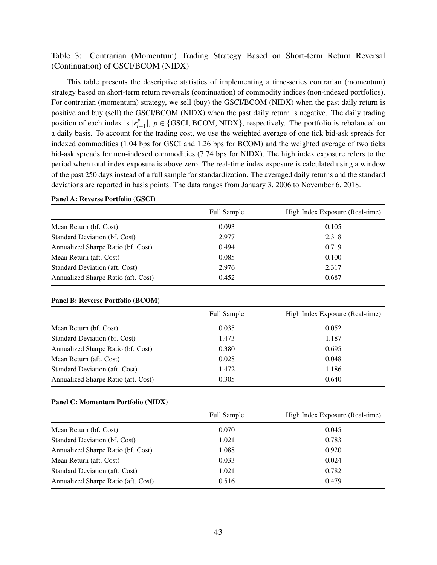## <span id="page-44-0"></span>Table 3: Contrarian (Momentum) Trading Strategy Based on Short-term Return Reversal (Continuation) of GSCI/BCOM (NIDX)

This table presents the descriptive statistics of implementing a time-series contrarian (momentum) strategy based on short-term return reversals (continuation) of commodity indices (non-indexed portfolios). For contrarian (momentum) strategy, we sell (buy) the GSCI/BCOM (NIDX) when the past daily return is positive and buy (sell) the GSCI/BCOM (NIDX) when the past daily return is negative. The daily trading position of each index is  $|r_t^p$  $_{t-1}^p$ ,  $p \in$  {GSCI, BCOM, NIDX}, respectively. The portfolio is rebalanced on a daily basis. To account for the trading cost, we use the weighted average of one tick bid-ask spreads for indexed commodities (1.04 bps for GSCI and 1.26 bps for BCOM) and the weighted average of two ticks bid-ask spreads for non-indexed commodities (7.74 bps for NIDX). The high index exposure refers to the period when total index exposure is above zero. The real-time index exposure is calculated using a window of the past 250 days instead of a full sample for standardization. The averaged daily returns and the standard deviations are reported in basis points. The data ranges from January 3, 2006 to November 6, 2018.

### Panel A: Reverse Portfolio (GSCI)

|                                     | <b>Full Sample</b> | High Index Exposure (Real-time) |
|-------------------------------------|--------------------|---------------------------------|
| Mean Return (bf. Cost)              | 0.093              | 0.105                           |
| Standard Deviation (bf. Cost)       | 2.977              | 2.318                           |
| Annualized Sharpe Ratio (bf. Cost)  | 0.494              | 0.719                           |
| Mean Return (aft. Cost)             | 0.085              | 0.100                           |
| Standard Deviation (aft. Cost)      | 2.976              | 2.317                           |
| Annualized Sharpe Ratio (aft. Cost) | 0.452              | 0.687                           |

### Panel B: Reverse Portfolio (BCOM)

|                                     | <b>Full Sample</b> | High Index Exposure (Real-time) |
|-------------------------------------|--------------------|---------------------------------|
| Mean Return (bf. Cost)              | 0.035              | 0.052                           |
| Standard Deviation (bf. Cost)       | 1.473              | 1.187                           |
| Annualized Sharpe Ratio (bf. Cost)  | 0.380              | 0.695                           |
| Mean Return (aft. Cost)             | 0.028              | 0.048                           |
| Standard Deviation (aft. Cost)      | 1.472              | 1.186                           |
| Annualized Sharpe Ratio (aft. Cost) | 0.305              | 0.640                           |

### Panel C: Momentum Portfolio (NIDX)

|                                     | <b>Full Sample</b> | High Index Exposure (Real-time) |
|-------------------------------------|--------------------|---------------------------------|
| Mean Return (bf. Cost)              | 0.070              | 0.045                           |
| Standard Deviation (bf. Cost)       | 1.021              | 0.783                           |
| Annualized Sharpe Ratio (bf. Cost)  | 1.088              | 0.920                           |
| Mean Return (aft. Cost)             | 0.033              | 0.024                           |
| Standard Deviation (aft. Cost)      | 1.021              | 0.782                           |
| Annualized Sharpe Ratio (aft. Cost) | 0.516              | 0.479                           |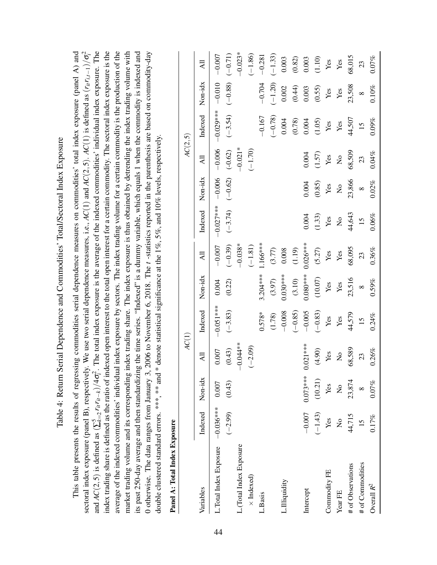| $\frac{1}{2}$<br>– UU.<br>۲<br>م<br>and Commo<br>Thomas and the correct | of regressing commodities serial dependence measures on commodities' total index exposure (par |
|-------------------------------------------------------------------------|------------------------------------------------------------------------------------------------|
| and Danagana<br>$\frac{5}{3}$<br>I Datum Sa<br>ر<br>1<br>۲              | こうしょう トイ                                                                                       |
| ۸ مامار ۳                                                               | is the results or                                                                              |
|                                                                         |                                                                                                |

<span id="page-45-0"></span>index trading share is defined as the ratio of indexed open interest to the total open interest for a certain commodity. The sectoral index exposure is the average of the indexed commodities' individual index exposure by sectors. The index trading volume for a certain commodity is the production of the nel A) and market trading volume and its corresponding index trading share. The index exposure is thus obtained by detrending the index trading volume with its past 250-day average and then standardizing the time series. "Indexed" is a dummy variable, which equals 1 when the commodity is indexed and This table presents the results of regressing commodities serial dependence measures on commodities' total index exposure (panel A) and 2 *i* $\dot{t}$ . The total index exposure is the average of the indexed commodities' individual index exposure. The index trading share is defined as the ratio of indexed open interest to the total open interest for a certain commodity. The sectoral index exposure is the average of the indexed commodities' individual index exposure by sectors. The index trading volume for a certain commodity is the production of the market trading volume and its corresponding index trading share. The index exposure is thus obtained by detrending the index trading volume with its past 250-day average and then standardizing the time series. "Indexed" is a dummy variable, which equals 1 when the commodity is indexed and 0 otherwise. The data ranges from January 3, 2006 to November 6, 2018. The t-statistics reported in the parenthesis are based on commodity-day 0 otherwise. The data ranges from January 3, 2006 to November 6, 2018. The *t* -statistics reported in the parenthesis are based on commodity-day sectoral index exposure (panel B), respectively. We use two serial dependence measures, i.e., *AC*(1) and *AC*(2,5). *AC*(1) is defined as (*ritri*,*t*−1)/σ double clustered standard errors. \*\*\*, \*\* and \* denote statistical significance at the 1%, 5%, and 10% levels, respectively. double clustered standard errors. \*\*\*, \*\*\* and \* denote statistical significance at the 1%, 5%, and 10% levels, respectively.  $r_{it}r_{it-k})/4\sigma_i^2$ 5 *k*=2 and  $AC(2,5)$  is defined as  $(\sum$ This table present

| $\frac{1}{2}$<br>ŗ |  |
|--------------------|--|
| dow                |  |
| í                  |  |
|                    |  |
| Ï<br>7             |  |

|                                   |                           |               | AC(1)                     |             |            |            |                           |                           | AC(2,5)                   |             |           |           |
|-----------------------------------|---------------------------|---------------|---------------------------|-------------|------------|------------|---------------------------|---------------------------|---------------------------|-------------|-----------|-----------|
| Variables                         | Indexed Non-idx           |               | ĀЩ                        | Indexed     | Non-idx    | ЯI         | Indexed                   | Non-idx                   | All                       | Indexed     | Non-idx   | ξŔ        |
| L. Total Index Exposure -0.036*** |                           | 0.007         | 0.007                     | $-0.051***$ | 0.004      | $-0.007$   | $-0.027***$               | $-0.006$                  | $-0.006$                  | $-0.029***$ | $-0.010$  | $-0.007$  |
|                                   | $(-2.99)$                 | (0.43)        | (0.43)                    | $(-3.83)$   | (0.22)     | $(-0.39)$  | $(-3.74)$                 | $(-0.62)$                 | $(-0.62)$                 | $(-3.54)$   | $(-0.88)$ | $(-0.71)$ |
| L. (Total Index Exposure          |                           |               | $-0.044**$                |             |            | $-0.038*$  |                           |                           | $-0.021*$                 |             |           | $-0.023*$ |
| $\times$ Indexed)                 |                           |               | $(-2.09)$                 |             |            | $(-1.81)$  |                           |                           | $(-1.70)$                 |             |           | $(-1.86)$ |
| L.Basis                           |                           |               |                           | $0.578*$    | $3.204***$ | $166***$   |                           |                           |                           | $-0.167$    | $-0.704$  | $-0.281$  |
|                                   |                           |               |                           | (1.78)      | (3.97)     | (3.77)     |                           |                           |                           | $(-0.78)$   | $(-1.20)$ | $(-1.33)$ |
| L.Illiquidity                     |                           |               |                           | $-0.008$    | $0.030***$ | 0.008      |                           |                           |                           | 0.004       | 0.002     | 0.003     |
|                                   |                           |               |                           | $(-0.85)$   | $(3.10)$   | (1.19)     |                           |                           |                           | (0.78)      | (0.44)    | $(0.82)$  |
| Intercept                         | $-0.007$                  | $0.073***$    | $0.021***$                | $-0.005$    | $0.080***$ | $0.026***$ | 0.004                     | 0.004                     | 0.004                     | 0.004       | 0.003     | 0.003     |
|                                   | $(-1.43)$                 | (10.21)       | (4.90)                    | $(-0.83)$   | (10.07)    | (5.27)     | (1.33)                    | (0.85)                    | (1.57)                    | (1.05)      | (0.55)    | $(1.10)$  |
| Commodity FE                      | Yes                       | Yes           | Yes                       | Yes         | Yes        | Yes        | Yes                       | Yes                       | Yes                       | Yes         | Yes       | Yes       |
| Year FE                           | $\mathsf{S}^{\mathsf{O}}$ | $\frac{1}{2}$ | $\mathsf{S}^{\mathsf{o}}$ | Yes         | Yes        | Yes        | $\mathsf{S}^{\mathsf{O}}$ | $\mathsf{S}^{\mathsf{O}}$ | $\mathsf{S}^{\mathsf{O}}$ | Yes         | Yes       | Yes       |
| # of Observations                 | 44,715                    | 23,874        | 68,589                    | 44,579      | 23,516     | 68,095     | 44,643                    | 23,866                    | 68,509                    | 44,507      | 23,508    | 68,015    |
| # of Commodities                  | $15 \,$                   |               | 23                        | 15          | $\infty$   | 23         | $\overline{15}$           | $\infty$                  | 23                        | 15          | $\infty$  | 23        |
| Overall $R^2$                     | 0.17%                     | 0.07%         | 0.26%                     | 0.24%       | 0.59%      | 0.36%      | 0.06%                     | 0.02%                     | 0.04%                     | 0.09%       | 0.10%     | 0.07%     |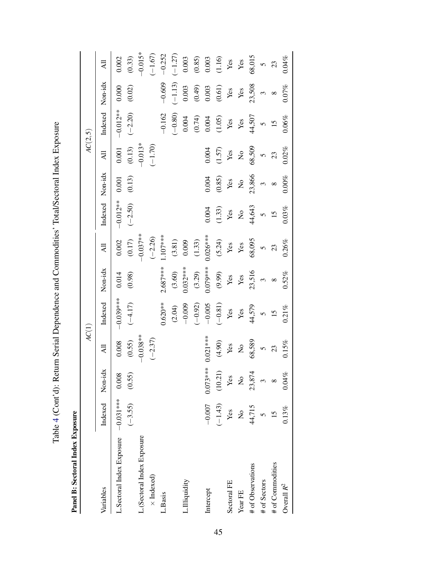Table 4 (Cont'd): Return Serial Dependence and Commodities' Total/Sectoral Index Exposure Table [4](#page-45-0) (Cont'd): Return Serial Dependence and Commodities' Total/Sectoral Index Exposure

 $-0.015*$ L.(Sectoral Index Exposure −0.038\*\* −0.037\*\* −0.013\* −0.015\*  $(-1.67)$  $-0.252$  $(-1.27)$  $(0.33)$  Indexed) (−2.37) (−2.26) (−1.70) (−1.67) (2.04) (3.04) (3.60) (3.60) (−1.14) (−1.14) (−1.14) (−1.14) (−1.14) (−1.14) (−1.14) (−1.14) (−1.14) (−1.14) (−1. 58,015 0.002 L.Basis −−0.162 −−0.609 −−0.252 −−0.620\*\* 2.687\*\*\* 1.107\*\*\* 1.107\*\*\* 1.107\*\*\* 0.003  $(0.85)$ 0.003  $(1.16)$  $0.04%$ # of Observations 44,715 23,874 68,589 44,579 23,516 68,095 44,643 23,866 68,509 44,507 23,508 68,015 (comportant (0.55) (0.55) (0.551) (0.557) (−2.19) (0.550) (−2.17+0) (0.550) (0.550) (0.02.20) (0.02. (52°) (52°) (52°) (52°) (52°) (52°) (52°) (52°) (52°) (62°) (62°) (62°) (62°) (62°) (62°) (62°) (62°) (62°) (6 (9T:1) (19'0) (SO'1) (∠S'1) (S8'0) (5C'1) (47'S) (66'6) (18'0−) (06'<del>4</del>) (17'01) (C\*T−) Yes Yes  $\rm{Overall} \: R^2 \sim 0.13\% \: 0.13\% \: 0.04\% \: 0.15\% \: 0.21\% \: 0.52\% \: 0.26\% \: 0.03\% \: 0.00\% \: 0.02\% \: 0.06\% \: 0.07\% \: 0.04\% \: 0.04\% \: 0.04\% \: 0.04\% \: 0.04\% \: 0.04\% \: 0.04\% \: 0.04\% \: 0.04\% \: 0.04\% \: 0.04\% \:$ COOO 0.0000 − 100.0 100.0 100.0 \*\*\* 210.0− 0.00.0 + 10.00 \*\*\* 0.0000 × 0.0000 × 0.0000 × 1.0000 0.000 0.000 0.0<br>Собора на 10.000 0.000 0.000 0.000 0.000 0.0000 0.0000 0.0000 0.0000 0.0000 0.0000 0.0000 0.0000 0.0000 0.00 CO2000 0.000 0.000 0.009 0.0000 0.0000 0.0000 0.0000 0.0000 0.0000 0.0000 0.003 0.003 0.003 0.003 0.003 0.003 0 Intercept −0.000 0.000 0.000 0.0000 0.0000 0.0000 0.00000 0.0000 0.0000 0.0000 0.0000 0.0000 0.0000 0.0000 0.00  $\overline{6}$  $23$  $\overline{AB}$ Sectoral FE Yes Yes Yes Yes Yes Yes Yes Yes Yes Yes Yes Yes Year FE No No No Yes Yes Yes No No No Yes Yes Yes Variables Indexed Non-idx All Indexed Non-idx All Indexed Non-idx All Indexed Non-idx All # of Sectors 5 3 5 5 3 5 5 3 5 5 3 5 # of Commodities 15 8 23 15 8 23 15 8 23 15 8 23  $(-1.13)$  $-0.609$ Indexed Non-idx 23,508  $0.000$ 0.003  $(0.02)$  $(0.49)$ 0.003  $(0.61)$  $0.07%$ Yes Yes  $\omega$  $\infty$  $-0.012**$  $(-2.20)$  $-0.162$  $(-0.80)$  $(0.74)$ 44,507 0.004 0.004  $(1.05)$  $0.06\%$ Yes Yes  $15$  $\overline{6}$  $AC(2, 5)$ *AC*(1) *AC*(2,5)  $-0.013*$  $(0.13)$  $(-1.70)$  $0.001$ 68,509 0.004  $0.02\%$  $(1.57)$  $\overline{AB}$ Yes  $\rm \stackrel{\circ}{X}$  $23$  $\overline{6}$ Non-idx 23,866  $(0.13)$ 0.001  $0.004$  $(0.85)$  $0.00\%$ Yes  $\overline{a}$  $\infty$  $\infty$  $-0.012**$ Indexed  $(-2.50)$  $0.004$ 44,643  $(1.33)$  $0.03%$ Yes  $\overline{X}$  $\tilde{c}$ **15**  $-0.037**$  $(0.17)$  $(-2.26)$  $1.107***$  $0.026***$ 0.002  $(3.81)$  $(5.24)$ 68,095 0.009  $(1.33)$  $0.26\%$ Yes Yes All 23  $\overline{6}$  $2.687***$  $0.032***$  $0.079***$ Non-idx 23,516 0.014  $(3.60)$  $(3.29)$  $0.52\%$  $(0.98)$  $(9.99)$ Yes Yes  $\omega$  $\infty$  $-0.039***$ Indexed  $(-4.17)$  $0.620**$  $-0.009$  $-0.005$  $(-0.92)$  $(-0.81)$  $(2.04)$ 44,579  $0.21%$ Yes Yes  $15$  $\overline{6}$  $AC(1)$  $-0.038**$  $0.073***0.021***$  $(0.55)$  $(-2.37)$ 68,589  $0.008$  $(4.90)$  $0.15%$ Yes  $\overline{R}$  $\tilde{c}$  $\overline{AB}$  $23$  $(10.21)$ Non-idx 23,874  $0.008$  $(0.55)$  $0.04%$ Yes  $\overline{X}$  $\tilde{\epsilon}$  $\infty$ L.Sectoral Index Exposure -0.031 \*\*\*  $-0.007$  $(-1.43)$ Indexed  $(-3.55)$ 44,715  $0.13%$  $\mathbf{Yes}$  $\mathsf{S}^{\mathsf{o}}$  $\overline{6}$  $15$ Panel B: Sectoral Index Exposure Panel B: Sectoral Index Exposure L.(Sectoral Index Exposure # of Commodities # of Observations  $\times$  Indexed) # of Sectors L.Illiquidity Sectoral FE Overall  $\mathbb{R}^2$ Variables Intercept Year FE L.Basis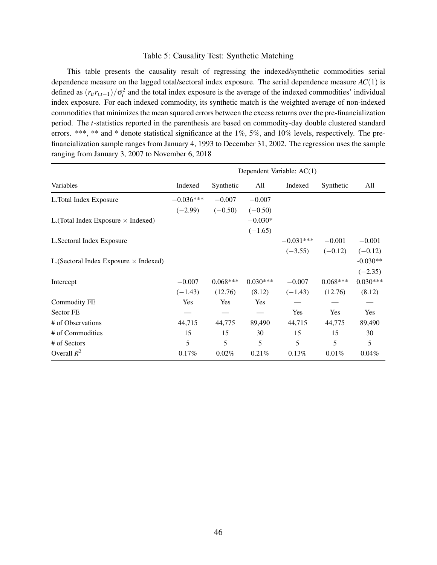### Table 5: Causality Test: Synthetic Matching

This table presents the causality result of regressing the indexed/synthetic commodities serial dependence measure on the lagged total/sectoral index exposure. The serial dependence measure *AC*(1) is defined as  $(r_{it}r_{i,t-1})/\sigma_i^2$  and the total index exposure is the average of the indexed commodities' individual index exposure. For each indexed commodity, its synthetic match is the weighted average of non-indexed commodities that minimizes the mean squared errors between the excess returns over the pre-financialization period. The *t*-statistics reported in the parenthesis are based on commodity-day double clustered standard errors. \*\*\*, \*\* and \* denote statistical significance at the 1%, 5%, and 10% levels, respectively. The prefinancialization sample ranges from January 4, 1993 to December 31, 2002. The regression uses the sample ranging from January 3, 2007 to November 6, 2018

|                                               |             |            |            | Dependent Variable: AC(1) |            |            |
|-----------------------------------------------|-------------|------------|------------|---------------------------|------------|------------|
| Variables                                     | Indexed     | Synthetic  | All        | Indexed                   | Synthetic  | All        |
| L.Total Index Exposure                        | $-0.036***$ | $-0.007$   | $-0.007$   |                           |            |            |
|                                               | $(-2.99)$   | $(-0.50)$  | $(-0.50)$  |                           |            |            |
| L. (Total Index Exposure $\times$ Indexed)    |             |            | $-0.030*$  |                           |            |            |
|                                               |             |            | $(-1.65)$  |                           |            |            |
| L.Sectoral Index Exposure                     |             |            |            | $-0.031***$               | $-0.001$   | $-0.001$   |
|                                               |             |            |            | $(-3.55)$                 | $(-0.12)$  | $(-0.12)$  |
| L. (Sectoral Index Exposure $\times$ Indexed) |             |            |            |                           |            | $-0.030**$ |
|                                               |             |            |            |                           |            | $(-2.35)$  |
| Intercept                                     | $-0.007$    | $0.068***$ | $0.030***$ | $-0.007$                  | $0.068***$ | $0.030***$ |
|                                               | $(-1.43)$   | (12.76)    | (8.12)     | $(-1.43)$                 | (12.76)    | (8.12)     |
| <b>Commodity FE</b>                           | Yes         | Yes        | Yes        |                           |            |            |
| Sector FE                                     |             |            |            | Yes                       | Yes        | Yes        |
| # of Observations                             | 44,715      | 44,775     | 89,490     | 44,715                    | 44,775     | 89,490     |
| # of Commodities                              | 15          | 15         | 30         | 15                        | 15         | 30         |
| # of Sectors                                  | 5           | 5          | 5          | 5                         | 5          | 5          |
| Overall $R^2$                                 | 0.17%       | $0.02\%$   | 0.21%      | 0.13%                     | 0.01%      | 0.04%      |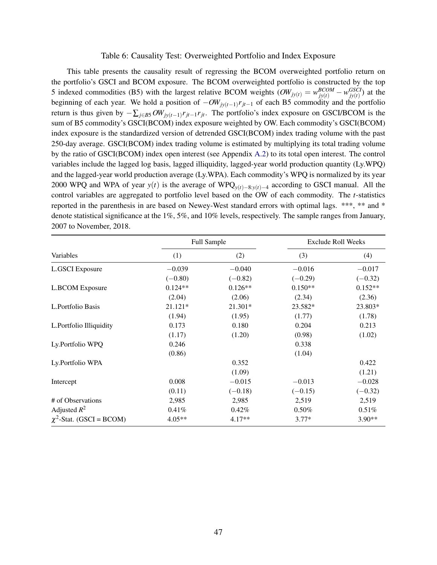### Table 6: Causality Test: Overweighted Portfolio and Index Exposure

This table presents the causality result of regressing the BCOM overweighted portfolio return on the portfolio's GSCI and BCOM exposure. The BCOM overweighted portfolio is constructed by the top 5 indexed commodities (B5) with the largest relative BCOM weights  $(OW_{jy(t)} = w_{jy(t)}^{BCOM} - w_{jy(t)}^{GSCI})$  at the beginning of each year. We hold a position of −*OWjy*(*t*−1) *rjt*−<sup>1</sup> of each B5 commodity and the portfolio return is thus given by  $-\sum_{j\in B}SW_{jy(t-1)}r_{jt-1}r_{jt}$ . The portfolio's index exposure on GSCI/BCOM is the sum of B5 commodity's GSCI(BCOM) index exposure weighted by OW. Each commodity's GSCI(BCOM) index exposure is the standardized version of detrended GSCI(BCOM) index trading volume with the past 250-day average. GSCI(BCOM) index trading volume is estimated by multiplying its total trading volume by the ratio of GSCI(BCOM) index open interest (see Appendix [A.2\)](#page-53-0) to its total open interest. The control variables include the lagged log basis, lagged illiquidity, lagged-year world production quantity (Ly.WPQ) and the lagged-year world production average (Ly.WPA). Each commodity's WPQ is normalized by its year 2000 WPQ and WPA of year *y*(*t*) is the average of WPQ*y*(*t*)−8:*y*(*t*)−<sup>4</sup> according to GSCI manual. All the control variables are aggregated to portfolio level based on the OW of each commodity. The *t*-statistics reported in the parenthesis in are based on Newey-West standard errors with optimal lags. \*\*\*, \*\* and \* denote statistical significance at the 1%, 5%, and 10% levels, respectively. The sample ranges from January, 2007 to November, 2018.

|                               |           | Full Sample |           | <b>Exclude Roll Weeks</b> |
|-------------------------------|-----------|-------------|-----------|---------------------------|
| Variables                     | (1)       | (2)         | (3)       | (4)                       |
| <b>L.GSCI</b> Exposure        | $-0.039$  | $-0.040$    | $-0.016$  | $-0.017$                  |
|                               | $(-0.80)$ | $(-0.82)$   | $(-0.29)$ | $(-0.32)$                 |
| <b>L.BCOM Exposure</b>        | $0.124**$ | $0.126**$   | $0.150**$ | $0.152**$                 |
|                               | (2.04)    | (2.06)      | (2.34)    | (2.36)                    |
| L.Portfolio Basis             | 21.121*   | 21.301*     | 23.582*   | 23.803*                   |
|                               | (1.94)    | (1.95)      | (1.77)    | (1.78)                    |
| L.Portfolio Illiquidity       | 0.173     | 0.180       | 0.204     | 0.213                     |
|                               | (1.17)    | (1.20)      | (0.98)    | (1.02)                    |
| Ly.Portfolio WPQ              | 0.246     |             | 0.338     |                           |
|                               | (0.86)    |             | (1.04)    |                           |
| Ly.Portfolio WPA              |           | 0.352       |           | 0.422                     |
|                               |           | (1.09)      |           | (1.21)                    |
| Intercept                     | 0.008     | $-0.015$    | $-0.013$  | $-0.028$                  |
|                               | (0.11)    | $(-0.18)$   | $(-0.15)$ | $(-0.32)$                 |
| # of Observations             | 2,985     | 2,985       | 2,519     | 2,519                     |
| Adjusted $R^2$                | 0.41%     | 0.42%       | 0.50%     | 0.51%                     |
| $\chi^2$ -Stat. (GSCI = BCOM) | $4.05**$  | $4.17**$    | $3.77*$   | $3.90**$                  |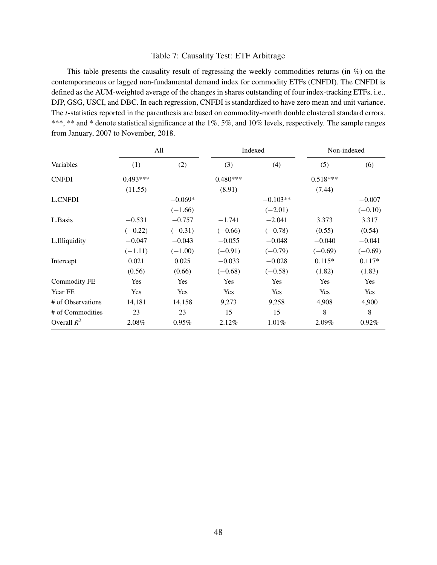### Table 7: Causality Test: ETF Arbitrage

This table presents the causality result of regressing the weekly commodities returns (in %) on the contemporaneous or lagged non-fundamental demand index for commodity ETFs (CNFDI). The CNFDI is defined as the AUM-weighted average of the changes in shares outstanding of four index-tracking ETFs, i.e., DJP, GSG, USCI, and DBC. In each regression, CNFDI is standardized to have zero mean and unit variance. The *t*-statistics reported in the parenthesis are based on commodity-month double clustered standard errors. \*\*\*, \*\* and \* denote statistical significance at the 1%, 5%, and 10% levels, respectively. The sample ranges from January, 2007 to November, 2018.

|                     | All        |           |            | Indexed    | Non-indexed |           |
|---------------------|------------|-----------|------------|------------|-------------|-----------|
| Variables           | (1)        | (2)       | (3)        | (4)        | (5)         | (6)       |
| <b>CNFDI</b>        | $0.493***$ |           | $0.480***$ |            | $0.518***$  |           |
|                     | (11.55)    |           | (8.91)     |            | (7.44)      |           |
| <b>L.CNFDI</b>      |            | $-0.069*$ |            | $-0.103**$ |             | $-0.007$  |
|                     |            | $(-1.66)$ |            | $(-2.01)$  |             | $(-0.10)$ |
| L.Basis             | $-0.531$   | $-0.757$  | $-1.741$   | $-2.041$   | 3.373       | 3.317     |
|                     | $(-0.22)$  | $(-0.31)$ | $(-0.66)$  | $(-0.78)$  | (0.55)      | (0.54)    |
| L.Illiquidity       | $-0.047$   | $-0.043$  | $-0.055$   | $-0.048$   | $-0.040$    | $-0.041$  |
|                     | $(-1.11)$  | $(-1.00)$ | $(-0.91)$  | $(-0.79)$  | $(-0.69)$   | $(-0.69)$ |
| Intercept           | 0.021      | 0.025     | $-0.033$   | $-0.028$   | $0.115*$    | $0.117*$  |
|                     | (0.56)     | (0.66)    | $(-0.68)$  | $(-0.58)$  | (1.82)      | (1.83)    |
| <b>Commodity FE</b> | Yes        | Yes       | Yes        | Yes        | Yes         | Yes       |
| Year FE             | Yes        | Yes       | Yes        | Yes        | Yes         | Yes       |
| # of Observations   | 14,181     | 14,158    | 9,273      | 9,258      | 4,908       | 4,900     |
| # of Commodities    | 23         | 23        | 15         | 15         | 8           | 8         |
| Overall $R^2$       | 2.08%      | $0.95\%$  | 2.12%      | 1.01%      | 2.09%       | 0.92%     |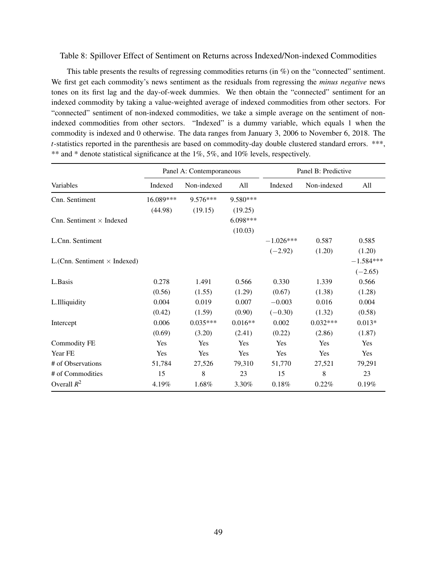### Table 8: Spillover Effect of Sentiment on Returns across Indexed/Non-indexed Commodities

This table presents the results of regressing commodities returns (in %) on the "connected" sentiment. We first get each commodity's news sentiment as the residuals from regressing the *minus negative* news tones on its first lag and the day-of-week dummies. We then obtain the "connected" sentiment for an indexed commodity by taking a value-weighted average of indexed commodities from other sectors. For "connected" sentiment of non-indexed commodities, we take a simple average on the sentiment of nonindexed commodities from other sectors. "Indexed" is a dummy variable, which equals 1 when the commodity is indexed and 0 otherwise. The data ranges from January 3, 2006 to November 6, 2018. The *t*-statistics reported in the parenthesis are based on commodity-day double clustered standard errors. \*\*\*, \*\* and \* denote statistical significance at the 1%, 5%, and 10% levels, respectively.

|                                     |           | Panel A: Contemporaneous |            |             | Panel B: Predictive |             |
|-------------------------------------|-----------|--------------------------|------------|-------------|---------------------|-------------|
| Variables                           | Indexed   | Non-indexed              | All        | Indexed     | Non-indexed         | All         |
| Cnn. Sentiment                      | 16.089*** | $9.576***$               | $9.580***$ |             |                     |             |
|                                     | (44.98)   | (19.15)                  | (19.25)    |             |                     |             |
| Cnn. Sentiment $\times$ Indexed     |           |                          | $6.098***$ |             |                     |             |
|                                     |           |                          | (10.03)    |             |                     |             |
| L.Cnn. Sentiment                    |           |                          |            | $-1.026***$ | 0.587               | 0.585       |
|                                     |           |                          |            | $(-2.92)$   | (1.20)              | (1.20)      |
| L.(Cnn. Sentiment $\times$ Indexed) |           |                          |            |             |                     | $-1.584***$ |
|                                     |           |                          |            |             |                     | $(-2.65)$   |
| L.Basis                             | 0.278     | 1.491                    | 0.566      | 0.330       | 1.339               | 0.566       |
|                                     | (0.56)    | (1.55)                   | (1.29)     | (0.67)      | (1.38)              | (1.28)      |
| L.Illiquidity                       | 0.004     | 0.019                    | 0.007      | $-0.003$    | 0.016               | 0.004       |
|                                     | (0.42)    | (1.59)                   | (0.90)     | $(-0.30)$   | (1.32)              | (0.58)      |
| Intercept                           | 0.006     | $0.035***$               | $0.016**$  | 0.002       | $0.032***$          | $0.013*$    |
|                                     | (0.69)    | (3.20)                   | (2.41)     | (0.22)      | (2.86)              | (1.87)      |
| <b>Commodity FE</b>                 | Yes       | Yes                      | Yes        | Yes         | Yes                 | Yes         |
| Year FE                             | Yes       | Yes                      | Yes        | Yes         | Yes                 | Yes         |
| # of Observations                   | 51,784    | 27,526                   | 79,310     | 51,770      | 27,521              | 79,291      |
| # of Commodities                    | 15        | 8                        | 23         | 15          | 8                   | 23          |
| Overall $R^2$                       | 4.19%     | 1.68%                    | 3.30%      | $0.18\%$    | $0.22\%$            | 0.19%       |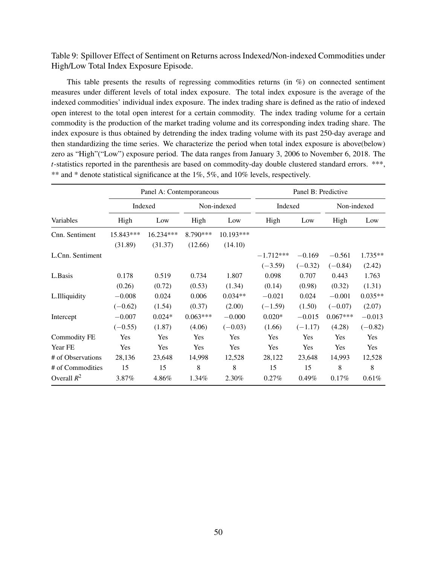Table 9: Spillover Effect of Sentiment on Returns across Indexed/Non-indexed Commodities under High/Low Total Index Exposure Episode.

This table presents the results of regressing commodities returns (in %) on connected sentiment measures under different levels of total index exposure. The total index exposure is the average of the indexed commodities' individual index exposure. The index trading share is defined as the ratio of indexed open interest to the total open interest for a certain commodity. The index trading volume for a certain commodity is the production of the market trading volume and its corresponding index trading share. The index exposure is thus obtained by detrending the index trading volume with its past 250-day average and then standardizing the time series. We characterize the period when total index exposure is above(below) zero as "High"("Low") exposure period. The data ranges from January 3, 2006 to November 6, 2018. The *t*-statistics reported in the parenthesis are based on commodity-day double clustered standard errors. \*\*\*, \*\* and \* denote statistical significance at the 1%, 5%, and 10% levels, respectively.

|                     |           | Panel A: Contemporaneous |            |             |             | Panel B: Predictive |             |           |
|---------------------|-----------|--------------------------|------------|-------------|-------------|---------------------|-------------|-----------|
|                     |           | Indexed                  |            | Non-indexed | Indexed     |                     | Non-indexed |           |
| Variables           | High      | Low                      | High       | Low         | High        | Low                 | High        | Low       |
| Cnn. Sentiment      | 15.843*** | 16.234***                | 8.790***   | $10.193***$ |             |                     |             |           |
|                     | (31.89)   | (31.37)                  | (12.66)    | (14.10)     |             |                     |             |           |
| L.Cnn. Sentiment    |           |                          |            |             | $-1.712***$ | $-0.169$            | $-0.561$    | $1.735**$ |
|                     |           |                          |            |             | $(-3.59)$   | $(-0.32)$           | $(-0.84)$   | (2.42)    |
| L.Basis             | 0.178     | 0.519                    | 0.734      | 1.807       | 0.098       | 0.707               | 0.443       | 1.763     |
|                     | (0.26)    | (0.72)                   | (0.53)     | (1.34)      | (0.14)      | (0.98)              | (0.32)      | (1.31)    |
| L.Illiquidity       | $-0.008$  | 0.024                    | 0.006      | $0.034**$   | $-0.021$    | 0.024               | $-0.001$    | $0.035**$ |
|                     | $(-0.62)$ | (1.54)                   | (0.37)     | (2.00)      | $(-1.59)$   | (1.50)              | $(-0.07)$   | (2.07)    |
| Intercept           | $-0.007$  | $0.024*$                 | $0.063***$ | $-0.000$    | $0.020*$    | $-0.015$            | $0.067***$  | $-0.013$  |
|                     | $(-0.55)$ | (1.87)                   | (4.06)     | $(-0.03)$   | (1.66)      | $(-1.17)$           | (4.28)      | $(-0.82)$ |
| <b>Commodity FE</b> | Yes       | Yes                      | Yes        | Yes         | Yes         | Yes                 | Yes         | Yes       |
| Year FE             | Yes       | Yes                      | Yes        | Yes         | Yes         | Yes                 | Yes         | Yes       |
| # of Observations   | 28,136    | 23,648                   | 14,998     | 12,528      | 28,122      | 23,648              | 14,993      | 12,528    |
| # of Commodities    | 15        | 15                       | 8          | 8           | 15          | 15                  | 8           | 8         |
| Overall $R^2$       | 3.87%     | 4.86%                    | 1.34%      | 2.30%       | 0.27%       | $0.49\%$            | $0.17\%$    | 0.61%     |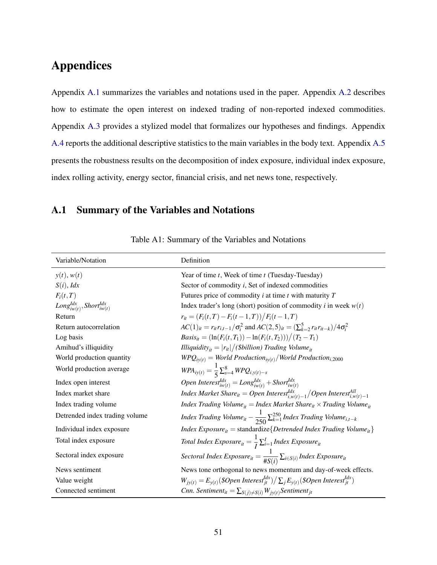# Appendices

Appendix [A.1](#page-52-0) summarizes the variables and notations used in the paper. Appendix [A.2](#page-53-0) describes how to estimate the open interest on indexed trading of non-reported indexed commodities. Appendix [A.3](#page-55-0) provides a stylized model that formalizes our hypotheses and findings. Appendix [A.4](#page-63-0) reports the additional descriptive statistics to the main variables in the body text. Appendix [A.5](#page-66-0) presents the robustness results on the decomposition of index exposure, individual index exposure, index rolling activity, energy sector, financial crisis, and net news tone, respectively.

# <span id="page-52-0"></span>A.1 Summary of the Variables and Notations

| Variable/Notation                         | Definition                                                                                                                                                    |
|-------------------------------------------|---------------------------------------------------------------------------------------------------------------------------------------------------------------|
| y(t), w(t)                                | Year of time $t$ , Week of time $t$ (Tuesday-Tuesday)                                                                                                         |
| $S(i)$ , <i>Idx</i>                       | Sector of commodity <i>i</i> , Set of indexed commodities                                                                                                     |
| $F_i(t,T)$                                | Futures price of commodity $i$ at time $t$ with maturity $T$                                                                                                  |
| $Long^{Idx}_{iw(t)}, Short^{Idx}_{iw(t)}$ | Index trader's long (short) position of commodity <i>i</i> in week $w(t)$                                                                                     |
| Return                                    | $r_{it} = (F_i(t, T) - F_i(t - 1, T))/F_i(t - 1, T)$                                                                                                          |
| Return autocorrelation                    | $AC(1)_{it} = r_{it}r_{i,t-1}/\sigma_i^2$ and $AC(2,5)_{it} = (\sum_{k=2}^{5} r_{it}r_{i-k})/4\sigma_i^2$                                                     |
| Log basis                                 | $Basis_{it} = (\ln(F_i(t, T_1)) - \ln(F_i(t, T_2)))/(T_2 - T_1)$                                                                                              |
| Amihud's illiquidity                      | <i>Illiquidity</i> <sub>it</sub> = $ r_{it} /(8b$ <i>illion</i> ) <i>Trading Volume</i> <sub>it</sub>                                                         |
| World production quantity                 | $W\!P\!Q_{iy(t)} = World\ Production_{iy(t)}/World\ Production_{i,2000}$                                                                                      |
| World production average                  | $WPA_{iy(t)} = \frac{1}{5} \sum_{s=4}^{8} WPQ_{i,y(t)-s}$                                                                                                     |
| Index open interest                       | Open Interest <sup>Idx</sup> <sub>iw</sub> (t) = $Long^{Idx}_{iw(t)}$ + Short <sup>Idx</sup> <sub>iw</sub> (t)                                                |
| Index market share                        | Index Market Share <sub>it</sub> = Open Interest <sup>Idx</sup> <sub>i.w</sub> <sub>(t)-1</sub> /Open Interest <sup>All</sup> <sub>i.w</sub> <sub>(t)-1</sub> |
| Index trading volume                      | <i>Index Trading Volume</i> <sub>it</sub> = <i>Index Market Share</i> <sub>it</sub> × <i>Trading Volume</i> <sub>it</sub>                                     |
| Detrended index trading volume            | Index Trading Volume <sub>it</sub> – $\frac{1}{250} \sum_{k=1}^{250}$ Index Trading Volume <sub>i,t-k</sub>                                                   |
| Individual index exposure                 | <i>Index Exposure</i> <sub>it</sub> = standardize{ <i>Detrended Index Trading Volume</i> <sub>it</sub> }                                                      |
| Total index exposure                      | Total Index Exposure <sub>it</sub> = $\frac{1}{I}\sum_{i=1}^{I}$ Index Exposure <sub>it</sub>                                                                 |
| Sectoral index exposure                   | Sectoral Index Exposure <sub>it</sub> = $\frac{1}{\#S(i)}\sum_{i\in S(i)}Index\,Exposure_{it}$                                                                |
| News sentiment                            | News tone orthogonal to news momentum and day-of-week effects.                                                                                                |
| Value weight                              | $W_{i\nu(t)} = E_{\nu(t)}(\$Open\ Interest_{it}^{ldx}) / \sum_{i} E_{\nu(t)}(\$Open\ Interest_{it}^{ldx})$                                                    |
| Connected sentiment                       | <i>Cnn.</i> Sentiment <sub>it</sub> = $\sum_{S(i) \neq S(i)} W_{jv(t)}$ Sentiment <sub>jt</sub>                                                               |

Table A1: Summary of the Variables and Notations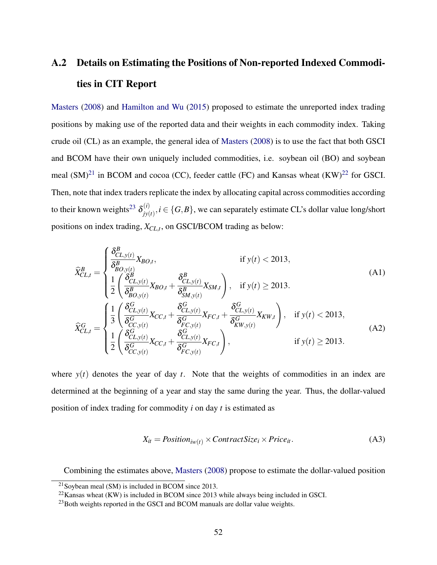# <span id="page-53-0"></span>A.2 Details on Estimating the Positions of Non-reported Indexed Commodities in CIT Report

[Masters](#page-37-0) [\(2008\)](#page-37-0) and [Hamilton and Wu](#page-36-0) [\(2015\)](#page-36-0) proposed to estimate the unreported index trading positions by making use of the reported data and their weights in each commodity index. Taking crude oil (CL) as an example, the general idea of [Masters](#page-37-0) [\(2008\)](#page-37-0) is to use the fact that both GSCI and BCOM have their own uniquely included commodities, i.e. soybean oil (BO) and soybean meal  $(SM)^{21}$  $(SM)^{21}$  $(SM)^{21}$  in BCOM and cocoa (CC), feeder cattle (FC) and Kansas wheat  $(KW)^{22}$  $(KW)^{22}$  $(KW)^{22}$  for GSCI. Then, note that index traders replicate the index by allocating capital across commodities according to their known weights<sup>[23](#page-53-3)</sup>  $\delta_{iv}^{(i)}$  $f_{jy(t)}^{(t)}$ ,  $i \in \{G, B\}$ , we can separately estimate CL's dollar value long/short positions on index trading, *XCL*,*<sup>t</sup>* , on GSCI/BCOM trading as below:

$$
\hat{X}_{CL,t}^{B} = \begin{cases}\n\frac{\delta_{CL,y(t)}^{B}}{\delta_{BO,y(t)}^{B}} X_{BO,t}, & \text{if } y(t) < 2013, \\
\frac{1}{2} \left( \frac{\delta_{CL,y(t)}^{B}}{\delta_{BO,y(t)}^{B}} X_{BO,t} + \frac{\delta_{CL,y(t)}^{B}}{\delta_{SM,y(t)}^{B}} X_{SM,t} \right), & \text{if } y(t) \ge 2013.\n\end{cases} (A1)
$$
\n
$$
\hat{X}_{CL,t}^{G} = \begin{cases}\n\frac{1}{3} \left( \frac{\delta_{CL,y(t)}^{G}}{\delta_{CC,y(t)}^{G}} X_{CC,t} + \frac{\delta_{CL,y(t)}^{G}}{\delta_{FC,y(t)}^{G}} X_{FC,t} + \frac{\delta_{CL,y(t)}^{G}}{\delta_{KW,y(t)}^{G}} X_{KW,t} \right), & \text{if } y(t) < 2013, \\
\frac{1}{2} \left( \frac{\delta_{CL,y(t)}^{G}}{\delta_{CC,y(t)}^{G}} X_{CC,t} + \frac{\delta_{CL,y(t)}^{G}}{\delta_{FC,y(t)}^{G}} X_{FC,t} \right), & \text{if } y(t) \ge 2013.\n\end{cases} (A2)
$$

where  $y(t)$  denotes the year of day *t*. Note that the weights of commodities in an index are determined at the beginning of a year and stay the same during the year. Thus, the dollar-valued position of index trading for commodity *i* on day *t* is estimated as

$$
X_{it} = Position_{iw(t)} \times ContractSize_i \times Price_{it}.
$$
 (A3)

Combining the estimates above, [Masters](#page-37-0) [\(2008\)](#page-37-0) propose to estimate the dollar-valued position

<span id="page-53-1"></span><sup>&</sup>lt;sup>21</sup>Soybean meal (SM) is included in BCOM since 2013.

<span id="page-53-2"></span> $^{22}$ Kansas wheat (KW) is included in BCOM since 2013 while always being included in GSCI.

<span id="page-53-3"></span><sup>&</sup>lt;sup>23</sup>Both weights reported in the GSCI and BCOM manuals are dollar value weights.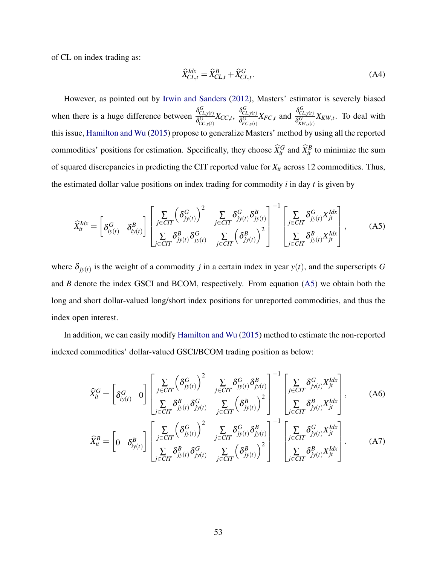of CL on index trading as:

$$
\widehat{X}_{CL,t}^{Idx} = \widehat{X}_{CL,t}^{B} + \widehat{X}_{CL,t}^{G}.
$$
\n(A4)

However, as pointed out by [Irwin and Sanders](#page-37-1) [\(2012\)](#page-37-1), Masters' estimator is severely biased when there is a huge difference between  $\frac{\delta_{CL,y(t)}^G}{s_G}$  $\frac{\delta_{CL,\mathrm{y}(t)}^G}{\delta_{CC,\mathrm{y}(t)}^G}X_{CC,t}, \ \frac{\delta_{CL,\mathrm{y}(t)}^G}{\delta_{FC,\mathrm{y}(t)}^G}$  $\frac{\delta_{CL,y(t)}^G}{\delta_{FC,y(t)}^G} X_{FC,t}$  and  $\frac{\delta_{CL,y(t)}^G}{\delta_{KW,y(t)}^G}$  $\frac{\partial C_{L,y(t)}}{\partial K_{W,y(t)}} X_{KW,t}$ . To deal with this issue, [Hamilton and Wu](#page-36-0) [\(2015\)](#page-36-0) propose to generalize Masters' method by using all the reported commodities' positions for estimation. Specifically, they choose  $\hat{X}_{it}^G$  and  $\hat{X}_{it}^B$  to minimize the sum of squared discrepancies in predicting the CIT reported value for *Xit* across 12 commodities. Thus, the estimated dollar value positions on index trading for commodity *i* in day *t* is given by

<span id="page-54-0"></span>
$$
\widehat{X}_{it}^{Idx} = \begin{bmatrix} \delta_{iy(t)}^G & \delta_{iy(t)}^B \end{bmatrix} \begin{bmatrix} \sum_{j \in CIT} \left( \delta_{jy(t)}^G \right)^2 & \sum_{j \in CIT} \delta_{jy(t)}^G \delta_{jy(t)}^B \\ \sum_{j \in CIT} \delta_{jy(t)}^B \delta_{jy(t)}^G & \sum_{j \in CIT} \left( \delta_{jy(t)}^B \right)^2 \end{bmatrix}^{-1} \begin{bmatrix} \sum_{j \in CIT} \delta_{jy(t)}^G X_{jt}^{Idx} \\ \sum_{j \in CIT} \delta_{jy(t)}^B X_{jt}^{Idx} \end{bmatrix},
$$
\n(A5)

where  $\delta_{jy(t)}$  is the weight of a commodity *j* in a certain index in year  $y(t)$ , and the superscripts *G* and *B* denote the index GSCI and BCOM, respectively. From equation [\(A5\)](#page-54-0) we obtain both the long and short dollar-valued long/short index positions for unreported commodities, and thus the index open interest.

In addition, we can easily modify [Hamilton and Wu](#page-36-0) [\(2015\)](#page-36-0) method to estimate the non-reported indexed commodities' dollar-valued GSCI/BCOM trading position as below:

$$
\widehat{X}_{it}^{G} = \begin{bmatrix} \delta_{iy(t)}^{G} & 0 \end{bmatrix} \begin{bmatrix} \sum_{j \in CIT} \left( \delta_{jy(t)}^{G} \right)^{2} & \sum_{j \in CIT} \delta_{jy(t)}^{G} \delta_{jy(t)}^{B} \\ \sum_{j \in CIT} \delta_{jy(t)}^{B} \delta_{jy(t)}^{G} & \sum_{j \in CIT} \left( \delta_{jy(t)}^{B} \right)^{2} \end{bmatrix}^{-1} \begin{bmatrix} \sum_{j \in CIT} \delta_{jy(t)}^{G} X_{jt}^{Idx} \\ \sum_{j \in CIT} \delta_{jy(t)}^{B} X_{jt}^{Idx} \end{bmatrix}, \quad (A6)
$$
\n
$$
\widehat{X}_{it}^{B} = \begin{bmatrix} 0 & \delta_{iy(t)}^{B} \end{bmatrix} \begin{bmatrix} \sum_{j \in CIT} \left( \delta_{jy(t)}^{G} \right)^{2} & \sum_{j \in CIT} \delta_{jy(t)}^{G} \delta_{jy(t)}^{B} \\ \sum_{j \in CIT} \delta_{jy(t)}^{G} \delta_{jy(t)}^{G} & \sum_{j \in CIT} \left( \delta_{jy(t)}^{B} \right)^{2} \end{bmatrix}^{-1} \begin{bmatrix} \sum_{j \in CIT} \delta_{jy(t)}^{G} X_{jt}^{Idx} \\ \sum_{j \in CIT} \delta_{jy(t)}^{B} X_{jt}^{Idx} \end{bmatrix}. \quad (A7)
$$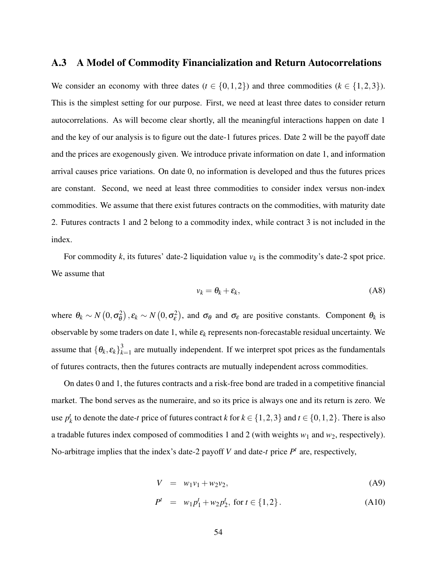# <span id="page-55-0"></span>A.3 A Model of Commodity Financialization and Return Autocorrelations

We consider an economy with three dates ( $t \in \{0,1,2\}$ ) and three commodities ( $k \in \{1,2,3\}$ ). This is the simplest setting for our purpose. First, we need at least three dates to consider return autocorrelations. As will become clear shortly, all the meaningful interactions happen on date 1 and the key of our analysis is to figure out the date-1 futures prices. Date 2 will be the payoff date and the prices are exogenously given. We introduce private information on date 1, and information arrival causes price variations. On date 0, no information is developed and thus the futures prices are constant. Second, we need at least three commodities to consider index versus non-index commodities. We assume that there exist futures contracts on the commodities, with maturity date 2. Futures contracts 1 and 2 belong to a commodity index, while contract 3 is not included in the index.

For commodity  $k$ , its futures' date-2 liquidation value  $v_k$  is the commodity's date-2 spot price. We assume that

$$
v_k = \theta_k + \varepsilon_k, \tag{A8}
$$

where  $\theta_k \sim N(0, \sigma_\theta^2)$  $\sigma_{\theta}^{2}$ ,  $\varepsilon_{k} \sim N(0, \sigma_{\varepsilon}^{2})$ , and  $\sigma_{\theta}$  and  $\sigma_{\varepsilon}$  are positive constants. Component  $\theta_{k}$  is observable by some traders on date 1, while  $\varepsilon_k$  represents non-forecastable residual uncertainty. We assume that  $\{\theta_k, \varepsilon_k\}^3_k$  $\sum_{k=1}^{5}$  are mutually independent. If we interpret spot prices as the fundamentals of futures contracts, then the futures contracts are mutually independent across commodities.

On dates 0 and 1, the futures contracts and a risk-free bond are traded in a competitive financial market. The bond serves as the numeraire, and so its price is always one and its return is zero. We use *p t*  $k_k$  to denote the date-*t* price of futures contract *k* for  $k \in \{1, 2, 3\}$  and  $t \in \{0, 1, 2\}$ . There is also a tradable futures index composed of commodities 1 and 2 (with weights  $w_1$  and  $w_2$ , respectively). No-arbitrage implies that the index's date-2 payoff *V* and date-*t* price  $P<sup>t</sup>$  are, respectively,

<span id="page-55-1"></span>
$$
V = w_1v_1 + w_2v_2, \t\t (A9)
$$

$$
P^t = w_1 p_1^t + w_2 p_2^t, \text{ for } t \in \{1, 2\}.
$$
 (A10)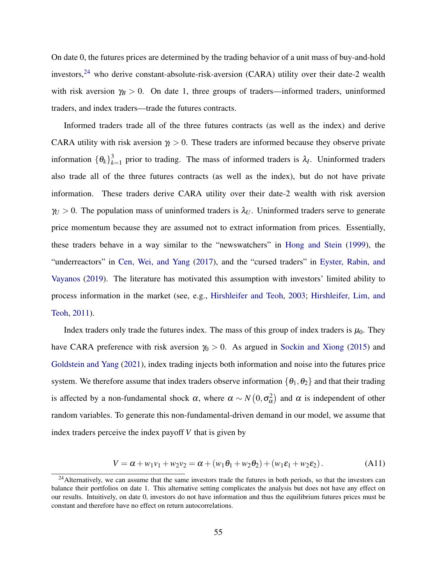On date 0, the futures prices are determined by the trading behavior of a unit mass of buy-and-hold investors,<sup>[24](#page-56-0)</sup> who derive constant-absolute-risk-aversion (CARA) utility over their date-2 wealth with risk aversion  $\gamma_B > 0$ . On date 1, three groups of traders—informed traders, uninformed traders, and index traders—trade the futures contracts.

Informed traders trade all of the three futures contracts (as well as the index) and derive CARA utility with risk aversion  $\gamma$  > 0. These traders are informed because they observe private information  $\{\theta_k\}^3_k$  $\lambda_{k=1}^3$  prior to trading. The mass of informed traders is  $\lambda_I$ . Uninformed traders also trade all of the three futures contracts (as well as the index), but do not have private information. These traders derive CARA utility over their date-2 wealth with risk aversion  $\gamma_U > 0$ . The population mass of uninformed traders is  $\lambda_U$ . Uninformed traders serve to generate price momentum because they are assumed not to extract information from prices. Essentially, these traders behave in a way similar to the "newswatchers" in [Hong and Stein](#page-37-2) [\(1999\)](#page-37-2), the "underreactors" in [Cen, Wei, and Yang](#page-35-0) [\(2017\)](#page-35-0), and the "cursed traders" in [Eyster, Rabin, and](#page-36-1) [Vayanos](#page-36-1) [\(2019\)](#page-36-1). The literature has motivated this assumption with investors' limited ability to process information in the market (see, e.g., [Hirshleifer and Teoh,](#page-37-3) [2003;](#page-37-3) [Hirshleifer, Lim, and](#page-37-4) [Teoh,](#page-37-4) [2011\)](#page-37-4).

Index traders only trade the futures index. The mass of this group of index traders is  $\mu_0$ . They have CARA preference with risk aversion  $\gamma_0 > 0$ . As argued in [Sockin and Xiong](#page-38-1) [\(2015\)](#page-38-1) and [Goldstein and Yang](#page-36-2) [\(2021\)](#page-36-2), index trading injects both information and noise into the futures price system. We therefore assume that index traders observe information  $\{\theta_1, \theta_2\}$  and that their trading is affected by a non-fundamental shock  $\alpha$ , where  $\alpha \sim N(0, \sigma_{\alpha}^2)$  and  $\alpha$  is independent of other random variables. To generate this non-fundamental-driven demand in our model, we assume that index traders perceive the index payoff *V* that is given by

<span id="page-56-1"></span>
$$
V = \alpha + w_1 v_1 + w_2 v_2 = \alpha + (w_1 \theta_1 + w_2 \theta_2) + (w_1 \varepsilon_1 + w_2 \varepsilon_2).
$$
 (A11)

<span id="page-56-0"></span><sup>&</sup>lt;sup>24</sup> Alternatively, we can assume that the same investors trade the futures in both periods, so that the investors can balance their portfolios on date 1. This alternative setting complicates the analysis but does not have any effect on our results. Intuitively, on date 0, investors do not have information and thus the equilibrium futures prices must be constant and therefore have no effect on return autocorrelations.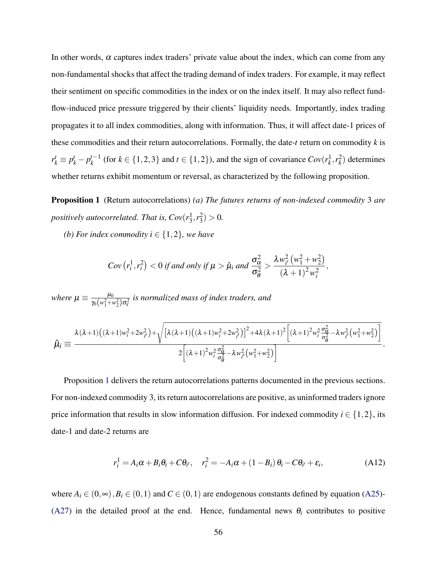In other words,  $\alpha$  captures index traders' private value about the index, which can come from any non-fundamental shocks that affect the trading demand of index traders. For example, it may reflect their sentiment on specific commodities in the index or on the index itself. It may also reflect fundflow-induced price pressure triggered by their clients' liquidity needs. Importantly, index trading propagates it to all index commodities, along with information. Thus, it will affect date-1 prices of these commodities and their return autocorrelations. Formally, the date-*t* return on commodity *k* is  $r_k^t \equiv p_k^t - p_k^{t-1}$ *k*<sup>*t*</sup> −1</sup> (for *k* ∈ {1,2,3} and *t* ∈ {1,2}), and the sign of covariance  $Cov(r_k^1, r_k^2)$  determines whether returns exhibit momentum or reversal, as characterized by the following proposition.

<span id="page-57-0"></span>Proposition 1 (Return autocorrelations) *(a) The futures returns of non-indexed commodity* 3 *are positively autocorrelated. That is,*  $Cov(r_3^1, r_3^2) > 0$ *.* 

*(b) For index commodity i*  $\in$  {1,2}*, we have* 

$$
Cov(r_i^1, r_i^2) < 0 \text{ if and only if } \mu > \hat{\mu}_i \text{ and } \frac{\sigma_{\alpha}^2}{\sigma_{\theta}^2} > \frac{\lambda w_{i'}^2 (w_1^2 + w_2^2)}{(\lambda + 1)^2 w_i^2},
$$

*where*  $\mu \equiv \frac{\mu_0}{\mu_0 (\mu^2 + 1)}$  $\frac{\mu_0}{\gamma_0(w_1^2+w_2^2)\sigma_e^2}$  is normalized mass of index traders, and

$$
\hat{\mu}_i \equiv \frac{\lambda(\lambda+1)((\lambda+1)w_i^2 + 2w_{i'}^2) + \sqrt{[\lambda(\lambda+1)((\lambda+1)w_i^2 + 2w_{i'}^2)]^2 + 4\lambda(\lambda+1)^2 \left[ (\lambda+1)^2 w_i^2 \frac{\sigma_{\alpha}^2}{\sigma_{\theta}^2} - \lambda w_{i'}^2 (w_1^2 + w_2^2) \right]}}{2\left[ (\lambda+1)^2 w_i^2 \frac{\sigma_{\alpha}^2}{\sigma_{\theta}^2} - \lambda w_{i'}^2 (w_1^2 + w_2^2) \right]}.
$$

Proposition [1](#page-57-0) delivers the return autocorrelations patterns documented in the previous sections. For non-indexed commodity 3, its return autocorrelations are positive, as uninformed traders ignore price information that results in slow information diffusion. For indexed commodity  $i \in \{1,2\}$ , its date-1 and date-2 returns are

<span id="page-57-1"></span>
$$
r_i^1 = A_i \alpha + B_i \theta_i + C \theta_{i'}, \quad r_i^2 = -A_i \alpha + (1 - B_i) \theta_i - C \theta_{i'} + \varepsilon_i,
$$
 (A12)

where  $A_i \in (0, \infty)$ ,  $B_i \in (0, 1)$  and  $C \in (0, 1)$  are endogenous constants defined by equation [\(A25\)](#page-61-0)-[\(A27\)](#page-61-0) in the detailed proof at the end. Hence, fundamental news  $\theta_i$  contributes to positive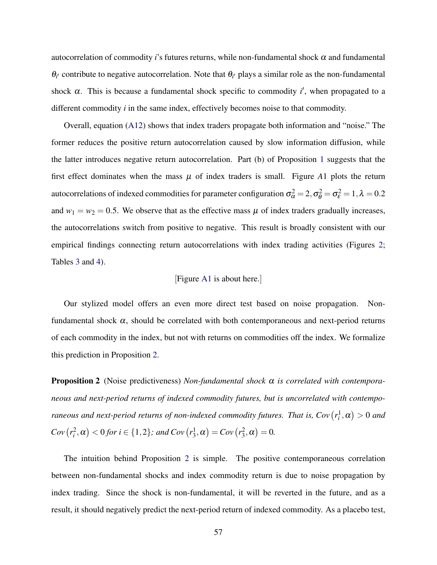autocorrelation of commodity *i*'s futures returns, while non-fundamental shock  $\alpha$  and fundamental  $\theta_{i'}$  contribute to negative autocorrelation. Note that  $\theta_{i'}$  plays a similar role as the non-fundamental shock  $\alpha$ . This is because a fundamental shock specific to commodity  $i'$ , when propagated to a different commodity *i* in the same index, effectively becomes noise to that commodity.

Overall, equation [\(A12\)](#page-57-1) shows that index traders propagate both information and "noise." The former reduces the positive return autocorrelation caused by slow information diffusion, while the latter introduces negative return autocorrelation. Part (b) of Proposition [1](#page-57-0) suggests that the first effect dominates when the mass  $\mu$  of index traders is small. Figure A1 plots the return autocorrelations of indexed commodities for parameter configuration  $\sigma_\alpha^2=2, \sigma_\theta^2=\sigma_\epsilon^2=1, \lambda=0.2$ and  $w_1 = w_2 = 0.5$ . We observe that as the effective mass  $\mu$  of index traders gradually increases, the autocorrelations switch from positive to negative. This result is broadly consistent with our empirical findings connecting return autocorrelations with index trading activities (Figures [2;](#page-40-0) Tables [3](#page-44-0) and [4\)](#page-45-0).

### [Figure [A1](#page-62-0) is about here.]

Our stylized model offers an even more direct test based on noise propagation. Nonfundamental shock  $\alpha$ , should be correlated with both contemporaneous and next-period returns of each commodity in the index, but not with returns on commodities off the index. We formalize this prediction in Proposition [2.](#page-58-0)

<span id="page-58-0"></span>Proposition 2 (Noise predictiveness) *Non-fundamental shock* α *is correlated with contemporaneous and next-period returns of indexed commodity futures, but is uncorrelated with contemporaneous and next-period returns of non-indexed commodity futures. That is,*  $Cov(r_i^1, \alpha) > 0$  *and*  $Cov(r_i^2, \alpha) < 0$  for  $i \in \{1, 2\}$ ; and  $Cov(r_3^1, \alpha) = Cov(r_3^2, \alpha) = 0$ .

The intuition behind Proposition [2](#page-58-0) is simple. The positive contemporaneous correlation between non-fundamental shocks and index commodity return is due to noise propagation by index trading. Since the shock is non-fundamental, it will be reverted in the future, and as a result, it should negatively predict the next-period return of indexed commodity. As a placebo test,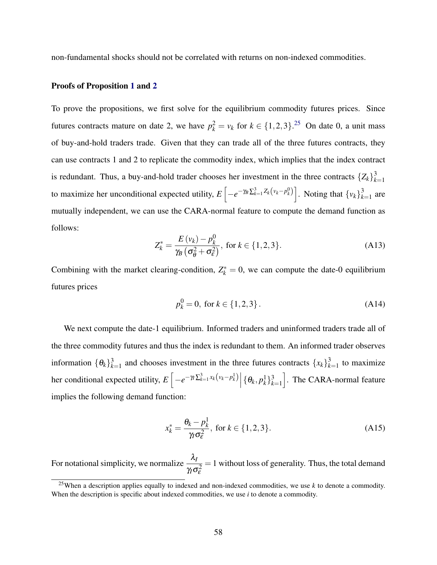non-fundamental shocks should not be correlated with returns on non-indexed commodities.

### Proofs of Proposition [1](#page-57-0) and [2](#page-58-0)

To prove the propositions, we first solve for the equilibrium commodity futures prices. Since futures contracts mature on date 2, we have  $p_k^2 = v_k$  for  $k \in \{1, 2, 3\}$ .<sup>[25](#page-59-0)</sup> On date 0, a unit mass of buy-and-hold traders trade. Given that they can trade all of the three futures contracts, they can use contracts 1 and 2 to replicate the commodity index, which implies that the index contract is redundant. Thus, a buy-and-hold trader chooses her investment in the three contracts  $\{Z_k\}_k^3$ *k*=1 to maximize her unconditional expected utility,  $E\left[-e^{-\gamma_B\sum_{k=1}^3 Z_k(v_k-p_k^0)}\right]$ . Noting that  $\{v_k\}_k^3$  $\sum_{k=1}^{3}$  are mutually independent, we can use the CARA-normal feature to compute the demand function as follows:

$$
Z_k^* = \frac{E(v_k) - p_k^0}{\gamma_B \left(\sigma_\theta^2 + \sigma_\epsilon^2\right)}, \text{ for } k \in \{1, 2, 3\}.
$$
 (A13)

Combining with the market clearing-condition,  $Z_k^* = 0$ , we can compute the date-0 equilibrium futures prices

$$
p_k^0 = 0, \text{ for } k \in \{1, 2, 3\}.
$$
 (A14)

We next compute the date-1 equilibrium. Informed traders and uninformed traders trade all of the three commodity futures and thus the index is redundant to them. An informed trader observes information  $\{\theta_k\}^3_k$  $\frac{3}{k-1}$  and chooses investment in the three futures contracts  $\{x_k\}_{k=1}^3$  $\sum_{k=1}^{3}$  to maximize her conditional expected utility,  $E\left[-e^{-\gamma t \sum_{k=1}^{3} x_k(v_k - p_k^1)}\right] \{\theta_k, p_k^1\}_{k=1}^3$ *k*=1 . The CARA-normal feature implies the following demand function:

$$
x_k^* = \frac{\theta_k - p_k^1}{\gamma_l \sigma_\varepsilon^2}, \text{ for } k \in \{1, 2, 3\}.
$$
 (A15)

For notational simplicity, we normalize  $\frac{\lambda_l}{\lambda_l}$  $\gamma_I \sigma_\varepsilon^2$  $= 1$  without loss of generality. Thus, the total demand

<span id="page-59-0"></span><sup>&</sup>lt;sup>25</sup>When a description applies equally to indexed and non-indexed commodities, we use  $k$  to denote a commodity. When the description is specific about indexed commodities, we use *i* to denote a commodity.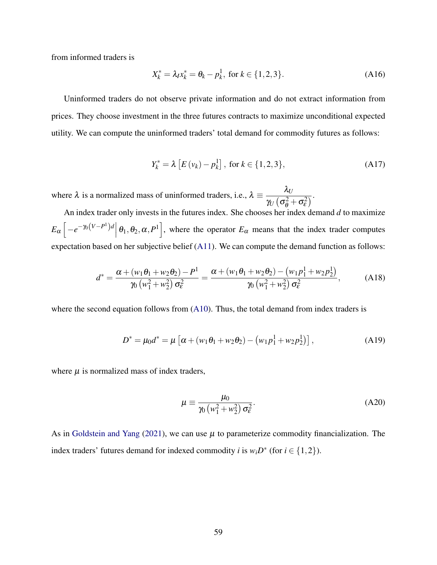from informed traders is

<span id="page-60-0"></span>
$$
X_k^* = \lambda_I x_k^* = \theta_k - p_k^1, \text{ for } k \in \{1, 2, 3\}. \tag{A16}
$$

Uninformed traders do not observe private information and do not extract information from prices. They choose investment in the three futures contracts to maximize unconditional expected utility. We can compute the uninformed traders' total demand for commodity futures as follows:

<span id="page-60-1"></span>
$$
Y_k^* = \lambda \left[ E(v_k) - p_k^1 \right], \text{ for } k \in \{1, 2, 3\},\tag{A17}
$$

where  $\lambda$  is a normalized mass of uninformed traders, i.e.,  $\lambda \equiv \frac{\lambda_U}{\lambda_L}$  $\frac{\partial v}{\partial y} \left( \sigma_{\theta}^2 + \sigma_{\epsilon}^2 \right)$ .

An index trader only invests in the futures index. She chooses her index demand *d* to maximize  $E_{\alpha}$   $\left[-e^{-\gamma_0(V-P^1)d}\right|\theta_1,\theta_2,\alpha,P^1\right]$ , where the operator  $E_{\alpha}$  means that the index trader computes expectation based on her subjective belief [\(A11\)](#page-56-1). We can compute the demand function as follows:

$$
d^* = \frac{\alpha + (w_1 \theta_1 + w_2 \theta_2) - P^1}{\gamma_0 (w_1^2 + w_2^2) \sigma_{\epsilon}^2} = \frac{\alpha + (w_1 \theta_1 + w_2 \theta_2) - (w_1 p_1^1 + w_2 p_2^1)}{\gamma_0 (w_1^2 + w_2^2) \sigma_{\epsilon}^2},
$$
 (A18)

where the second equation follows from [\(A10\)](#page-55-1). Thus, the total demand from index traders is

<span id="page-60-2"></span>
$$
D^* = \mu_0 d^* = \mu \left[ \alpha + (w_1 \theta_1 + w_2 \theta_2) - (w_1 p_1^1 + w_2 p_2^1) \right],
$$
 (A19)

where  $\mu$  is normalized mass of index traders,

$$
\mu \equiv \frac{\mu_0}{\gamma_0 \left( w_1^2 + w_2^2 \right) \sigma_\varepsilon^2}.
$$
\n(A20)

As in [Goldstein and Yang](#page-36-2) [\(2021\)](#page-36-2), we can use  $\mu$  to parameterize commodity financialization. The index traders' futures demand for indexed commodity *i* is  $w_i D^*$  (for  $i \in \{1,2\}$ ).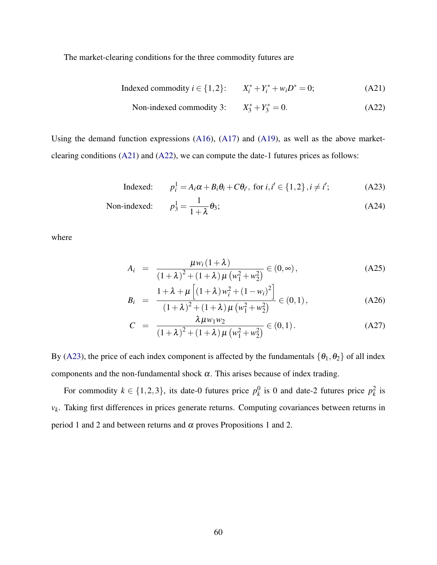The market-clearing conditions for the three commodity futures are

<span id="page-61-1"></span>Indeed commodity 
$$
i \in \{1, 2\}
$$
:  $X_i^* + Y_i^* + w_i D^* = 0$ ; (A21)

Non-indexed commodity 3: 
$$
X_3^* + Y_3^* = 0.
$$
 (A22)

Using the demand function expressions [\(A16\)](#page-60-0), [\(A17\)](#page-60-1) and [\(A19\)](#page-60-2), as well as the above marketclearing conditions [\(A21\)](#page-61-1) and [\(A22\)](#page-61-1), we can compute the date-1 futures prices as follows:

<span id="page-61-2"></span>Indeed: 
$$
p_i^1 = A_i \alpha + B_i \theta_i + C \theta_{i'}, \text{ for } i, i' \in \{1, 2\}, i \neq i';
$$
 (A23)

Non-indexed: 
$$
p_3^1 = \frac{1}{1+\lambda} \theta_3;
$$
 (A24)

where

<span id="page-61-0"></span>
$$
A_{i} = \frac{\mu w_{i} (1 + \lambda)}{(1 + \lambda)^{2} + (1 + \lambda) \mu (w_{1}^{2} + w_{2}^{2})} \in (0, \infty),
$$
 (A25)

$$
B_{i} = \frac{1 + \lambda + \mu \left[ (1 + \lambda) w_{i}^{2} + (1 - w_{i})^{2} \right]}{(1 + \lambda)^{2} + (1 + \lambda) \mu \left( w_{1}^{2} + w_{2}^{2} \right)} \in (0, 1), \tag{A26}
$$

$$
C = \frac{\lambda \mu w_1 w_2}{(1 + \lambda)^2 + (1 + \lambda) \mu (w_1^2 + w_2^2)} \in (0, 1).
$$
 (A27)

By [\(A23\)](#page-61-2), the price of each index component is affected by the fundamentals  $\{\theta_1, \theta_2\}$  of all index components and the non-fundamental shock  $\alpha$ . This arises because of index trading.

For commodity  $k \in \{1, 2, 3\}$ , its date-0 futures price  $p_k^0$  $\frac{0}{k}$  is 0 and date-2 futures price  $p_k^2$  is *vk* . Taking first differences in prices generate returns. Computing covariances between returns in period 1 and 2 and between returns and  $\alpha$  proves Propositions 1 and 2.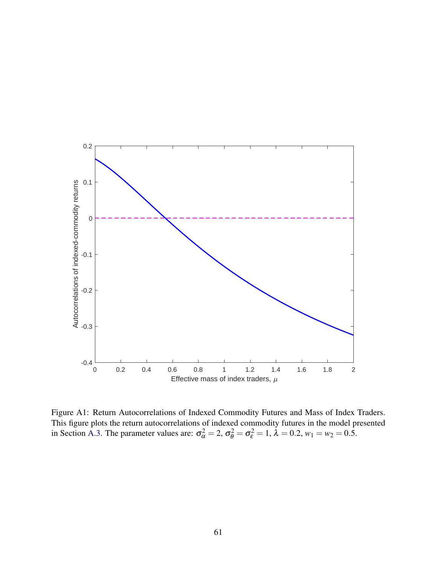<span id="page-62-0"></span>

Figure A1: Return Autocorrelations of Indexed Commodity Futures and Mass of Index Traders. This figure plots the return autocorrelations of indexed commodity futures in the model presented in Section [A.3.](#page-55-0) The parameter values are:  $\sigma_{\alpha}^2 = 2$ ,  $\sigma_{\theta}^2 = \sigma_{\epsilon}^2 = 1$ ,  $\lambda = 0.2$ ,  $w_1 = w_2 = 0.5$ .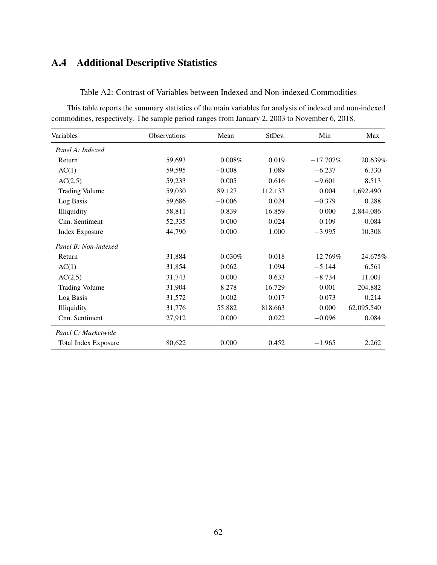# <span id="page-63-0"></span>A.4 Additional Descriptive Statistics

Table A2: Contrast of Variables between Indexed and Non-indexed Commodities

This table reports the summary statistics of the main variables for analysis of indexed and non-indexed commodities, respectively. The sample period ranges from January 2, 2003 to November 6, 2018.

| Variables                   | <b>Observations</b> | Mean     | StDev.  | Min         | Max        |
|-----------------------------|---------------------|----------|---------|-------------|------------|
| Panel A: Indexed            |                     |          |         |             |            |
| Return                      | 59,693              | 0.008%   | 0.019   | $-17.707\%$ | 20.639%    |
| AC(1)                       | 59,595              | $-0.008$ | 1.089   | $-6.237$    | 6.330      |
| AC(2,5)                     | 59,233              | 0.005    | 0.616   | $-9.601$    | 8.513      |
| <b>Trading Volume</b>       | 59,030              | 89.127   | 112.133 | 0.004       | 1,692.490  |
| Log Basis                   | 59,686              | $-0.006$ | 0.024   | $-0.379$    | 0.288      |
| Illiquidity                 | 58,811              | 0.839    | 16.859  | 0.000       | 2,844.086  |
| Cnn. Sentiment              | 52,335              | 0.000    | 0.024   | $-0.109$    | 0.084      |
| <b>Index Exposure</b>       | 44,790              | 0.000    | 1.000   | $-3.995$    | 10.308     |
| Panel B: Non-indexed        |                     |          |         |             |            |
| Return                      | 31,884              | 0.030%   | 0.018   | $-12.769%$  | 24.675%    |
| AC(1)                       | 31,854              | 0.062    | 1.094   | $-5.144$    | 6.561      |
| AC(2,5)                     | 31,743              | 0.000    | 0.633   | $-8.734$    | 11.001     |
| <b>Trading Volume</b>       | 31,904              | 8.278    | 16.729  | 0.001       | 204.882    |
| Log Basis                   | 31,572              | $-0.002$ | 0.017   | $-0.073$    | 0.214      |
| Illiquidity                 | 31,776              | 55.882   | 818.663 | 0.000       | 62,095.540 |
| Cnn. Sentiment              | 27,912              | 0.000    | 0.022   | $-0.096$    | 0.084      |
| Panel C: Marketwide         |                     |          |         |             |            |
| <b>Total Index Exposure</b> | 80,622              | 0.000    | 0.452   | $-1.965$    | 2.262      |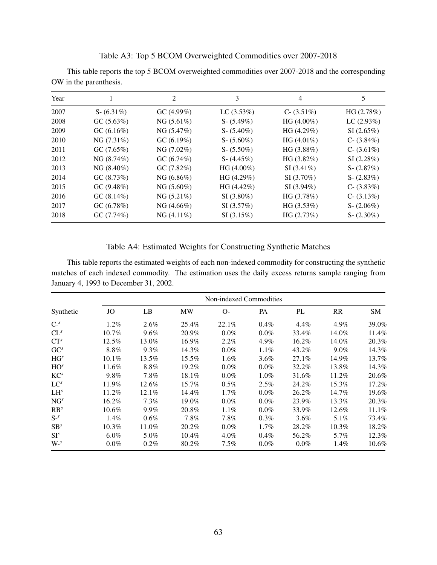Table A3: Top 5 BCOM Overweighted Commodities over 2007-2018

This table reports the top 5 BCOM overweighted commodities over 2007-2018 and the corresponding OW in the parenthesis.

| Year |                | 2             | 3              | 4              | 5              |
|------|----------------|---------------|----------------|----------------|----------------|
| 2007 | $S - (6.31\%)$ | GC(4.99%)     | LC(3.53%)      | $C - (3.51\%)$ | HG(2.78%)      |
| 2008 | GC (5.63%)     | $NG (5.61\%)$ | $S - (5.49\%)$ | $HG(4.00\%)$   | LC(2.93%)      |
| 2009 | GC(6.16%)      | NG (5.47%)    | $S - (5.40\%)$ | HG(4.29%)      | SI(2.65%)      |
| 2010 | NG (7.31%)     | GC(6.19%)     | $S - (5.60\%)$ | HG(4.01%)      | $C - (3.84\%)$ |
| 2011 | GC(7.65%)      | NG (7.02%)    | $S - (5.50\%)$ | HG(3.88%)      | $C - (3.61\%)$ |
| 2012 | NG (8.74%)     | GC(6.74%)     | $S - (4.45\%)$ | HG(3.82%)      | SI(2.28%)      |
| 2013 | NG (8.40%)     | GC(7.82%)     | $HG(4.00\%)$   | $SI(3.41\%)$   | S- $(2.87%)$   |
| 2014 | GC (8.73%)     | NG (6.86%)    | HG(4.29%)      | $SI(3.70\%)$   | $S - (2.83\%)$ |
| 2015 | GC(9.48%)      | $NG (5.60\%)$ | HG(4.42%)      | $SI(3.94\%)$   | $C - (3.83\%)$ |
| 2016 | GC (8.14%)     | NG (5.21%)    | $SI(3.80\%)$   | HG (3.78%)     | $C - (3.13\%)$ |
| 2017 | GC (6.78%)     | $NG (4.66\%)$ | SI(3.57%)      | HG(3.53%)      | $S - (2.06\%)$ |
| 2018 | GC(7.74%)      | $NG(4.11\%)$  | SI(3.15%)      | HG(2.73%)      | $S - (2.30\%)$ |

Table A4: Estimated Weights for Constructing Synthetic Matches

This table reports the estimated weights of each non-indexed commodity for constructing the synthetic matches of each indexed commodity. The estimation uses the daily excess returns sample ranging from January 4, 1993 to December 31, 2002.

|                 |          |          |       | Non-indexed Commodities |           |         |           |           |
|-----------------|----------|----------|-------|-------------------------|-----------|---------|-----------|-----------|
| Synthetic       | JO       | LB       | MW    | $O-$                    | <b>PA</b> | PL      | <b>RR</b> | <b>SM</b> |
| $C^{-s}$        | 1.2%     | 2.6%     | 25.4% | 22.1%                   | 0.4%      | 4.4%    | 4.9%      | 39.0%     |
| $CL^{s}$        | $10.7\%$ | 9.6%     | 20.9% | $0.0\%$                 | $0.0\%$   | 33.4%   | 14.0%     | 11.4%     |
| $CT^s$          | 12.5%    | 13.0%    | 16.9% | 2.2%                    | 4.9%      | 16.2%   | 14.0%     | 20.3%     |
| GC <sup>s</sup> | 8.8%     | 9.3%     | 14.3% | $0.0\%$                 | $1.1\%$   | 43.2%   | $9.0\%$   | 14.3%     |
| HG <sup>s</sup> | $10.1\%$ | 13.5%    | 15.5% | $1.6\%$                 | 3.6%      | 27.1%   | 14.9%     | 13.7%     |
| HO <sup>s</sup> | 11.6%    | 8.8%     | 19.2% | $0.0\%$                 | $0.0\%$   | 32.2%   | 13.8%     | 14.3%     |
| KC <sup>s</sup> | 9.8%     | 7.8%     | 18.1% | $0.0\%$                 | $1.0\%$   | 31.6%   | 11.2%     | 20.6%     |
| $LC^{s}$        | 11.9%    | 12.6%    | 15.7% | $0.5\%$                 | 2.5%      | 24.2%   | 15.3%     | 17.2%     |
| LH <sup>s</sup> | 11.2%    | $12.1\%$ | 14.4% | $1.7\%$                 | $0.0\%$   | 26.2%   | 14.7%     | 19.6%     |
| NG <sup>s</sup> | 16.2%    | 7.3%     | 19.0% | $0.0\%$                 | $0.0\%$   | 23.9%   | 13.3%     | 20.3%     |
| RB <sup>s</sup> | $10.6\%$ | 9.9%     | 20.8% | 1.1%                    | $0.0\%$   | 33.9%   | 12.6%     | 11.1%     |
| $S^{-s}$        | 1.4%     | 0.6%     | 7.8%  | 7.8%                    | $0.3\%$   | $3.6\%$ | 5.1%      | 73.4%     |
| SB <sup>s</sup> | $10.3\%$ | 11.0%    | 20.2% | $0.0\%$                 | 1.7%      | 28.2%   | 10.3%     | 18.2%     |
| $SI^s$          | $6.0\%$  | 5.0%     | 10.4% | $4.0\%$                 | 0.4%      | 56.2%   | 5.7%      | 12.3%     |
| $W-s$           | $0.0\%$  | 0.2%     | 80.2% | $7.5\%$                 | $0.0\%$   | $0.0\%$ | 1.4%      | $10.6\%$  |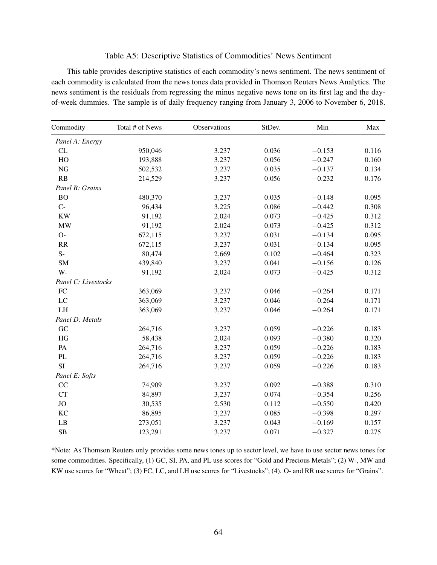### Table A5: Descriptive Statistics of Commodities' News Sentiment

This table provides descriptive statistics of each commodity's news sentiment. The news sentiment of each commodity is calculated from the news tones data provided in Thomson Reuters News Analytics. The news sentiment is the residuals from regressing the minus negative news tone on its first lag and the dayof-week dummies. The sample is of daily frequency ranging from January 3, 2006 to November 6, 2018.

| Commodity           | Total # of News | Observations | StDev. | Min      | Max   |
|---------------------|-----------------|--------------|--------|----------|-------|
| Panel A: Energy     |                 |              |        |          |       |
| CL                  | 950,046         | 3,237        | 0.036  | $-0.153$ | 0.116 |
| HO                  | 193,888         | 3,237        | 0.056  | $-0.247$ | 0.160 |
| <b>NG</b>           | 502,532         | 3,237        | 0.035  | $-0.137$ | 0.134 |
| RB                  | 214,529         | 3,237        | 0.056  | $-0.232$ | 0.176 |
| Panel B: Grains     |                 |              |        |          |       |
| <b>BO</b>           | 480,370         | 3,237        | 0.035  | $-0.148$ | 0.095 |
| $C-$                | 96,434          | 3,225        | 0.086  | $-0.442$ | 0.308 |
| <b>KW</b>           | 91,192          | 2,024        | 0.073  | $-0.425$ | 0.312 |
| <b>MW</b>           | 91,192          | 2,024        | 0.073  | $-0.425$ | 0.312 |
| $O-$                | 672,115         | 3,237        | 0.031  | $-0.134$ | 0.095 |
| RR                  | 672,115         | 3,237        | 0.031  | $-0.134$ | 0.095 |
| $S-$                | 80,474          | 2,669        | 0.102  | $-0.464$ | 0.323 |
| <b>SM</b>           | 439,840         | 3,237        | 0.041  | $-0.156$ | 0.126 |
| W-                  | 91,192          | 2,024        | 0.073  | $-0.425$ | 0.312 |
| Panel C: Livestocks |                 |              |        |          |       |
| FC                  | 363,069         | 3,237        | 0.046  | $-0.264$ | 0.171 |
| LC                  | 363,069         | 3,237        | 0.046  | $-0.264$ | 0.171 |
| LH                  | 363,069         | 3,237        | 0.046  | $-0.264$ | 0.171 |
| Panel D: Metals     |                 |              |        |          |       |
| GC                  | 264,716         | 3,237        | 0.059  | $-0.226$ | 0.183 |
| HG                  | 58,438          | 2,024        | 0.093  | $-0.380$ | 0.320 |
| PA                  | 264,716         | 3,237        | 0.059  | $-0.226$ | 0.183 |
| PL                  | 264,716         | 3,237        | 0.059  | $-0.226$ | 0.183 |
| <b>SI</b>           | 264,716         | 3,237        | 0.059  | $-0.226$ | 0.183 |
| Panel E: Softs      |                 |              |        |          |       |
| CC                  | 74,909          | 3,237        | 0.092  | $-0.388$ | 0.310 |
| CT                  | 84,897          | 3,237        | 0.074  | $-0.354$ | 0.256 |
| <b>JO</b>           | 30,535          | 2,530        | 0.112  | $-0.550$ | 0.420 |
| KC                  | 86,895          | 3,237        | 0.085  | $-0.398$ | 0.297 |
| LB                  | 273,051         | 3,237        | 0.043  | $-0.169$ | 0.157 |
| SB                  | 123,291         | 3,237        | 0.071  | $-0.327$ | 0.275 |

\*Note: As Thomson Reuters only provides some news tones up to sector level, we have to use sector news tones for some commodities. Specifically, (1) GC, SI, PA, and PL use scores for "Gold and Precious Metals"; (2) W-, MW and KW use scores for "Wheat"; (3) FC, LC, and LH use scores for "Livestocks"; (4). O- and RR use scores for "Grains".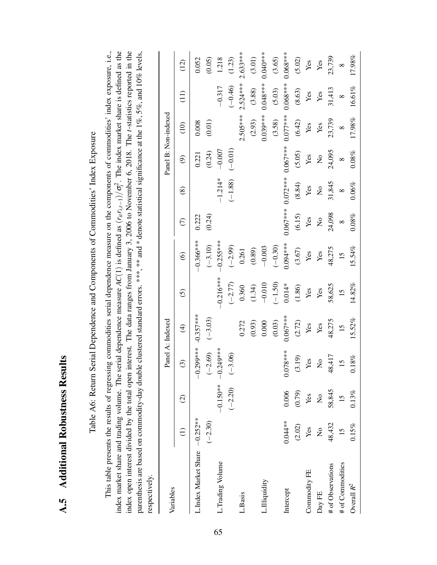| ļ<br>I |  |
|--------|--|
| {<br>} |  |
|        |  |
|        |  |

Table A6: Return Serial Dependence and Components of Commodities' Index Exposure Table A6: Return Serial Dependence and Components of Commodities' Index Exposure

<span id="page-66-0"></span>index market share and trading volume. The serial dependence measure  $AC(1)$  is defined as  $(r_{it}r_{i,t-1})/\sigma_t^2$ . The index market share is defined as the index open interest divided by the total open interest. The data ranges from January 3, 2006 to November 6, 2018. The t-statistics reported in the This table presents the results of regressing commodities serial dependence measure on the components of commodities' index exposure, i.e., parenthesis are based on commodity-day double clustered standard errors. \*\*\*, \*\* and \* denote statistical significance at the 1%, 5%, and 10% levels, This table presents the results of regressing commodities serial dependence measure on the components of commodities' index exposure, i.e., index market share and trading volume. The serial dependence measure *AC*(1) is defined as (*ritri*,*t*−1)/σ2*i* . The index market share is defined as the index open interest divided by the total open interest. The data ranges from January 3, 2006 to November 6, 2018. The *t*-statistics reported in the parenthesis are based on commodity-day double clustered standard errors. \*\*\*, \*\*\* and \* denote statistical significance at the 1%, 5%, and 10% levels, respectively. respectively.

| Variables                     |                 |                           |               | Panel A: Indexed |                 |                        |                 |                           | Panel B: Non-indexed      |                |                 |            |
|-------------------------------|-----------------|---------------------------|---------------|------------------|-----------------|------------------------|-----------------|---------------------------|---------------------------|----------------|-----------------|------------|
|                               |                 | $\widehat{\infty}$        | $\widehat{c}$ | $\widehat{f}$    | $\widehat{c}$   | $\widehat{\mathbf{e}}$ | $\widehat{\in}$ | $\circledS$               | $\widehat{e}$             | $\frac{10}{2}$ | $\widehat{\Xi}$ | (12)       |
| L.Index Market Share -0.252** |                 |                           | 299***        | $-0.357***$      |                 | $-0.366***$            | 0.222           |                           | 0.221                     | 0.008          |                 | 0.052      |
|                               | $(-2.30)$       |                           | $(-2.69)$     | $(-3.03)$        |                 | $(-3.10)$              | (0.24)          |                           | (0.24)                    | (0.01)         |                 | (0.05)     |
| L.Trading Volume              |                 | $-0.150**-0$              | 1.249***      |                  | $-0.216***$     | $-0.255***$            |                 | $-1.214*$                 | $-0.007$                  |                | $-0.317$        | 1.218      |
|                               |                 | $(-2.20)$                 | $(-3.06)$     |                  | $(-2.77)$       | $(-2.99)$              |                 | $(-1.88)$                 | $(-0.01)$                 |                | $(-0.46)$       | (1.23)     |
| L.Basis                       |                 |                           |               | 0.272            | 0.360           | 0.261                  |                 |                           |                           | $2.505***$     | $2.524***$      | $2.633***$ |
|                               |                 |                           |               | (0.93)           | (1.34)          | (0.89)                 |                 |                           |                           | (2.93)         | (3.88)          | (3.01)     |
| L.Illiquidity                 |                 |                           |               | 0.000            | $-0.010$        | $-0.003$               |                 |                           |                           | $0.039***$     | $0.048***$      | $0.040***$ |
|                               |                 |                           |               | (0.03)           | $(-1.50)$       | $(-0.30)$              |                 |                           |                           | (3.58)         | (5.03)          | (3.65)     |
| Intercept                     | $0.044**$       | 0.006                     | $0.078***$    | $0.067***$       | $0.014*$        | $0.094***$             | $0.067***$      | $0.072***$                | $0.067***$                | $0.077***$     | $0.068***$      | $0.068***$ |
|                               | (2.02)          | (0.79)                    | (3.19)        | (2.72)           | (1.86)          | (3.67)                 | (6.15)          | (8.84)                    | (5.05)                    | (6.42)         | (8.63)          | (5.02)     |
| Commodity FE                  | Yes             | Yes                       | Yes           | Yes              | Yes             | Yes                    | Yes             | Yes                       | Yes                       | Yes            | Yes             | Yes        |
| Day FE                        | $\frac{1}{2}$   | $\mathsf{S}^{\mathsf{O}}$ | $\frac{1}{2}$ | Yes              | Yes             | Yes                    | $\overline{S}$  | $\mathsf{S}^{\mathsf{O}}$ | $\mathsf{S}^{\mathsf{O}}$ | Yes            | Yes             | Yes        |
| # of Observations             | 48,432          | 58,845                    | 18,417        | 48,275           | 58,625          | 48,275                 | 24,098          | 31,845                    | 24,095                    | 23,739         | 31,413          | 23,739     |
| # of Commodities              | $\overline{15}$ | 15                        | 15            | $\overline{15}$  | $\overline{15}$ | $\overline{15}$        | $\infty$        | $\infty$                  | $\infty$                  | $\infty$       | $\infty$        | $\infty$   |
| Overall $R^2$                 | 0.15%           | 0.13%                     | 0.18%         | 15.52%           | 14.82%          | 15.54%                 | 0.08%           | $0.06\%$                  | $0.08\%$                  | 17.98%         | 16.61%          | 17.98%     |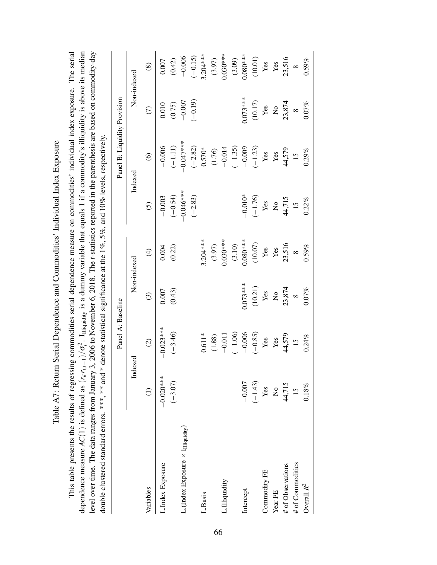| Table A7: Return Serial Dependence and Commodities' Individual Index Exposure | This table presents the results of regressing commodities serial dependence measure on commodities' individual index exposure. The serial | dependence measure $AC(1)$ is defined as $(r_{it}r_{i,t-1})/\sigma_i^2$ . Iniquidity is a dummy variable that equals 1 if a commodity's illiquidity is above its median | 3, 2006 to November 6, 2018. The <i>t</i> -statistics reported in the parenthesis are based on commodity-day | double clustered standard errors. ***, *** and * denote statistical significance at the 1%, 5%, and 10% levels, respectively. | Danal R. Liquidity Drovision<br>$\mathsf{D}{\mathsf{nna}}$ $\Lambda \cdot \mathsf{R}{\mathsf{nca}}$ ine |
|-------------------------------------------------------------------------------|-------------------------------------------------------------------------------------------------------------------------------------------|-------------------------------------------------------------------------------------------------------------------------------------------------------------------------|--------------------------------------------------------------------------------------------------------------|-------------------------------------------------------------------------------------------------------------------------------|---------------------------------------------------------------------------------------------------------|
|                                                                               |                                                                                                                                           |                                                                                                                                                                         | level over time. The data ranges from January                                                                |                                                                                                                               |                                                                                                         |

|                                         |                          | Panel A: Baseline         |                           |                 |                           | Panel B: Liquidity Provision |                           |                 |
|-----------------------------------------|--------------------------|---------------------------|---------------------------|-----------------|---------------------------|------------------------------|---------------------------|-----------------|
|                                         | Indexed                  |                           | Non-indexed               |                 | Indexed                   |                              | Non-indexed               |                 |
| Variables                               | $\bigoplus$              | $\odot$                   | $\odot$                   | $\bigoplus$     | $\widehat{S}$             | $\widehat{\mathbf{e}}$       | $\widehat{C}$             | $\circledast$   |
| L.Index Exposure                        | $-0.020***$<br>$(-3.07)$ | $-0.023$ ***<br>$(-3.46)$ | (0.43)<br>0.007           | (0.22)<br>0.004 | $(-0.54)$<br>$-0.003$     | $-0.006$<br>$(-1.11)$        | (0.75)<br>0.010           | (0.42)<br>0.007 |
| L. (Index Exposure $\times$ Iniquidity) |                          |                           |                           |                 | $-0.046***$               | $-0.047$ ***                 | $-0.007$                  | $-0.006$        |
|                                         |                          |                           |                           |                 | $(-2.83)$                 | $(-2.82)$                    | $(-0.19)$                 | $(-0.15)$       |
| L.Basis                                 |                          | $0.611*$                  |                           | $3.204***$      |                           | $0.570*$                     |                           | $3.204***$      |
|                                         |                          | (1.88)                    |                           | (3.97)          |                           | (1.76)                       |                           | (3.97)          |
| L.Illiquidity                           |                          | $-0.011$                  |                           | $0.030***$      |                           | $-0.014$                     |                           | $0.030***$      |
|                                         |                          | $(-1.06)$                 |                           | (3.10)          |                           | $(-1.35)$                    |                           | (3.09)          |
| Intercept                               | $-0.007$                 | $-0.006$                  | $0.073***$                | $0.080***$      | $-0.010*$                 | $-0.009$                     | $0.073***$                | $0.080***$      |
|                                         | $(-1.43)$                | $(-0.85)$                 | (10.21)                   | (10.07)         | $(-1.76)$                 | $(-1.23)$                    | (10.17)                   | (10.01)         |
| Commodity FE                            | Yes                      | $\mathbf{Yes}$            | Yes                       | $\mathbf{Yes}$  | Yes                       | Yes                          | Yes                       | Yes             |
| Year FE                                 | $\overline{a}$           | Yes                       | $\mathsf{S}^{\mathsf{O}}$ | Yes             | $\mathsf{S}^{\mathsf{O}}$ | Yes                          | $\mathsf{S}^{\mathsf{O}}$ | Yes             |
| # of Observations                       | 44,715                   | 44,579                    | 23,874                    | 23,516          | 44,715                    | 44,579                       | 23,874                    | 23,516          |
| # of Commodities                        | $15 \text{ }$            | 15                        | $\infty$                  | $\infty$        | $\overline{15}$           | $\overline{15}$              | $\infty$                  | $\infty$        |
| Overall $R^2$                           | 0.18%                    | 0.24%                     | 0.07%                     | $0.59\%$        | 0.22%                     | 0.29%                        | 0.07%                     | 0.59%           |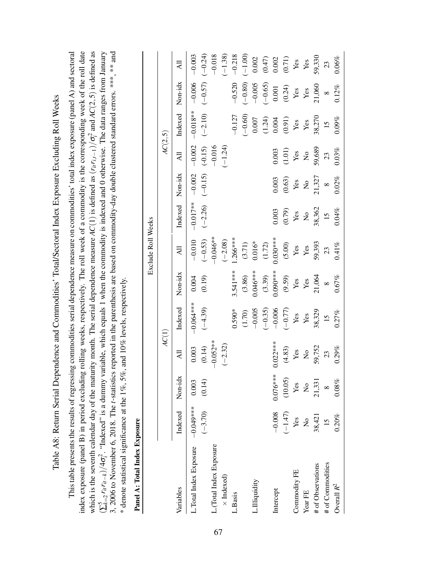Table A8: Return Serial Dependence and Commodities' Total/Sectoral Index Exposure Excluding Roll Weeks Table A8: Return Serial Dependence and Commodities' Total/Sectoral Index Exposure Excluding Roll Weeks

<span id="page-68-0"></span>index exposure (panel B) in period excluding rolling weeks, respectively. The roll week of a commodity is the corresponding week of the roll date 3, 2006 to November 6, 2018. The t-statistics reported in the parenthesis are based on commodity-day double clustered standard errors. \*\*\*, \*\* and This table presents the results of regressing commodities serial dependence measure on commodities' total index exposure (panel A) and sectoral This table presents the results of regressing commodities serial dependence measure on commodities' total index exposure (panel A) and sectoral index exposure (panel B) in period excluding rolling weeks, respectively. The roll week of a commodity is the corresponding week of the roll date  $i<sup>2</sup>$  and  $AC(2,5)$  is defined as  $\dot{i}^2$ . "Indexed" is a dummy variable, which equals 1 when the commodity is indexed and 0 otherwise. The data ranges from January 3, 2006 to November 6, 2018. The *t*-statistics reported in the parenthesis are based on commodity-day double clustered standard errors. \*\*\*, \*\* and 2 *i*which is the seventh calendar day of the maturity month. The serial dependence measure *AC*(1) is defined as (*ritri*,*t*−1)/σ  $*$  denote statistical significance at the 1%, 5%, and 10% levels, respectively. \* denote statistical significance at the 1%, 5%, and 10% levels, respectively.  $r_{it}r_{it-k})/4\sigma_i^2$ (<sup>∑</sup> 5 *k*=2

| i<br>۱           |
|------------------|
|                  |
| ž                |
| J                |
| ţ<br>ì<br>ĭ<br>ľ |
|                  |
|                  |

|                                  |                 |               |                           |                 |                      | Exclude Roll Weeks |                           |                           |                                |                                 |                          |                                                                          |
|----------------------------------|-----------------|---------------|---------------------------|-----------------|----------------------|--------------------|---------------------------|---------------------------|--------------------------------|---------------------------------|--------------------------|--------------------------------------------------------------------------|
|                                  |                 |               | AC(1)                     |                 |                      |                    |                           |                           | AC(2,5)                        |                                 |                          |                                                                          |
| Variables                        | Indexed Non-idx |               | Ξ                         | Indexed         | Non-idx              | ₹                  | Indexed                   | Non-idx                   | $\overline{A}$                 | Indexed                         | Non-idx                  | $\overline{a}$                                                           |
| L.Total Index Exposure -0.049*** |                 | 0.003         | 0.003                     | $-0.064***$     | 0.004                | $-0.010$           | $-0.017***$               | $-0.002$                  | $-0.002$                       | $-0.018**$                      | $-0.006$                 | $-0.003$                                                                 |
|                                  | $(-3.70)$       | (0.14)        | (0.14)                    | $(-4.39)$       | (0.19)               | $(-0.53)$          | $(-2.26)$                 | $(-0.15)$                 | $(-0.15)$                      | $(-2.10)$                       | $(-0.57)$                | $(-0.24)$                                                                |
| L. (Total Index Exposure         |                 |               | $-0.052**$                |                 |                      | $-0.046**$         |                           |                           | $-0.016$                       |                                 |                          | $-0.018$                                                                 |
| $\times$ Indexed)                |                 |               | $(-2.32)$                 |                 |                      | $(-2.08)$          |                           |                           | $(-1.24)$                      |                                 |                          | $(-1.38)$                                                                |
| L.Basis                          |                 |               |                           | $0.590*$        | 3.541 ***            | $1.266***$         |                           |                           |                                | $-0.127$                        | $-0.520$                 | $-0.218$                                                                 |
|                                  |                 |               |                           | (1.70)          | (3.86)               | (3.71)             |                           |                           |                                | $(-0.60)$                       | $(-0.80)$                | $(-1.00)$                                                                |
| L.Illiquidity                    |                 |               |                           | $-0.005$        | $0.046***$           | $0.016*$           |                           |                           |                                | $0.007$                         | $-0.005$                 | 0.002                                                                    |
|                                  |                 |               |                           | $(-0.35)$       | $(3.39)$<br>0.090*** | (1.72)             |                           |                           |                                |                                 | $(-0.65)$                |                                                                          |
| Intercept                        | $-0.008$        | $0.076***$    | $0.022***$                | $-0.006$        |                      | $0.030***$         | 0.003                     | 0.003                     | 0.003                          |                                 |                          |                                                                          |
|                                  | $(-1.47)$       | (10.05)       | (4.83)                    | $(-0.77)$       | (9.59)               | (5.00)             | (0.79)                    | (0.63)                    | (1.01)                         | $(1.24)$<br>$0.004$<br>$(0.91)$ | $0.001$<br>(0.24)<br>Yes | $\begin{array}{c} (0.47) \\ 0.002 \\ (0.71) \\ \mathbf{Yes} \end{array}$ |
| Commodity FE                     | Yes             | Yes           | Yes                       | $\mathbf{Yes}$  | Yes                  | $\mathbf{Yes}$     | Yes                       | Yes                       | $\mathbf{Yes}$                 | Yes                             |                          |                                                                          |
| Year FE                          | $\frac{1}{2}$   | $\frac{1}{2}$ | $\mathsf{S}^{\mathsf{O}}$ | Yes             | Yes                  | ${\bf Yes}$        | $\mathsf{S}^{\mathsf{o}}$ | $\mathsf{S}^{\mathsf{O}}$ | $\mathop{\mathsf{S}}\nolimits$ | Yes                             | Yes                      | $\mathbf{Yes}$                                                           |
| # of Observations                | 38,421          | 21,331        | 59,752                    | 38,329          | 21,064               | 59,393             | 38,362                    | 21,327                    | 59,689                         | 38,270                          | 21,060                   | 59,330                                                                   |
| # of Commodities                 | $15 \text{ }$   | $\infty$      | 23                        | $\overline{15}$ | $\infty$             | 23                 | $\overline{15}$           | $\infty$                  | 23                             | $\frac{15}{2}$                  | $\infty$                 | 23                                                                       |
| Overall $R^2$                    | 0.20%           | 0.08%         | 0.29%                     | 0.27%           | 0.67%                | 0.41%              | 0.04%                     | 0.02%                     | 0.03%                          | 0.09%                           | 0.12%                    | $0.06\%$                                                                 |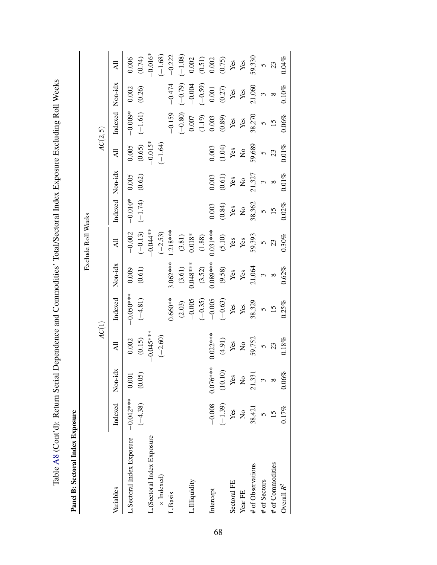| $\frac{1}{2}$<br>֧֡֓֓֓֓֓֓֓֓֓֓֓֓֓֓֓֓֓֬֝֓֓֬֝֬֝֓֬֝֬֝֓֬֝֬֝֓֝֬֝֓                                |
|--------------------------------------------------------------------------------------------|
|                                                                                            |
| respectively through the control into<br>$\overline{a}$                                    |
| l<br>ļ                                                                                     |
|                                                                                            |
| ļ                                                                                          |
| I                                                                                          |
|                                                                                            |
| $\frac{1}{2}$<br>Ì                                                                         |
| ֧֧֦֧֦֦֧֧֦֧֦֧֦֧֦֧֦֧֧֦֧֧֧֚֚֝֝֝֝֝֝֝֬֝֓֝֬֝֝֬֝֬֝֓֝֬֝֬֝֓֜֝֬֝<br>֧֪֧֧֧֧֧֧֧֛֧֧֧֧֧֛֛֛֪֛֚֚֚֚֚֝֝֜֝֬֝֜ |
| l<br>$\mathbf{r}$                                                                          |
| ۱                                                                                          |
|                                                                                            |
| ï<br>$\zeta$                                                                               |
|                                                                                            |
| ;<br>'                                                                                     |

| ί                |
|------------------|
| i<br>C<br>۱<br>ζ |
|                  |
|                  |

|                                     |                 |                |                           |                |                      | Exclude Roll Weeks |                               |                           |                           |                             |                                      |                                           |
|-------------------------------------|-----------------|----------------|---------------------------|----------------|----------------------|--------------------|-------------------------------|---------------------------|---------------------------|-----------------------------|--------------------------------------|-------------------------------------------|
|                                     |                 |                | AC(1)                     |                |                      |                    |                               |                           | AC(2,5)                   |                             |                                      |                                           |
| Variables                           | Indexed         | Non-idx        | $\overline{A}$ ll         | Indexed        | Non-idx              | Ę                  | Indexed                       | Non-idx                   | Ę                         | Indexed                     | Non-idx                              | ₹                                         |
| L.Sectoral Index Exposure -0.042*** |                 | 0.001          | 0.002                     | $-0.050$ ***   | 0.009                | $-0.002$           | $-0.010*$                     | 0.005                     | 0.005                     | $-0.009*$                   | 0.002                                | 0.006                                     |
|                                     | $(-4.38)$       | (0.05)         | (0.15)                    | $(-4.81)$      | (0.61)               | $(-0.13)$          | $(-1.74)$                     | (0.62)                    | (0.65)                    | $(-1.61)$                   | (0.26)                               | (0.74)                                    |
| L.(Sectoral Index Exposure          |                 |                | $-0.045***$               |                |                      | $-0.044**$         |                               |                           | $-0.015*$                 |                             |                                      | $-0.016*$                                 |
| $\times$ Indexed)                   |                 |                | $(-2.60)$                 |                |                      | $(-2.53)$          |                               |                           | $(-1.64)$                 |                             |                                      | $(-1.68)$                                 |
| L.Basis                             |                 |                |                           | $0.660**$      | $3.062***$           | $.218***$          |                               |                           |                           | $-0.159$                    | $-0.474$                             | $-0.222$                                  |
|                                     |                 |                |                           | $(2.03)$       | (3.61)               | (3.81)             |                               |                           |                           | $(-0.80)$                   | $(-0.79)$                            | $(-1.08)$                                 |
| L.Illiquidity                       |                 |                |                           | $-0.005$       | $0.048***$           | $0.018*$           |                               |                           |                           | 0.007                       | $-0.004$                             | 0.002                                     |
|                                     |                 |                |                           | $(-0.35)$      |                      | (1.88)             |                               |                           |                           | (1.19)                      | $(-0.59)$                            | $(0.51)$<br>0.002<br>(0.75)<br>Yes<br>Yes |
| Intercept                           | $-0.008$        | $0.076***$     | $0.022***$                | $-0.005$       | $(3.52)$<br>0.089*** | $0.031***$         | 0.003                         | 0.003                     | 0.003                     |                             |                                      |                                           |
|                                     | $(-1.39)$       | (10.10)        | (4.91)                    | $(-0.63)$      | $(9.58)$ Yes         | $(5.10)$           |                               |                           | (1.04)                    | $\frac{0.003}{0.89}$<br>Yes | $\frac{0.001}{(0.27)}$<br>Yes<br>Yes |                                           |
| Sectoral FE                         | Yes             | $\mathbf{Yes}$ | $\mathbf{Y}\mathbf{es}$   | Yes            |                      | $\mathbf{Yes}$     | $_{\rm Yes}^{(0.84)}$         | $\frac{(0.61)}{Yes}$      | $\mathbf{Yes}$            |                             |                                      |                                           |
| Year FE                             | $\frac{1}{2}$   | $\frac{1}{2}$  | $\mathsf{S}^{\mathsf{O}}$ | $\mathbf{Yes}$ | Yes                  | Yes                | $\rm \stackrel{\circ}{\rm X}$ | $\mathsf{S}^{\mathsf{O}}$ | $\mathsf{S}^{\mathsf{o}}$ | $\mathbf{Yes}$              |                                      |                                           |
| # of Observations                   | 38,421          | 21,331         | 59,752                    | 38,329         | 21,064               | 59,393             |                               | 21,327                    | 59,689                    | 38,270                      | 21,060                               | 59,330                                    |
| # of Sectors                        |                 |                | $\tilde{S}$               | $\overline{6}$ | $\tilde{\xi}$        | $\overline{C}$     | $38,362$<br>5<br>15           | $\tilde{\xi}$             | $\tilde{c}$               | $\circ$                     | $\omega$                             | $\overline{C}$                            |
| # of Commodities                    | $\overline{15}$ | $\infty$       | 23                        | 15             | $\infty$             | 23                 |                               | $\infty$                  | 23                        | 15                          | $\infty$                             | 23                                        |
| Overall $R^2$                       | 0.17%           | 0.06%          | $0.18\%$                  | 0.25%          | 0.62%                | 0.30%              | 0.02%                         | $0.01\%$                  | 0.01%                     | $0.06\%$                    | 0.10%                                | 0.04%                                     |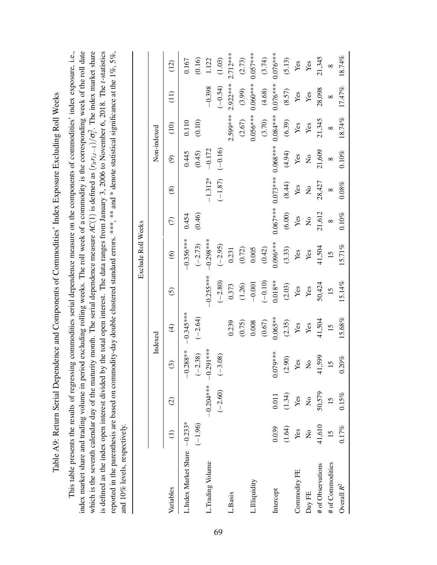Table A9: Return Serial Dependence and Components of Commodities' Index Exposure Excluding Roll Weeks Table A9: Return Serial Dependence and Components of Commodities' Index Exposure Excluding Roll Weeks

index market share and trading volume in period excluding rolling weeks. The roll week of a commodity is the corresponding week of the roll date This table presents the results of regressing commodities serial dependence measure on the components of commodities' index exposure, i.e., is defined as the index open interest divided by the total open interest. The data ranges from January 3, 2006 to November 6, 2018. The t-statistics reported in the parenthesis are based on commodity-day double clustered standard errors. \*\*\*, \*\* and \* denote statistical significance at the 1%, 5%, This table presents the results of regressing commodities serial dependence measure on the components of commodities' index exposure, i.e., index market share and trading volume in period excluding rolling weeks. The roll week of a commodity is the corresponding week of the roll date  $\frac{1}{i}$ . The index market share is defined as the index open interest divided by the total open interest. The data ranges from January 3, 2006 to November 6, 2018. The *t*-statistics reported in the parenthesis are based on commodity-day double clustered standard errors. \*\*\*, \*\* and \* denote statistical significance at the 1%, 5%, 2 *i*which is the seventh calendar day of the maturity month. The serial dependence measure *AC*(1) is defined as (*ritri*,*t*−1)/σ and 10% levels, respectively. and 10% levels, respectively.

|                              |                 |                      |                           |                 |             | Exclude Roll Weeks |                           |                           |                           |               |            |            |
|------------------------------|-----------------|----------------------|---------------------------|-----------------|-------------|--------------------|---------------------------|---------------------------|---------------------------|---------------|------------|------------|
|                              |                 |                      |                           | Indexed         |             |                    |                           |                           | Non-indexed               |               |            |            |
| Variables                    |                 | $\widehat{c}$        | ල                         | $\widehat{f}$   | $\odot$     | $\widehat{\circ}$  | $\widehat{C}$             | $^{\circledR}$            | ම                         | $\widehat{=}$ | (II)       | (12)       |
| L.Index Market Share -0.233* |                 |                      | $.288**$                  | $0.345***$      |             | $-0.356***$        | 0.454                     |                           | 0.445                     | 0.110         |            | 0.167      |
|                              | $(-1.96)$       |                      | $-2.38$<br>⊥              | $(-2.64)$       |             | $(-2.73)$          | (0.46)                    |                           | (0.45)                    | (0.10)        |            | (0.16)     |
| L.Trading Volume             |                 | $-0.204***10.291***$ |                           |                 | $-0.255***$ | $-0.298***$        |                           | $-1.312*$                 | $-0.172$                  |               | $-0.398$   | 1.122      |
|                              |                 | $(-2.60)$            | $-3.08$<br>$\cup$         |                 | $(-2.80)$   | $(-2.95)$          |                           | $(-1.87)$                 | $(-0.16)$                 |               | $(-0.54)$  | (1.03)     |
| L.Basis                      |                 |                      |                           | 0.239           | 0.373       | 0.231              |                           |                           |                           | 2.599***      | 2.922****  | $2.712***$ |
|                              |                 |                      |                           | (0.75)          | (1.26)      | (0.72)             |                           |                           |                           | (2.67)        | (3.99)     | (2.73)     |
| L.Illiquidity                |                 |                      |                           | 0.008           | $-0.001$    | 0.005              |                           |                           |                           | $0.056***$    | $0.060***$ | $0.057***$ |
|                              |                 |                      |                           | (0.67)          | $(-0.10)$   | (0.42)             |                           |                           |                           | (3.70)        | (4.68)     | (3.74)     |
| Intercept                    | 0.039           | 0.011                | $0.079***$                | $0.065**$       | $0.018**$   | $0.096***$         | $0.067***$                | $0.073***$                | $0.068***$                | $0.084***$    | $0.076***$ | $0.076***$ |
|                              | (1.64)          | (1.34)               | (2.90)                    | (2.35)          | (2.03)      | (3.33)             | (6.00)                    | (8.44)                    | (4.94)                    | (6.39)        | (8.57)     | (5.13)     |
| Commodity FE                 | Yes             | Yes                  | Yes                       | Yes             | Yes         | $\mathbf{Yes}$     | Yes                       | $\mathbf{Yes}$            | Yes                       | Yes           | Yes        | Yes        |
| Day FE                       | $\frac{1}{2}$   | $\frac{1}{2}$        | $\mathsf{S}^{\mathsf{O}}$ | Yes             | Yes         | Yes                | $\mathsf{S}^{\mathsf{O}}$ | $\mathsf{S}^{\mathsf{O}}$ | $\mathsf{S}^{\mathsf{O}}$ | Yes           | Yes        | Yes        |
| # of Observations            | 41,610          | 50,579               | 1,599<br>╤                | 41,504          | 50,424      | 41,504             | 21,612                    | 28,427                    | 21,609                    | 21,345        | 28,098     | 21,345     |
| # of Commodities             | $\overline{15}$ | 15                   | $15 \,$                   | $\overline{15}$ | 15          | $\overline{15}$    | $\infty$                  | $\infty$                  | $\infty$                  | $\infty$      | $\infty$   | $\infty$   |
| Overall $R^2$                | 0.17%           | 0.15%                | .20%<br>$\dot{\circ}$     | 15.68%          | 15.14%      | 15.71%             | 0.10%                     | $0.08\%$                  | 0.10%                     | 18.74%        | 17.47%     | 18.74%     |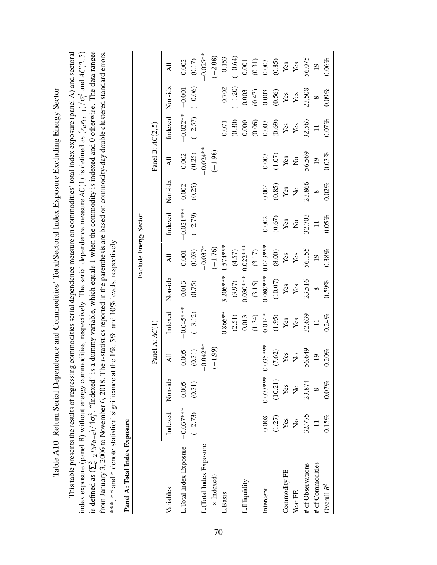Table A10: Return Serial Dependence and Commodities' Total/Sectoral Index Exposure Excluding Energy Sector Table A10: Return Serial Dependence and Commodities' Total/Sectoral Index Exposure Excluding Energy Sector This table presents the results of regressing commodities serial dependence measure on commodities' total index exposure (panel A) and sectoral from January 3, 2006 to November 6, 2018. The t-statistics reported in the parenthesis are based on commodity-day double clustered standard errors. This table presents the results of regressing commodities serial dependence measure on commodities' total index exposure (panel A) and sectoral  $i<sup>2</sup>$  and  $AC(2, 5)$  $t^2$ . "Indexed" is a dummy variable, which equals 1 when the commodity is indexed and 0 otherwise. The data ranges from January 3, 2006 to November 6, 2018. The *t*-statistics reported in the parenthesis are based on commodity-day double clustered standard errors. index exposure (panel B) without energy commodities, respectively. The serial dependence measure *AC*(1) is defined as (*ritri*,*t*−1)/σ \*\*\*, \*\* and \* denote statistical significance at the 1%, 5%, and 10% levels, respectively. \*\*\*, \*\*\* and \* denote statistical significance at the 1%, 5%, and 10% levels, respectively.  $r_i r_{it-k}$ )/4 $\sigma_i^2$ is defined as  $(\sum_{k=2}^{5}$ 

| ï |
|---|
|   |
| J |
| ۱ |
|   |
| ļ |
|   |
|   |
|   |
|   |
|   |
|   |
|   |
|   |
|   |
|   |
|   |
|   |
| I |
|   |
|   |
|   |
|   |
|   |
|   |
|   |
|   |
|   |
|   |
|   |

| Panel A: Total Index Exposure       |               |                         |                           |                 |                         |                       |                           |                           |                           |                 |                |                 |
|-------------------------------------|---------------|-------------------------|---------------------------|-----------------|-------------------------|-----------------------|---------------------------|---------------------------|---------------------------|-----------------|----------------|-----------------|
|                                     |               |                         |                           |                 |                         | Exclude Energy Sector |                           |                           |                           |                 |                |                 |
|                                     |               |                         | Panel $A:AC(1)$           |                 |                         |                       |                           |                           | Panel B: $AC(2,5)$        |                 |                |                 |
| Variables                           | Indexed       | Non-idx                 | $\overline{A}$            | Indexed         | Non-idx                 | Ę                     | Indexed                   | Non-idx                   | $\overline{A}$            | Indexed Non-idx |                | $\overline{A}$  |
| L. Total Index Exposure $-0.037***$ |               | 0.005                   | 0.005                     | $-0.045***$     | 0.013                   | 0.001                 | $-0.021***$               | 0.002                     | 0.002                     | $-0.022**$      | $-0.001$       | 0.002           |
|                                     | $(-2.73)$     | (0.31)                  | (0.31)                    | $(-3.12)$       | (0.75)                  | (0.03)                | $(-2.79)$                 | (0.25)                    | (0.25)                    | $(-2.57)$       | $(-0.06)$      | (0.17)          |
| L.(Total Index Exposure             |               |                         | $-0.042**$                |                 |                         | $-0.037*$             |                           |                           | $-0.024***$               |                 |                | $-0.025**$      |
| $\times$ Indexed)                   |               |                         | $(-1.99)$                 |                 |                         | $(-1.76)$             |                           |                           | $(-1.98)$                 |                 |                | $(-2.08)$       |
| L.Basis                             |               |                         |                           | $0.866***$      | $3.206***$              | $1.574***$            |                           |                           |                           | 0.071           | $-0.702$       | $-0.153$        |
|                                     |               |                         |                           | (2.51)          | (3.97)                  | (4.57)                |                           |                           |                           | (0.30)          | $(-1.20)$      | $(-0.64)$       |
| L.Illiquidity                       |               |                         |                           | 0.013           | $0.030***$              | $0.022**$             |                           |                           |                           | 0.000           | 0.003          | 0.001           |
|                                     |               |                         |                           | (1.34)          | (3.15)                  | (3.17)                |                           |                           |                           | (0.06)          | (0.47)         | (0.31)          |
| Intercept                           | 0.008         | $0.073***$              | $0.035***$                | $0.014*$        | $0.080***$              | $0.043***$            | 0.002                     | 0.004                     | 0.003                     | 0.003           | $0.003$        | 0.003           |
|                                     | (1.27)        | (10.21)                 | (7.62)                    |                 | (10.07)                 | (8.00)                | (0.67)                    | (0.85)                    | (1.07)                    | (0.69)          | (0.56)         | $(0.85)$        |
| Commodity FE                        | Yes           | Yes                     | ${\bf Yes}$               | $(1.95)$<br>Yes | Yes                     | Yes                   | $\mathbf{Yes}$            | Yes                       | Yes                       | $\mathbf{Yes}$  | Yes            | Yes             |
| Year FE                             | $\frac{1}{2}$ | $\overline{\mathsf{S}}$ | $\mathsf{S}^{\mathsf{O}}$ | $\mathbf{Yes}$  | $\mathop{\mathrm{Yes}}$ | Yes                   | $\mathsf{S}^{\mathsf{O}}$ | $\mathsf{S}^{\mathsf{O}}$ | $\mathsf{S}^{\mathsf{o}}$ | $\mathbf{Yes}$  | $\mathbf{Yes}$ | Yes             |
| # of Observations                   | 32,775        | 23,874                  | 56,649                    | 32,639          | 23,516                  | 56,155                | 32,703                    | 23,866                    | 56,569                    | 32,567          | 23,508         | 56,075          |
| # of Commodities                    | $\equiv$      |                         | $\overline{0}$            | $\overline{1}$  | $\infty$                | $\overline{0}$        | $\equiv$                  | $\infty$                  | $\overline{0}$            | $\equiv$        | $\infty$       | $\overline{19}$ |
| Overall $R^2$                       | 0.15%         | 0.07%                   | 0.20%                     | 0.24%           | $0.59\%$                | 0.38%                 | 0.05%                     | 0.02%                     | 0.03%                     | 0.07%           | $0.09\%$       | 0.06%           |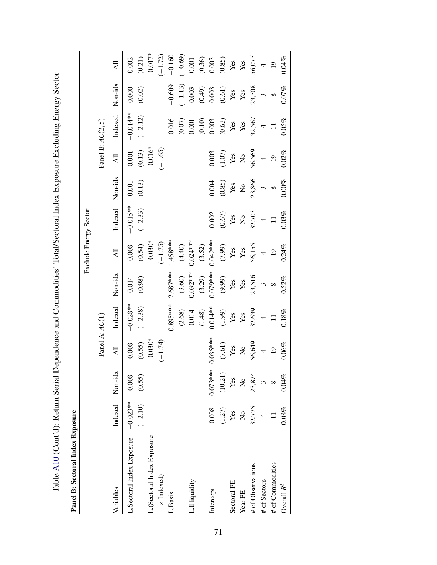Table A10 (Cont'd): Return Serial Dependence and Commodities' Total/Sectoral Index Exposure Excluding Energy Sector Table [A10](#page-71-0) (Cont'd): Return Serial Dependence and Commodities' Total/Sectoral Index Exposure Excluding Energy Sector

Panel B: Sectoral Index Exposure Panel B: Sectoral Index Exposure

|                            |                 |               |                           |                     |                | Exclude Energy Sector |                                    |                               |                               |                                                                          |                                                                          |                                                                        |
|----------------------------|-----------------|---------------|---------------------------|---------------------|----------------|-----------------------|------------------------------------|-------------------------------|-------------------------------|--------------------------------------------------------------------------|--------------------------------------------------------------------------|------------------------------------------------------------------------|
|                            |                 |               | Panel $A:AC(1)$           |                     |                |                       |                                    |                               | Panel B: $AC(2, 5)$           |                                                                          |                                                                          |                                                                        |
| Variables                  | Indexed Non-idx |               | All                       | Indexed             | Non-idx        | ξŔ                    | Indexed                            | Non-idx                       | $\overline{AB}$               | Indexed                                                                  | Non-idx                                                                  | $\overline{A}$                                                         |
| L.Sectoral Index Exposure  | $-0.023***$     | 0.008         | 0.008                     | $-0.028**$          | 0.014          | 0.008                 | $-0.015**$                         | 0.001                         | 0.001                         | $-0.014**$                                                               | 0.000                                                                    | 0.002                                                                  |
| L.(Sectoral Index Exposure | $(-2.10)$       | (0.55)        | $-0.030*$<br>(0.55)       | $(-2.38)$           | (0.98)         | $-0.030*$<br>(0.54)   | $(-2.33)$                          | (0.13)                        | $-0.016*$<br>(0.13)           | $(-2.12)$                                                                | (0.02)                                                                   | $-0.017*$<br>(0.21)                                                    |
| $\times$ Indexed)          |                 |               | $(-1.74)$                 |                     |                | $(-1.75)$             |                                    |                               | $(-1.65)$                     |                                                                          |                                                                          | $(-1.72)$                                                              |
| L.Basis                    |                 |               |                           | $0.895***$          | $2.687***$     | $.458***$             |                                    |                               |                               | 0.016                                                                    | $-0.609$                                                                 | $-0.160$                                                               |
|                            |                 |               |                           | (2.68)              | (3.60)         | (4.40)                |                                    |                               |                               | $(0.07)$                                                                 | $(-1.13)$                                                                | $(-0.69)$                                                              |
| Illiquidity                |                 |               |                           | 0.014               | $0.032***$     | $0.024***$            |                                    |                               |                               | 0.001                                                                    | 0.003                                                                    | $0.001\,$                                                              |
|                            |                 |               |                           |                     | (3.29)         |                       |                                    |                               |                               |                                                                          |                                                                          |                                                                        |
| Intercept                  | 0.008           | $0.073***$    | $0.035***$                | $(1.48)$<br>0.014** | $0.079***$     | $(3.52)$<br>0.042***  | 0.002                              | 0.004                         | 0.003                         |                                                                          |                                                                          |                                                                        |
|                            | (1.27)          | (10.21)       |                           | (1.99)              | (9.99)         | (7.99)                | $\frac{\text{(0.67)}}{\text{Yes}}$ | $(0.85)$<br>Yes               | $(1.07)$                      | $\begin{array}{c} (0.10) \\ 0.003 \\ (0.63) \\ \mathbf{Yes} \end{array}$ | $\begin{array}{c} (0.49) \\ 0.003 \\ (0.61) \\ \mathbf{Yes} \end{array}$ | $\begin{array}{c} (0.36) \\ 0.003 \\ (0.85) \\ \text{Yes} \end{array}$ |
| Sectoral FE                | Yes             | Yes           | $(7.61)$<br>Yes           | $\mathbf{Yes}$      | $\mathbf{Yes}$ | $\mathbf{Yes}$        |                                    |                               | $\mathbf{Yes}$                |                                                                          |                                                                          |                                                                        |
| Year FE                    | $\frac{1}{2}$   | $\frac{1}{2}$ | $\mathsf{S}^{\mathsf{o}}$ | $\mathbf{Yes}$      | Yes            | $\mathbf{Yes}$        | $\mathsf{S}^{\mathsf{o}}$          | $\rm \stackrel{\circ}{\rm X}$ | $\rm \stackrel{\circ}{\rm X}$ | Yes                                                                      | $\mathbf{Yes}$                                                           | $\mathbf{Yes}$                                                         |
| # of Observations          | 32,775          | 23,874        | 56,649                    | 32,639              | 23,516         | 56,155                | 32,703                             | 23,866                        | 56,569                        | 32,567                                                                   | 23,508                                                                   | 56,075                                                                 |
| # of Sectors               |                 |               | $\overline{a}$            | $\overline{a}$      | $\epsilon$     | $\overline{4}$        | $\overline{a}$                     | $\tilde{\xi}$                 | $\overline{4}$                | $\overline{4}$                                                           | $\tilde{\xi}$                                                            | $\overline{4}$                                                         |
| # of Commodities           | $\equiv$        |               | 19                        |                     | $\infty$       | $\overline{0}$        | $\equiv$                           | $\infty$                      | $\overline{0}$                | $\equiv$                                                                 | $\infty$                                                                 | $\overline{19}$                                                        |
| Overall $R^2$              | $0.08\%$        | 0.04%         | 0.06%                     | $0.18\%$            | 0.52%          | 0.24%                 | 0.03%                              | 0.00%                         | 0.02%                         | 0.05%                                                                    | 0.07%                                                                    | $0.04\%$                                                               |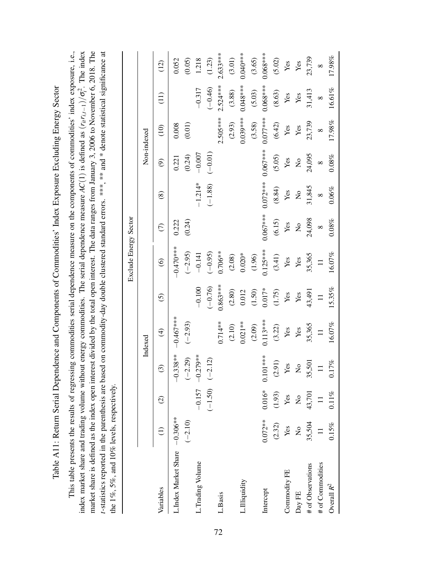Table A11: Return Serial Dependence and Components of Commodities' Index Exposure Excluding Energy Sector Table A11: Return Serial Dependence and Components of Commodities' Index Exposure Excluding Energy Sector

t-statistics reported in the parenthesis are based on commodity-day double clustered standard errors. \*\*\*, \*\* and \* denote statistical significance at This table presents the results of regressing commodities serial dependence measure on the components of commodities' index exposure, i.e., *t*-statistics reported in the parenthesis are based on commodity-day double clustered standard errors. \*\*\*, \*\* and \* denote statistical significance at This table presents the results of regressing commodities serial dependence measure on the components of commodities' index exposure, i.e.,  $i^2$ . The index market share is defined as the index open interest divided by the total open interest. The data ranges from January 3, 2006 to November 6, 2018. The index market share and trading volume without energy commodities. The serial dependence measure *AC*(1) is defined as (*ritri*,*t*−1)/σ the 1%, 5%, and 10% levels, respectively. the 1%,  $5\%$ , and 10% levels, respectively.

|                               |               |                           |                          |                          |            | Exclude Energy Sector     |                         |                           |                           |                 |            |                 |
|-------------------------------|---------------|---------------------------|--------------------------|--------------------------|------------|---------------------------|-------------------------|---------------------------|---------------------------|-----------------|------------|-----------------|
|                               |               |                           |                          | Indexed                  |            |                           |                         |                           | Non-indexed               |                 |            |                 |
| Variables                     |               | $\odot$                   | $\widehat{\mathfrak{S}}$ | $\bigoplus$              | $\odot$    | $\circledcirc$            | $\widehat{C}$           | $\circledast$             | $\widehat{e}$             | $\frac{1}{2}$   | (11)       | (12)            |
| L.Index Market Share -0.306** | $(-2.10)$     |                           | $-0.338**$<br>$(-2.29)$  | $-0.467***$<br>$(-2.93)$ |            | $-0.470$ ***<br>$(-2.95)$ | (0.24)<br>0.222         |                           | (0.24)<br>0.221           | (0.01)<br>0.008 |            | (0.05)<br>0.052 |
| L.Trading Volume              |               |                           | $-0.157 -0.279$ **       |                          | $-0.100$   | $-0.141$                  |                         | $-1.214*$                 | $-0.007$                  |                 | $-0.317$   | 1.218           |
|                               |               |                           | $(-1.50)$ $(-2.12)$      |                          | $(-0.76)$  | $(-0.95)$                 |                         | $(-1.88)$                 | $(-0.01)$                 |                 | $(-0.46)$  | (1.23)          |
| L.Basis                       |               |                           |                          | $0.714**$                | $0.863***$ | $0.706**$                 |                         |                           |                           | $2.505***$      | $2.524***$ | $2.633***$      |
|                               |               |                           |                          | (2.10)                   | (2.80)     | (2.08)                    |                         |                           |                           | (2.93)          | (3.88)     | (3.01)          |
| L.Illiquidity                 |               |                           |                          | $0.021**$                | 0.012      | $0.020*$                  |                         |                           |                           | $0.039***$      | $0.048***$ | $0.040**$       |
|                               |               |                           |                          | (2.09)                   | (1.50)     | (1.96)                    |                         |                           |                           | (3.58)          | (5.03)     | (3.65)          |
| Intercept                     | $0.072***$    | $0.016* 0.10$             | $01***$                  | $0.113***$               | $0.017*$   | $0.125***$                | $0.067***$              | $0.072***$                | $0.067***$                | $0.077***$      | $0.068***$ | $0.068***$      |
|                               | (2.32)        | (1.93)                    | (2.91)                   | (3.22)                   | (1.75)     | (3.41)                    | (6.15)                  | (8.84)                    | (5.05)                    | (6.42)          | (8.63)     | (5.02)          |
| Commodity FE                  | Yes           | Yes                       | res                      | Yes                      | Yes        | Yes                       | Yes                     | Yes                       | $\mathbf{Yes}$            | Yes             | Yes        | Yes             |
| Day FE                        | $\frac{1}{2}$ | $\mathsf{S}^{\mathsf{O}}$ | $\frac{1}{2}$            | $\mathbf{Yes}$           | Yes        | Yes                       | $\overline{\mathsf{S}}$ | $\mathsf{S}^{\mathsf{O}}$ | $\mathsf{S}^{\mathsf{O}}$ | Yes             | Yes        | Yes             |
| # of Observations             | 35,504        | 43,701                    | 35,501                   | 35,365                   | 43,491     | 35,365                    | 24,098                  | 31,845                    | 24,095                    | 23,739          | 31,413     | 23,739          |
| # of Commodities              | $\equiv$      | $\equiv$                  | $\equiv$                 | $\equiv$                 | $\equiv$   | $\equiv$                  | $\infty$                | $\infty$                  | $\infty$                  | $\infty$        | $\infty$   | $\infty$        |
| Overall $R^2$                 | 0.15%         | $0.11\%$                  | $0.17\%$                 | 16.07%                   | 15.35%     | 16.07%                    | 0.08%                   | 0.06%                     | 0.08%                     | 17.98%          | 16.61%     | 17.98%          |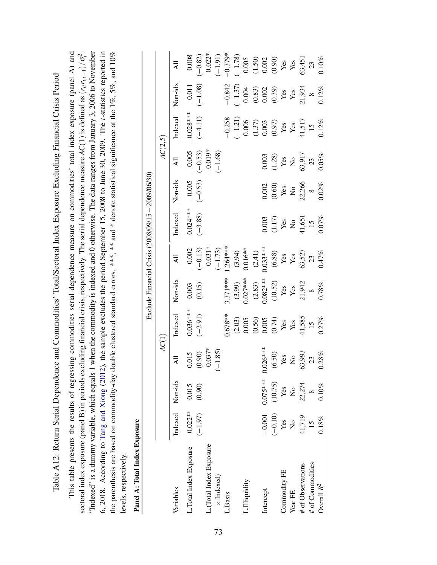Table A12: Return Serial Dependence and Commodities' Total/Sectoral Index Exposure Excluding Financial Crisis Period Table A12: Return Serial Dependence and Commodities' Total/Sectoral Index Exposure Excluding Financial Crisis Period

<span id="page-74-0"></span>"Indexed" is a dummy variable, which equals 1 when the commodity is indexed and 0 otherwise. The data ranges from January 3, 2006 to November 6, 2018. According to Tang and Xiong (2012), the sample excludes the period September 15, 2008 to June 30, 2009. The t-statistics reported in the parenthesis are based on commodity-day double clustered standard errors. \*\*\*, \*\* and \* denote statistical significance at the 1%, 5%, and 10% This table presents the results of regressing commodities serial dependence measure on commodities' total index exposure (panel A) and This table presents the results of regressing commodities serial dependence measure on commodities' total index exposure (panel A) and 2 *i*."Indexed" is a dummy variable, which equals 1 when the commodity is indexed and 0 otherwise. The data ranges from January 3, 2006 to November 6, 2018. According to Tang and [Xiong](#page-38-0) [\(2012\)](#page-38-0), the sample excludes the period September 15, 2008 to June 30, 2009. The *t*-statistics reported in the parenthesis are based on commodity-day double clustered standard errors. \*\*\*, \*\* and \* denote statistical significance at the 1%, 5%, and 10% sectoral index exposure (panel B) in periods excluding financial crisis, respectively. The serial dependence measure *AC*(1) is defined as (*ritri*,*t*−1)/σ levels, respectively. levels, respectively.

| j |
|---|
|   |
| I |
|   |
| ÿ |

|                                  |                 |                           |                         |                          |                                          |                       | Exclude Financial Crisis $(2008/09/15 - 2009/06/30)$ |                       |                                                                     |                                        |                                                                                      |                                                                                    |
|----------------------------------|-----------------|---------------------------|-------------------------|--------------------------|------------------------------------------|-----------------------|------------------------------------------------------|-----------------------|---------------------------------------------------------------------|----------------------------------------|--------------------------------------------------------------------------------------|------------------------------------------------------------------------------------|
|                                  |                 |                           | AC(1)                   |                          |                                          |                       |                                                      |                       | AC(2,5)                                                             |                                        |                                                                                      |                                                                                    |
| Variables                        | Indexed Non-idx |                           | $\overline{\mathsf{A}}$ | Indexed                  | Non-idx                                  | Ę                     | Indexed                                              | Non-idx               | Ę                                                                   | Indexed                                | Non-idx                                                                              | $\overline{A}$                                                                     |
| Total Index Exposure $-0.022***$ | $(-1.97)$       | 0.015<br>(0.90)           | (0.90)<br>0.015         | $-0.036***$<br>$(-2.91)$ | (0.15)<br>0.003                          | $-0.002$<br>$(-0.13)$ | $-0.024***$                                          | $-0.005$              | $-0.005$                                                            | $-0.028***$                            | $-0.011$                                                                             | $-0.008$<br>$(-0.82)$                                                              |
| (Total Index Exposure            |                 |                           | $-0.037*$               |                          |                                          | $-0.031*$             | $(-3.88)$                                            | $(-0.53)$             | $-0.019*$<br>$(-0.53)$                                              | $(-4.11)$                              | $(-1.08)$                                                                            | $-0.022*$                                                                          |
| $\times$ Indexed)                |                 |                           | $(-1.85)$               |                          |                                          | $(-1.73)$             |                                                      |                       | $(-1.68)$                                                           |                                        |                                                                                      | $(-1.91)$                                                                          |
| .Basis                           |                 |                           |                         | $0.678***$               | 3.371 ***                                | $.264***$             |                                                      |                       |                                                                     | $-0.258$                               | $-0.842$                                                                             | $-0.379*$                                                                          |
|                                  |                 |                           |                         | (2.03)                   | (3.99)                                   | (3.94)                |                                                      |                       |                                                                     | $(-1.21)$                              | $(-1.37)$                                                                            | $(-1.78)$                                                                          |
| Illiquidity                      |                 |                           |                         | 0.005                    | $0.027***$                               | $0.016**$             |                                                      |                       |                                                                     | 0.006                                  | $0.004$                                                                              |                                                                                    |
|                                  |                 |                           |                         | $(0.56)$<br>0.005        |                                          |                       |                                                      |                       |                                                                     |                                        |                                                                                      |                                                                                    |
| Intercept                        | $-0.001$        | $0.075***$                | $026***$                |                          | $(2.83)$<br>0.082***                     | $(2.41)$<br>0.033***  | 0.003                                                | 0.002                 | 0.003                                                               |                                        |                                                                                      |                                                                                    |
|                                  | $(-0.10)$       | (10.75)                   | (6.50)                  |                          |                                          |                       |                                                      |                       |                                                                     | $(1.37)$<br>$0.003$<br>$(0.97)$<br>Yes | $\begin{array}{c} (0.83) \\ 0.002 \\ (0.39) \\ \text{Yes} \\ \text{Yes} \end{array}$ | $\begin{array}{c} 0.005 \\ (1.50) \\ 0.002 \\ (0.90) \\ \text{Yes} \\ \end{array}$ |
| <b>Commodity FE</b>              | Yes             | Yes                       | Yes                     |                          |                                          | $\frac{(6.88)}{Yes}$  | $\frac{117}{\text{Yes}}$                             |                       | $\begin{array}{c} (1.28) \\ \text{Yes} \\ \text{Ne} \\ \end{array}$ |                                        |                                                                                      |                                                                                    |
| Year FE                          | $\frac{1}{2}$   | $\mathsf{S}^{\mathsf{O}}$ | $\mathsf{S}$            | $(0.74)$<br>Yes<br>Yes   | $(10.52)$<br>Yes<br>Yes<br>Yes<br>21,942 | $\mathbf{Yes}$        | $\mathsf{S}^{\mathsf{o}}$                            | $(0.60)$<br>Yes<br>No |                                                                     | $\mathbf{Yes}$                         |                                                                                      |                                                                                    |
| # of Observations                | 41,719<br>15    | 22,274                    | 63,993                  | 41,585                   |                                          | 63,527                | 41,651                                               | $22,266$<br>8         | 63,917                                                              | 41,517                                 | 21,934                                                                               | 63,451                                                                             |
| # of Commodities                 |                 |                           | 23                      | 15                       | $\infty$                                 | 23                    | 15                                                   |                       | 23                                                                  | 15                                     | $\infty$                                                                             | 23                                                                                 |
| Overall $R^2$                    | 0.18%           | 0.10%                     | 0.28%                   | 0.27%                    | 0.78%                                    | 0.47%                 | 0.07%                                                | 0.02%                 | 0.05%                                                               | 0.12%                                  | 0.12%                                                                                | 0.10%                                                                              |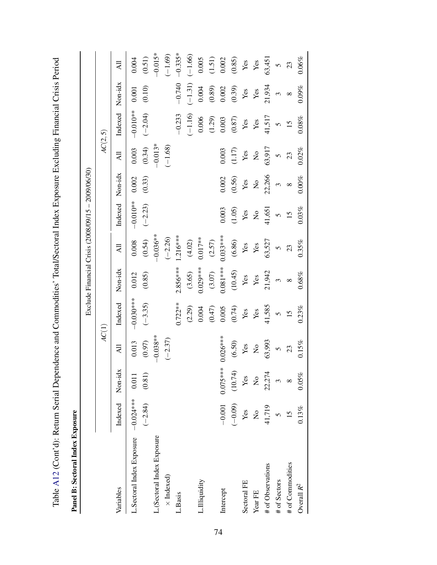| ・・・<br>-<br>-<br>ا<br>م                                                                       |  |
|-----------------------------------------------------------------------------------------------|--|
|                                                                                               |  |
|                                                                                               |  |
|                                                                                               |  |
|                                                                                               |  |
|                                                                                               |  |
|                                                                                               |  |
|                                                                                               |  |
| i                                                                                             |  |
|                                                                                               |  |
|                                                                                               |  |
|                                                                                               |  |
|                                                                                               |  |
| l                                                                                             |  |
|                                                                                               |  |
|                                                                                               |  |
|                                                                                               |  |
| l                                                                                             |  |
|                                                                                               |  |
|                                                                                               |  |
|                                                                                               |  |
|                                                                                               |  |
| יטור באין באים באים באים באים האים האים הא                                                    |  |
|                                                                                               |  |
|                                                                                               |  |
|                                                                                               |  |
|                                                                                               |  |
| ֖֖֖֧֧ׅ֧֧֧֧֧֪ׅ֧֧֧֪֧֪֪֧֪֧֧֧֧֧֧֚֚֚֚֚֚֚֚֚֚֚֚֚֚֚֚֚֚֚֚֚֚֡֝֝֓֝֬֓֓֝֬֝֓֝֬֓֝֬֓֓֝֬֝֓֝֬֝֬֝֬֝֬֝֬֝֬֝֬֝֬֝֬֝֬ |  |
| י<br>-<br>-                                                                                   |  |
| l                                                                                             |  |
|                                                                                               |  |
| こくしゃてん りょうこう てっこく                                                                             |  |
|                                                                                               |  |
|                                                                                               |  |
|                                                                                               |  |
|                                                                                               |  |
| י                                                                                             |  |
|                                                                                               |  |
|                                                                                               |  |
|                                                                                               |  |
|                                                                                               |  |
|                                                                                               |  |
|                                                                                               |  |
|                                                                                               |  |
| l                                                                                             |  |
|                                                                                               |  |
|                                                                                               |  |
|                                                                                               |  |
|                                                                                               |  |
|                                                                                               |  |
| $\frac{1}{2}$                                                                                 |  |
|                                                                                               |  |
| $\overline{a}$                                                                                |  |
|                                                                                               |  |
| j<br>י<br>ו                                                                                   |  |
|                                                                                               |  |
|                                                                                               |  |
|                                                                                               |  |
| くこくさい こし<br>$\frac{1}{2}$                                                                     |  |
|                                                                                               |  |
|                                                                                               |  |
|                                                                                               |  |
|                                                                                               |  |
|                                                                                               |  |

Panel B: Sectoral Index Exposure Panel B: Sectoral Index Exposure

|                                     |                  |                   |                                    |                   |                         | Exclude Financial Crisis (2008/09/15 - 2009/06/30) |                       |                |                                |                                    |                       |                                                |
|-------------------------------------|------------------|-------------------|------------------------------------|-------------------|-------------------------|----------------------------------------------------|-----------------------|----------------|--------------------------------|------------------------------------|-----------------------|------------------------------------------------|
|                                     |                  |                   | AC(1)                              |                   |                         |                                                    |                       |                | AC(2, 5)                       |                                    |                       |                                                |
| Variables                           | Indexed Non-idx  |                   | $\overline{A}$                     | Indexed           | Non-idx                 | $\overline{AB}$                                    | Indexed               | Non-idx        | $\overline{AB}$                | Indexed Non-idx                    |                       | $\overline{AB}$                                |
| L.Sectoral Index Exposure -0.024*** |                  | 0.011             | 0.013                              | $-0.030***$       | 0.012                   | 0.008                                              | $-0.010**$            | 0.002          | 0.003                          | $-0.010**$                         | 0.001                 | $0.004$                                        |
|                                     | $(-2.84)$ (0.81) |                   | $(0.97)$                           | $(-3.35)$         | (0.85)                  | (0.54)                                             | $(-2.23)$             | (0.33)         | (0.34)                         | $(-2.04)$                          | $(0.10)$              | (0.51)                                         |
| L.(Sectoral Index Exposure          |                  |                   | $-0.038**$                         |                   |                         | $-0.036**$                                         |                       |                | $-0.013*$                      |                                    |                       | $-0.015*$                                      |
| $\times$ Indexed)                   |                  |                   | $(-2.37)$                          |                   |                         | $(-2.26)$                                          |                       |                | $(-1.68)$                      |                                    |                       | $(-1.69)$                                      |
| L.Basis                             |                  |                   |                                    | $0.722***$        | $2.856***$              | $1.216***$                                         |                       |                |                                | $-0.233$                           | $-0.740$              | $-0.335*$                                      |
|                                     |                  |                   |                                    | $(2.29)$<br>0.004 | (3.65)                  | (4.02)                                             |                       |                |                                | $(-1.16)$                          | $(-1.31)$             | $(-1.66)$                                      |
| Illiquidity                         |                  |                   |                                    |                   | $0.029***$              | $0.017***$                                         |                       |                |                                | 0.006                              | 0.004                 | 0.005                                          |
|                                     |                  |                   |                                    | (0.47)            | $(3.07)$                | (2.57)                                             |                       |                |                                | (1.29)                             | (0.89)                | $\begin{array}{c} (1.51) \\ 0.002 \end{array}$ |
| Intercept                           |                  | $-0.001$ 0.075*** | $0.026***$                         | 0.005             | $0.081***$              | $0.033***$                                         | 0.003                 | $0.002\,$      | 0.003                          | 0.003                              | $0.002\,$             |                                                |
|                                     | $(-0.09)$        | (10.74)           |                                    | $(0.74)$ Yes      |                         | (6.86)                                             | (1.05)                |                | $(1.17)$                       | $\frac{\text{(0.87)}}{\text{Yes}}$ | (0.39)                | $(0.85)$ Yes                                   |
| Sectoral FE                         | Yes              | $\mathbf{Yes}$    | $\frac{\text{(6.50)}}{\text{Yes}}$ |                   |                         | $\mathbf{Yes}$                                     | $\mathbf{Yes}$        | $(0.56)$ Yes   | Yes                            |                                    | $\mathbf{Yes}$        |                                                |
| Year FE                             | $\frac{1}{2}$    | $\frac{1}{2}$     | $\rm _{X}^{\circ}$                 | $\mathbf{Yes}$    | $(10.45)$<br>Yes<br>Yes | $\mathbf{Yes}$                                     | $\mathop{\mathsf{S}}$ | $\overline{a}$ | $\mathop{\mathsf{S}}\nolimits$ | $\mathbf{Yes}$                     | Yes                   | Yes                                            |
| # of Observations                   | 41,719           | 22,274            | 63,993                             | 41,585            | 21,942                  | 63,527                                             | 41,651                | 22,266         | 63,917                         | 41,517                             | 21,934                | 63,451                                         |
| # of Sectors                        |                  |                   | $\tilde{\zeta}$                    | $\tilde{z}$       | $\tilde{\xi}$           | $\tilde{S}$                                        | $\tilde{6}$           | $\mathfrak{g}$ | $\tilde{c}$                    | $\overline{6}$                     | $\tilde{\phantom{0}}$ | $\overline{5}$                                 |
| # of Commodities                    | 15               | $\infty$          | 23                                 | 15                | $\infty$                | 23                                                 | 15                    | $\infty$       | 23                             | 15                                 | $\infty$              | 23                                             |
| Overall $R^2$                       | 0.13%            | 0.05%             | $0.15\%$                           | 0.23%             | $0.68\%$                | 0.35%                                              | $0.03\%$              | $0.00\%$       | 0.02%                          | $0.08\%$                           | 0.09%                 | $0.06\%$                                       |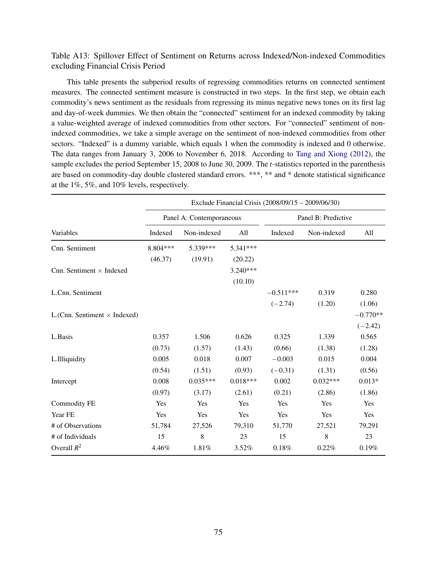## Table A13: Spillover Effect of Sentiment on Returns across Indexed/Non-indexed Commodities excluding Financial Crisis Period

This table presents the subperiod results of regressing commodities returns on connected sentiment measures. The connected sentiment measure is constructed in two steps. In the first step, we obtain each commodity's news sentiment as the residuals from regressing its minus negative news tones on its first lag and day-of-week dummies. We then obtain the "connected" sentiment for an indexed commodity by taking a value-weighted average of indexed commodities from other sectors. For "connected" sentiment of nonindexed commodities, we take a simple average on the sentiment of non-indexed commodities from other sectors. "Indexed" is a dummy variable, which equals 1 when the commodity is indexed and 0 otherwise. The data ranges from January 3, 2006 to November 6, 2018. According to [Tang and Xiong](#page-38-0) [\(2012\)](#page-38-0), the sample excludes the period September 15, 2008 to June 30, 2009. The *t*-statistics reported in the parenthesis are based on commodity-day double clustered standard errors. \*\*\*, \*\* and \* denote statistical significance at the 1%, 5%, and 10% levels, respectively.

|                                     |          |                          |            | Exclude Financial Crisis (2008/09/15 – 2009/06/30) |                     |            |
|-------------------------------------|----------|--------------------------|------------|----------------------------------------------------|---------------------|------------|
|                                     |          | Panel A: Contemporaneous |            |                                                    | Panel B: Predictive |            |
| Variables                           | Indexed  | Non-indexed              | All        | Indexed                                            | Non-indexed         | All        |
| Cnn. Sentiment                      | 8.804*** | 5.339***                 | 5.341***   |                                                    |                     |            |
|                                     | (46.37)  | (19.91)                  | (20.22)    |                                                    |                     |            |
| Cnn. Sentiment $\times$ Indexed     |          |                          | $3.240***$ |                                                    |                     |            |
|                                     |          |                          | (10.10)    |                                                    |                     |            |
| L.Cnn. Sentiment                    |          |                          |            | $-0.511***$                                        | 0.319               | 0.280      |
|                                     |          |                          |            | $(-2.74)$                                          | (1.20)              | (1.06)     |
| L.(Cnn. Sentiment $\times$ Indexed) |          |                          |            |                                                    |                     | $-0.770**$ |
|                                     |          |                          |            |                                                    |                     | $(-2.42)$  |
| L.Basis                             | 0.357    | 1.506                    | 0.626      | 0.325                                              | 1.339               | 0.565      |
|                                     | (0.73)   | (1.57)                   | (1.43)     | (0.66)                                             | (1.38)              | (1.28)     |
| L.Illiquidity                       | 0.005    | 0.018                    | 0.007      | $-0.003$                                           | 0.015               | 0.004      |
|                                     | (0.54)   | (1.51)                   | (0.93)     | $(-0.31)$                                          | (1.31)              | (0.56)     |
| Intercept                           | 0.008    | $0.035***$               | $0.018***$ | 0.002                                              | $0.032***$          | $0.013*$   |
|                                     | (0.97)   | (3.17)                   | (2.61)     | (0.21)                                             | (2.86)              | (1.86)     |
| <b>Commodity FE</b>                 | Yes      | Yes                      | Yes        | Yes                                                | Yes                 | Yes        |
| Year FE                             | Yes      | Yes                      | Yes        | Yes                                                | Yes                 | Yes        |
| # of Observations                   | 51,784   | 27,526                   | 79,310     | 51,770                                             | 27,521              | 79,291     |
| # of Individuals                    | 15       | 8                        | 23         | 15                                                 | 8                   | 23         |
| Overall $R^2$                       | 4.46%    | 1.81%                    | 3.52%      | 0.18%                                              | 0.22%               | 0.19%      |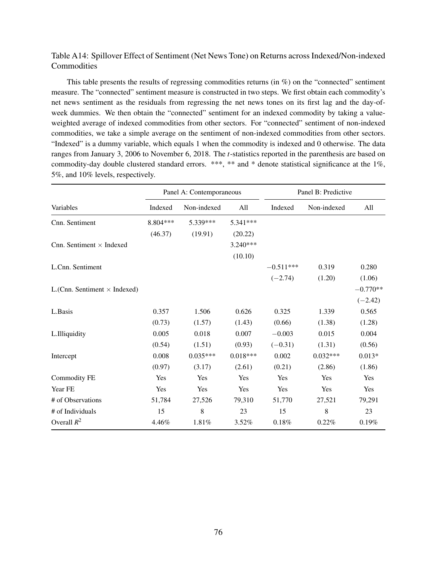## Table A14: Spillover Effect of Sentiment (Net News Tone) on Returns across Indexed/Non-indexed **Commodities**

This table presents the results of regressing commodities returns (in %) on the "connected" sentiment measure. The "connected" sentiment measure is constructed in two steps. We first obtain each commodity's net news sentiment as the residuals from regressing the net news tones on its first lag and the day-ofweek dummies. We then obtain the "connected" sentiment for an indexed commodity by taking a valueweighted average of indexed commodities from other sectors. For "connected" sentiment of non-indexed commodities, we take a simple average on the sentiment of non-indexed commodities from other sectors. "Indexed" is a dummy variable, which equals 1 when the commodity is indexed and 0 otherwise. The data ranges from January 3, 2006 to November 6, 2018. The *t*-statistics reported in the parenthesis are based on commodity-day double clustered standard errors. \*\*\*, \*\* and \* denote statistical significance at the 1%, 5%, and 10% levels, respectively.

|                                     |           | Panel A: Contemporaneous |            |             | Panel B: Predictive |            |
|-------------------------------------|-----------|--------------------------|------------|-------------|---------------------|------------|
| Variables                           | Indexed   | Non-indexed              | All        | Indexed     | Non-indexed         | All        |
| Cnn. Sentiment                      | 8.804 *** | 5.339***                 | 5.341***   |             |                     |            |
|                                     | (46.37)   | (19.91)                  | (20.22)    |             |                     |            |
| Cnn. Sentiment $\times$ Indexed     |           |                          | $3.240***$ |             |                     |            |
|                                     |           |                          | (10.10)    |             |                     |            |
| L.Cnn. Sentiment                    |           |                          |            | $-0.511***$ | 0.319               | 0.280      |
|                                     |           |                          |            | $(-2.74)$   | (1.20)              | (1.06)     |
| L.(Cnn. Sentiment $\times$ Indexed) |           |                          |            |             |                     | $-0.770**$ |
|                                     |           |                          |            |             |                     | $(-2.42)$  |
| L.Basis                             | 0.357     | 1.506                    | 0.626      | 0.325       | 1.339               | 0.565      |
|                                     | (0.73)    | (1.57)                   | (1.43)     | (0.66)      | (1.38)              | (1.28)     |
| L.Illiquidity                       | 0.005     | 0.018                    | 0.007      | $-0.003$    | 0.015               | 0.004      |
|                                     | (0.54)    | (1.51)                   | (0.93)     | $(-0.31)$   | (1.31)              | (0.56)     |
| Intercept                           | 0.008     | $0.035***$               | $0.018***$ | 0.002       | $0.032***$          | $0.013*$   |
|                                     | (0.97)    | (3.17)                   | (2.61)     | (0.21)      | (2.86)              | (1.86)     |
| <b>Commodity FE</b>                 | Yes       | Yes                      | Yes        | Yes         | Yes                 | Yes        |
| Year FE                             | Yes       | Yes                      | Yes        | Yes         | Yes                 | Yes        |
| # of Observations                   | 51,784    | 27,526                   | 79,310     | 51,770      | 27,521              | 79,291     |
| # of Individuals                    | 15        | 8                        | 23         | 15          | 8                   | 23         |
| Overall $R^2$                       | 4.46%     | 1.81%                    | 3.52%      | 0.18%       | 0.22%               | 0.19%      |